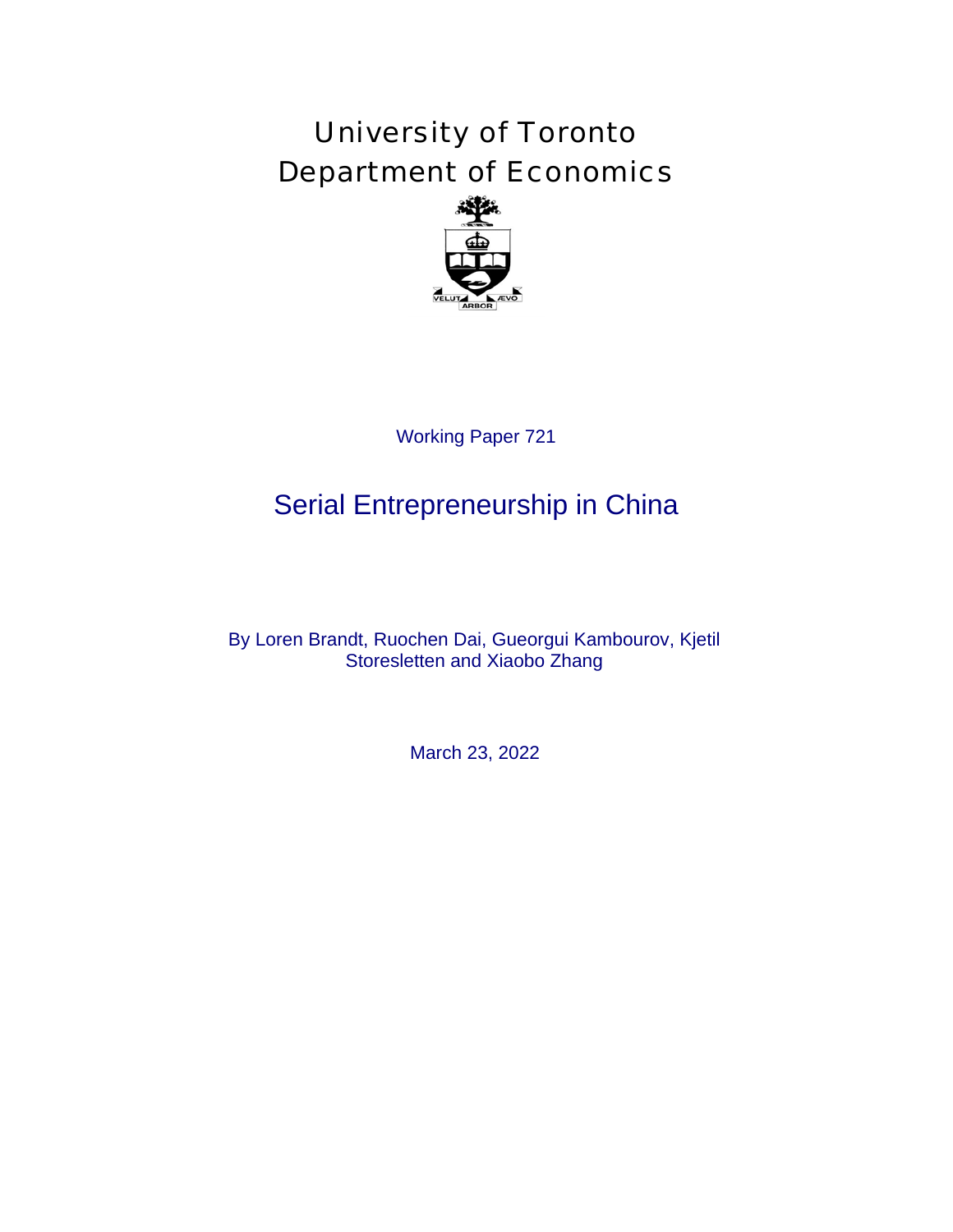# University of Toronto Department of Economics



# Serial Entrepreneurship in China

Working Paper 721<br> **repreneurshi**<br>
ochen Dai, Gueorg<br>
sletten and Xiaobo 2<br>
March 23, 2022 By Loren Brandt, Ruochen Dai, Gueorgui Kambourov, Kjetil Storesletten and Xiaobo Zhang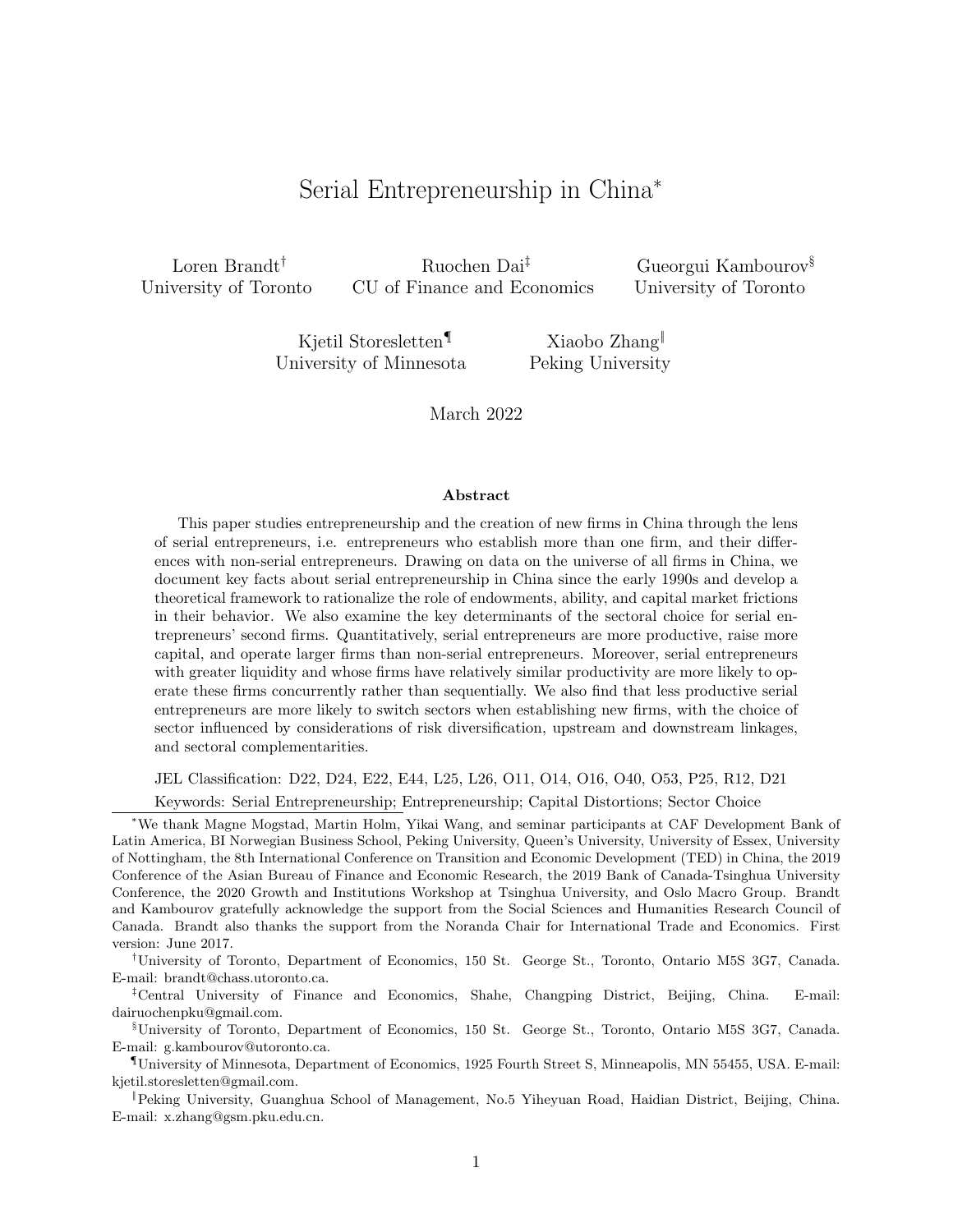# Serial Entrepreneurship in China<sup>∗</sup>

Loren Brandt† University of Toronto

Ruochen Dai‡ CU of Finance and Economics Gueorgui Kambourov§ University of Toronto

Kjetil Storesletten¶ University of Minnesota

Xiaobo Zhang‖ Peking University

March 2022

#### Abstract

This paper studies entrepreneurship and the creation of new firms in China through the lens of serial entrepreneurs, i.e. entrepreneurs who establish more than one firm, and their differences with non-serial entrepreneurs. Drawing on data on the universe of all firms in China, we document key facts about serial entrepreneurship in China since the early 1990s and develop a theoretical framework to rationalize the role of endowments, ability, and capital market frictions in their behavior. We also examine the key determinants of the sectoral choice for serial entrepreneurs' second firms. Quantitatively, serial entrepreneurs are more productive, raise more capital, and operate larger firms than non-serial entrepreneurs. Moreover, serial entrepreneurs with greater liquidity and whose firms have relatively similar productivity are more likely to operate these firms concurrently rather than sequentially. We also find that less productive serial entrepreneurs are more likely to switch sectors when establishing new firms, with the choice of sector influenced by considerations of risk diversification, upstream and downstream linkages, and sectoral complementarities.

JEL Classification: D22, D24, E22, E44, L25, L26, O11, O14, O16, O40, O53, P25, R12, D21

Keywords: Serial Entrepreneurship; Entrepreneurship; Capital Distortions; Sector Choice

<sup>∗</sup>We thank Magne Mogstad, Martin Holm, Yikai Wang, and seminar participants at CAF Development Bank of Latin America, BI Norwegian Business School, Peking University, Queen's University, University of Essex, University of Nottingham, the 8th International Conference on Transition and Economic Development (TED) in China, the 2019 Conference of the Asian Bureau of Finance and Economic Research, the 2019 Bank of Canada-Tsinghua University Conference, the 2020 Growth and Institutions Workshop at Tsinghua University, and Oslo Macro Group. Brandt and Kambourov gratefully acknowledge the support from the Social Sciences and Humanities Research Council of Canada. Brandt also thanks the support from the Noranda Chair for International Trade and Economics. First version: June 2017.

†University of Toronto, Department of Economics, 150 St. George St., Toronto, Ontario M5S 3G7, Canada. E-mail: brandt@chass.utoronto.ca.

‡Central University of Finance and Economics, Shahe, Changping District, Beijing, China. E-mail: dairuochenpku@gmail.com.

§University of Toronto, Department of Economics, 150 St. George St., Toronto, Ontario M5S 3G7, Canada. E-mail: g.kambourov@utoronto.ca.

¶University of Minnesota, Department of Economics, 1925 Fourth Street S, Minneapolis, MN 55455, USA. E-mail: kjetil.storesletten@gmail.com.

‖Peking University, Guanghua School of Management, No.5 Yiheyuan Road, Haidian District, Beijing, China. E-mail: x.zhang@gsm.pku.edu.cn.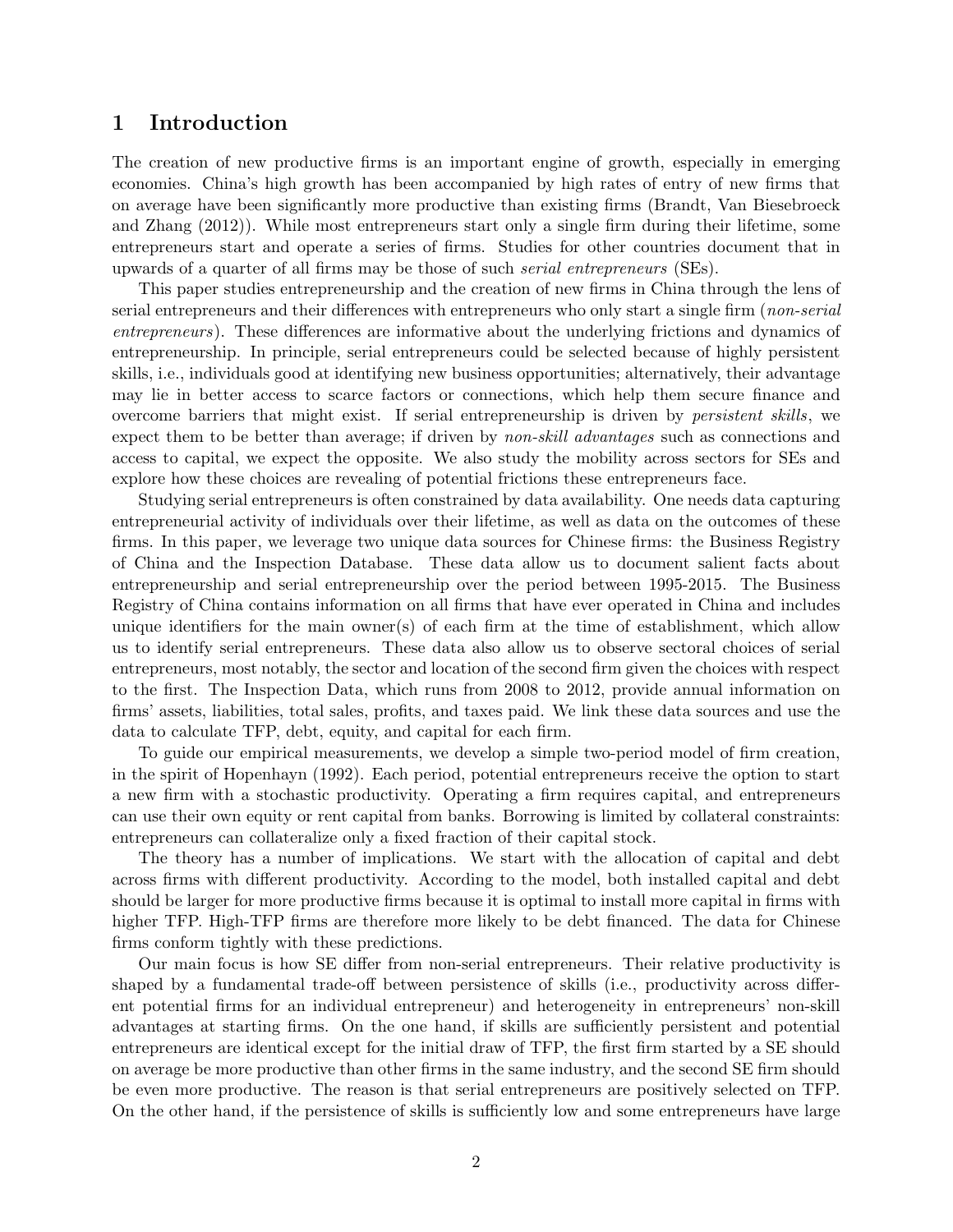# 1 Introduction

The creation of new productive firms is an important engine of growth, especially in emerging economies. China's high growth has been accompanied by high rates of entry of new firms that on average have been significantly more productive than existing firms (Brandt, Van Biesebroeck and Zhang (2012)). While most entrepreneurs start only a single firm during their lifetime, some entrepreneurs start and operate a series of firms. Studies for other countries document that in upwards of a quarter of all firms may be those of such serial entrepreneurs (SEs).

This paper studies entrepreneurship and the creation of new firms in China through the lens of serial entrepreneurs and their differences with entrepreneurs who only start a single firm (non-serial entrepreneurs). These differences are informative about the underlying frictions and dynamics of entrepreneurship. In principle, serial entrepreneurs could be selected because of highly persistent skills, i.e., individuals good at identifying new business opportunities; alternatively, their advantage may lie in better access to scarce factors or connections, which help them secure finance and overcome barriers that might exist. If serial entrepreneurship is driven by persistent skills, we expect them to be better than average; if driven by *non-skill advantages* such as connections and access to capital, we expect the opposite. We also study the mobility across sectors for SEs and explore how these choices are revealing of potential frictions these entrepreneurs face.

Studying serial entrepreneurs is often constrained by data availability. One needs data capturing entrepreneurial activity of individuals over their lifetime, as well as data on the outcomes of these firms. In this paper, we leverage two unique data sources for Chinese firms: the Business Registry of China and the Inspection Database. These data allow us to document salient facts about entrepreneurship and serial entrepreneurship over the period between 1995-2015. The Business Registry of China contains information on all firms that have ever operated in China and includes unique identifiers for the main owner(s) of each firm at the time of establishment, which allow us to identify serial entrepreneurs. These data also allow us to observe sectoral choices of serial entrepreneurs, most notably, the sector and location of the second firm given the choices with respect to the first. The Inspection Data, which runs from 2008 to 2012, provide annual information on firms' assets, liabilities, total sales, profits, and taxes paid. We link these data sources and use the data to calculate TFP, debt, equity, and capital for each firm.

To guide our empirical measurements, we develop a simple two-period model of firm creation, in the spirit of Hopenhayn (1992). Each period, potential entrepreneurs receive the option to start a new firm with a stochastic productivity. Operating a firm requires capital, and entrepreneurs can use their own equity or rent capital from banks. Borrowing is limited by collateral constraints: entrepreneurs can collateralize only a fixed fraction of their capital stock.

The theory has a number of implications. We start with the allocation of capital and debt across firms with different productivity. According to the model, both installed capital and debt should be larger for more productive firms because it is optimal to install more capital in firms with higher TFP. High-TFP firms are therefore more likely to be debt financed. The data for Chinese firms conform tightly with these predictions.

Our main focus is how SE differ from non-serial entrepreneurs. Their relative productivity is shaped by a fundamental trade-off between persistence of skills (i.e., productivity across different potential firms for an individual entrepreneur) and heterogeneity in entrepreneurs' non-skill advantages at starting firms. On the one hand, if skills are sufficiently persistent and potential entrepreneurs are identical except for the initial draw of TFP, the first firm started by a SE should on average be more productive than other firms in the same industry, and the second SE firm should be even more productive. The reason is that serial entrepreneurs are positively selected on TFP. On the other hand, if the persistence of skills is sufficiently low and some entrepreneurs have large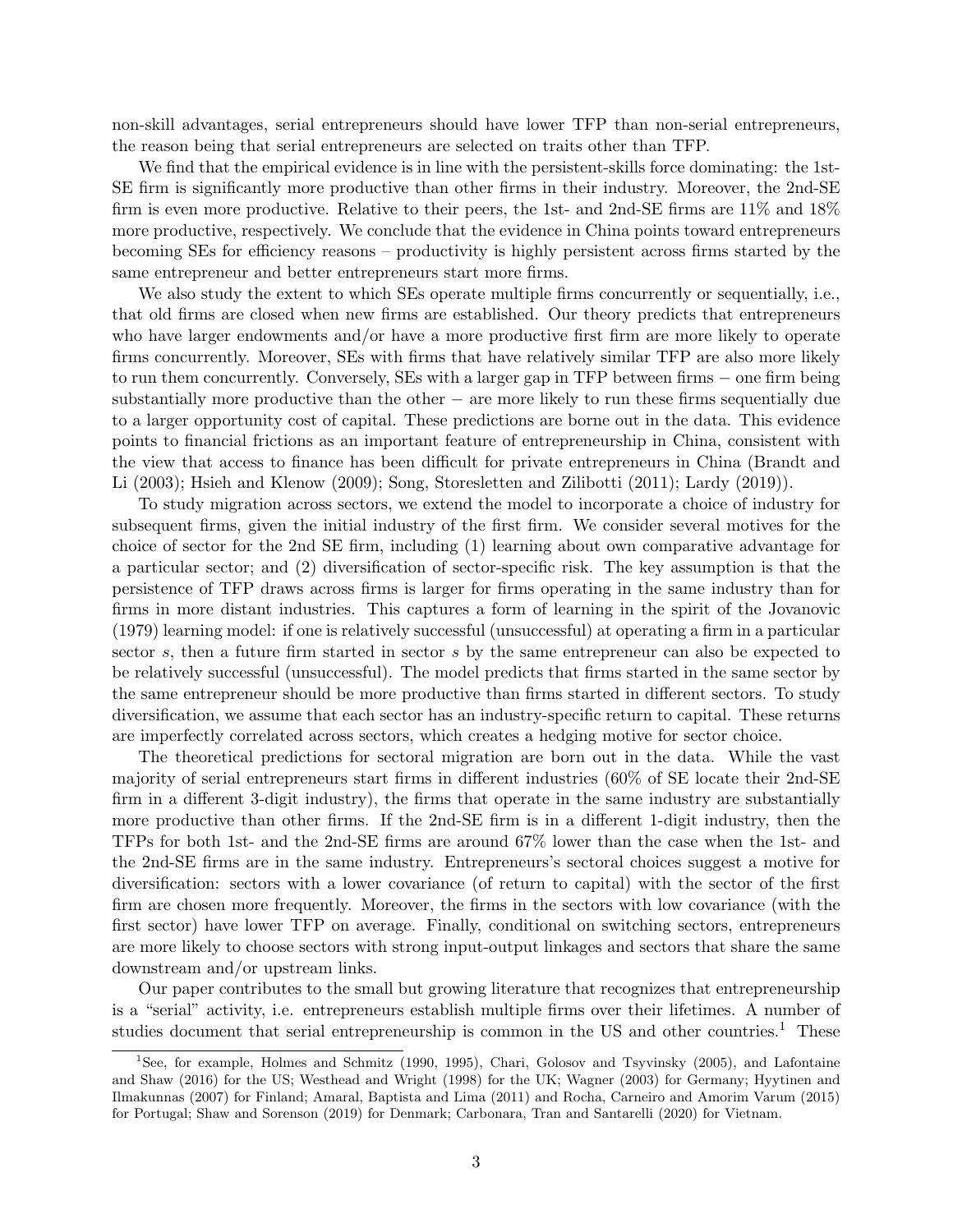non-skill advantages, serial entrepreneurs should have lower TFP than non-serial entrepreneurs, the reason being that serial entrepreneurs are selected on traits other than TFP.

We find that the empirical evidence is in line with the persistent-skills force dominating: the 1st-SE firm is significantly more productive than other firms in their industry. Moreover, the 2nd-SE firm is even more productive. Relative to their peers, the 1st- and 2nd-SE firms are 11% and 18% more productive, respectively. We conclude that the evidence in China points toward entrepreneurs becoming SEs for efficiency reasons – productivity is highly persistent across firms started by the same entrepreneur and better entrepreneurs start more firms.

We also study the extent to which SEs operate multiple firms concurrently or sequentially, i.e., that old firms are closed when new firms are established. Our theory predicts that entrepreneurs who have larger endowments and/or have a more productive first firm are more likely to operate firms concurrently. Moreover, SEs with firms that have relatively similar TFP are also more likely to run them concurrently. Conversely, SEs with a larger gap in TFP between firms – one firm being substantially more productive than the other − are more likely to run these firms sequentially due to a larger opportunity cost of capital. These predictions are borne out in the data. This evidence points to financial frictions as an important feature of entrepreneurship in China, consistent with the view that access to finance has been difficult for private entrepreneurs in China (Brandt and Li (2003); Hsieh and Klenow (2009); Song, Storesletten and Zilibotti (2011); Lardy (2019)).

To study migration across sectors, we extend the model to incorporate a choice of industry for subsequent firms, given the initial industry of the first firm. We consider several motives for the choice of sector for the 2nd SE firm, including (1) learning about own comparative advantage for a particular sector; and (2) diversification of sector-specific risk. The key assumption is that the persistence of TFP draws across firms is larger for firms operating in the same industry than for firms in more distant industries. This captures a form of learning in the spirit of the Jovanovic (1979) learning model: if one is relatively successful (unsuccessful) at operating a firm in a particular sector s, then a future firm started in sector s by the same entrepreneur can also be expected to be relatively successful (unsuccessful). The model predicts that firms started in the same sector by the same entrepreneur should be more productive than firms started in different sectors. To study diversification, we assume that each sector has an industry-specific return to capital. These returns are imperfectly correlated across sectors, which creates a hedging motive for sector choice.

The theoretical predictions for sectoral migration are born out in the data. While the vast majority of serial entrepreneurs start firms in different industries (60% of SE locate their 2nd-SE firm in a different 3-digit industry), the firms that operate in the same industry are substantially more productive than other firms. If the 2nd-SE firm is in a different 1-digit industry, then the TFPs for both 1st- and the 2nd-SE firms are around 67% lower than the case when the 1st- and the 2nd-SE firms are in the same industry. Entrepreneurs's sectoral choices suggest a motive for diversification: sectors with a lower covariance (of return to capital) with the sector of the first firm are chosen more frequently. Moreover, the firms in the sectors with low covariance (with the first sector) have lower TFP on average. Finally, conditional on switching sectors, entrepreneurs are more likely to choose sectors with strong input-output linkages and sectors that share the same downstream and/or upstream links.

Our paper contributes to the small but growing literature that recognizes that entrepreneurship is a "serial" activity, i.e. entrepreneurs establish multiple firms over their lifetimes. A number of studies document that serial entrepreneurship is common in the US and other countries.<sup>1</sup> These

<sup>1</sup>See, for example, Holmes and Schmitz (1990, 1995), Chari, Golosov and Tsyvinsky (2005), and Lafontaine and Shaw (2016) for the US; Westhead and Wright (1998) for the UK; Wagner (2003) for Germany; Hyytinen and Ilmakunnas (2007) for Finland; Amaral, Baptista and Lima (2011) and Rocha, Carneiro and Amorim Varum (2015) for Portugal; Shaw and Sorenson (2019) for Denmark; Carbonara, Tran and Santarelli (2020) for Vietnam.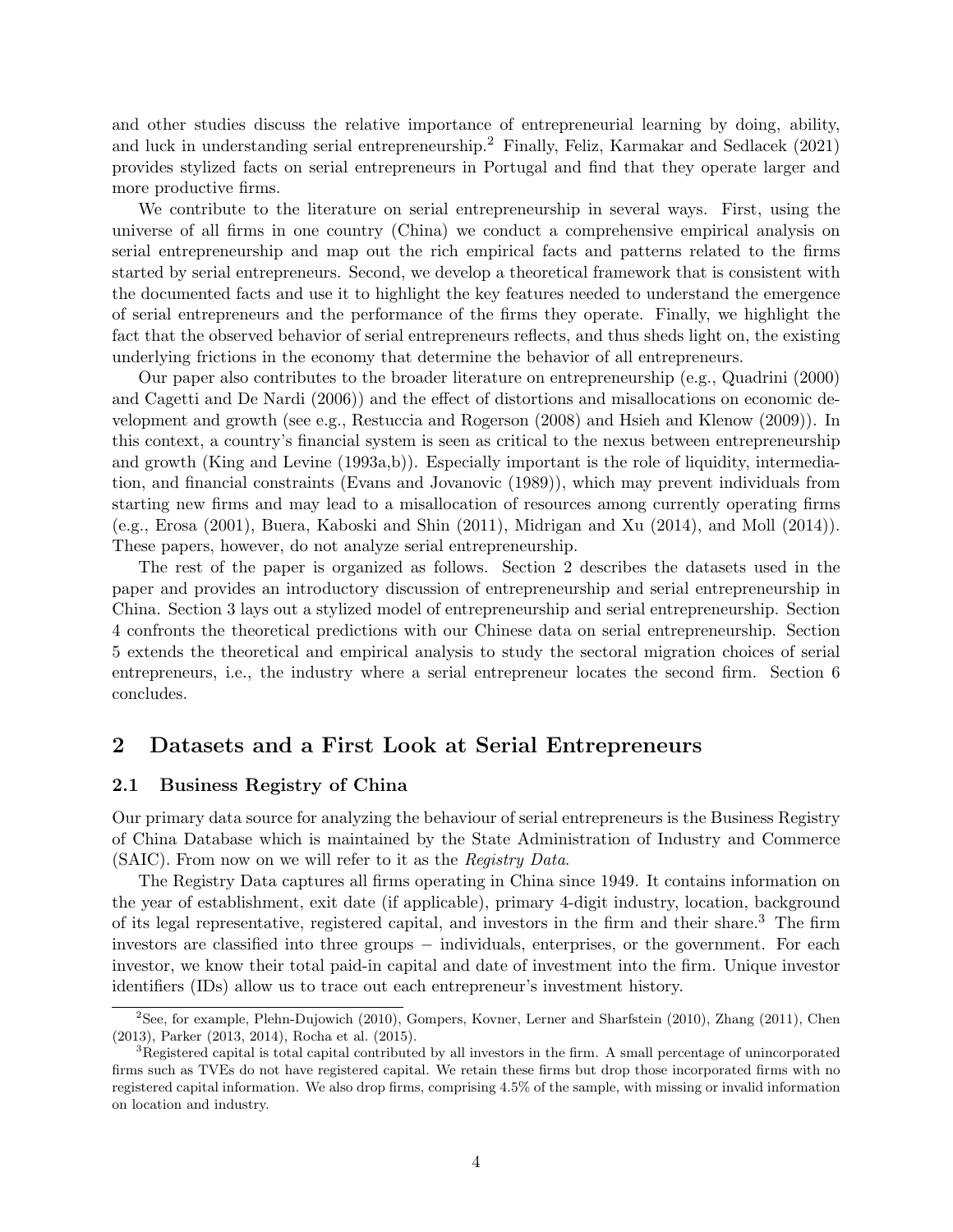and other studies discuss the relative importance of entrepreneurial learning by doing, ability, and luck in understanding serial entrepreneurship.<sup>2</sup> Finally, Feliz, Karmakar and Sedlacek (2021) provides stylized facts on serial entrepreneurs in Portugal and find that they operate larger and more productive firms.

We contribute to the literature on serial entrepreneurship in several ways. First, using the universe of all firms in one country (China) we conduct a comprehensive empirical analysis on serial entrepreneurship and map out the rich empirical facts and patterns related to the firms started by serial entrepreneurs. Second, we develop a theoretical framework that is consistent with the documented facts and use it to highlight the key features needed to understand the emergence of serial entrepreneurs and the performance of the firms they operate. Finally, we highlight the fact that the observed behavior of serial entrepreneurs reflects, and thus sheds light on, the existing underlying frictions in the economy that determine the behavior of all entrepreneurs.

Our paper also contributes to the broader literature on entrepreneurship (e.g., Quadrini (2000) and Cagetti and De Nardi (2006)) and the effect of distortions and misallocations on economic development and growth (see e.g., Restuccia and Rogerson (2008) and Hsieh and Klenow (2009)). In this context, a country's financial system is seen as critical to the nexus between entrepreneurship and growth (King and Levine (1993a,b)). Especially important is the role of liquidity, intermediation, and financial constraints (Evans and Jovanovic (1989)), which may prevent individuals from starting new firms and may lead to a misallocation of resources among currently operating firms (e.g., Erosa (2001), Buera, Kaboski and Shin (2011), Midrigan and Xu (2014), and Moll (2014)). These papers, however, do not analyze serial entrepreneurship.

The rest of the paper is organized as follows. Section 2 describes the datasets used in the paper and provides an introductory discussion of entrepreneurship and serial entrepreneurship in China. Section 3 lays out a stylized model of entrepreneurship and serial entrepreneurship. Section 4 confronts the theoretical predictions with our Chinese data on serial entrepreneurship. Section 5 extends the theoretical and empirical analysis to study the sectoral migration choices of serial entrepreneurs, i.e., the industry where a serial entrepreneur locates the second firm. Section 6 concludes.

### 2 Datasets and a First Look at Serial Entrepreneurs

#### 2.1 Business Registry of China

Our primary data source for analyzing the behaviour of serial entrepreneurs is the Business Registry of China Database which is maintained by the State Administration of Industry and Commerce (SAIC). From now on we will refer to it as the Registry Data.

The Registry Data captures all firms operating in China since 1949. It contains information on the year of establishment, exit date (if applicable), primary 4-digit industry, location, background of its legal representative, registered capital, and investors in the firm and their share.<sup>3</sup> The firm investors are classified into three groups – individuals, enterprises, or the government. For each investor, we know their total paid-in capital and date of investment into the firm. Unique investor identifiers (IDs) allow us to trace out each entrepreneur's investment history.

<sup>2</sup>See, for example, Plehn-Dujowich (2010), Gompers, Kovner, Lerner and Sharfstein (2010), Zhang (2011), Chen (2013), Parker (2013, 2014), Rocha et al. (2015).

<sup>&</sup>lt;sup>3</sup>Registered capital is total capital contributed by all investors in the firm. A small percentage of unincorporated firms such as TVEs do not have registered capital. We retain these firms but drop those incorporated firms with no registered capital information. We also drop firms, comprising 4.5% of the sample, with missing or invalid information on location and industry.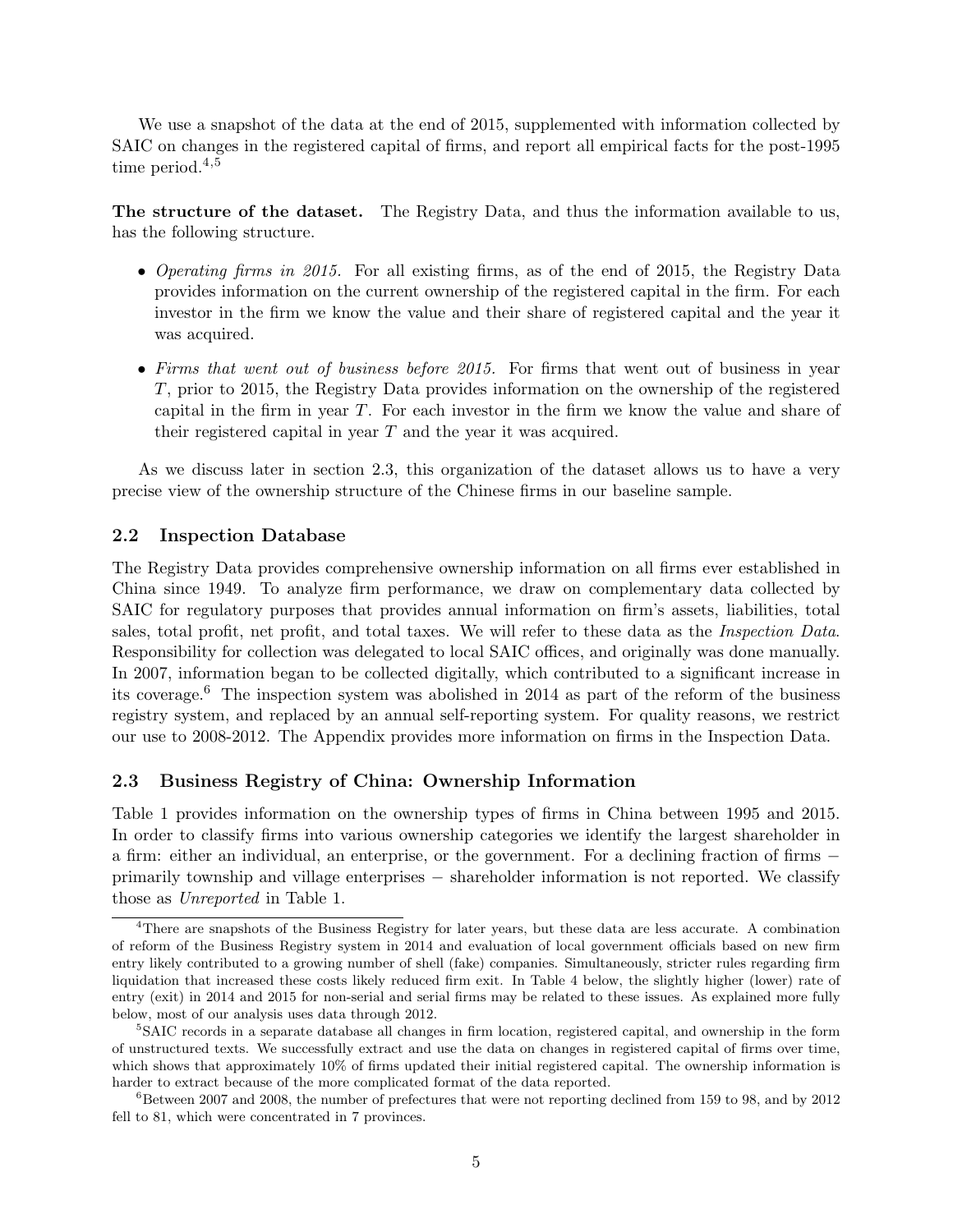We use a snapshot of the data at the end of 2015, supplemented with information collected by SAIC on changes in the registered capital of firms, and report all empirical facts for the post-1995 time period. $4,5$ 

The structure of the dataset. The Registry Data, and thus the information available to us, has the following structure.

- Operating firms in 2015. For all existing firms, as of the end of 2015, the Registry Data provides information on the current ownership of the registered capital in the firm. For each investor in the firm we know the value and their share of registered capital and the year it was acquired.
- Firms that went out of business before 2015. For firms that went out of business in year T, prior to 2015, the Registry Data provides information on the ownership of the registered capital in the firm in year T. For each investor in the firm we know the value and share of their registered capital in year T and the year it was acquired.

As we discuss later in section 2.3, this organization of the dataset allows us to have a very precise view of the ownership structure of the Chinese firms in our baseline sample.

#### 2.2 Inspection Database

The Registry Data provides comprehensive ownership information on all firms ever established in China since 1949. To analyze firm performance, we draw on complementary data collected by SAIC for regulatory purposes that provides annual information on firm's assets, liabilities, total sales, total profit, net profit, and total taxes. We will refer to these data as the *Inspection Data*. Responsibility for collection was delegated to local SAIC offices, and originally was done manually. In 2007, information began to be collected digitally, which contributed to a significant increase in its coverage.<sup>6</sup> The inspection system was abolished in 2014 as part of the reform of the business registry system, and replaced by an annual self-reporting system. For quality reasons, we restrict our use to 2008-2012. The Appendix provides more information on firms in the Inspection Data.

## 2.3 Business Registry of China: Ownership Information

Table 1 provides information on the ownership types of firms in China between 1995 and 2015. In order to classify firms into various ownership categories we identify the largest shareholder in a firm: either an individual, an enterprise, or the government. For a declining fraction of firms − primarily township and village enterprises − shareholder information is not reported. We classify those as Unreported in Table 1.

<sup>4</sup>There are snapshots of the Business Registry for later years, but these data are less accurate. A combination of reform of the Business Registry system in 2014 and evaluation of local government officials based on new firm entry likely contributed to a growing number of shell (fake) companies. Simultaneously, stricter rules regarding firm liquidation that increased these costs likely reduced firm exit. In Table 4 below, the slightly higher (lower) rate of entry (exit) in 2014 and 2015 for non-serial and serial firms may be related to these issues. As explained more fully below, most of our analysis uses data through 2012.

<sup>&</sup>lt;sup>5</sup>SAIC records in a separate database all changes in firm location, registered capital, and ownership in the form of unstructured texts. We successfully extract and use the data on changes in registered capital of firms over time, which shows that approximately 10% of firms updated their initial registered capital. The ownership information is harder to extract because of the more complicated format of the data reported.

 $6B$ etween 2007 and 2008, the number of prefectures that were not reporting declined from 159 to 98, and by 2012 fell to 81, which were concentrated in 7 provinces.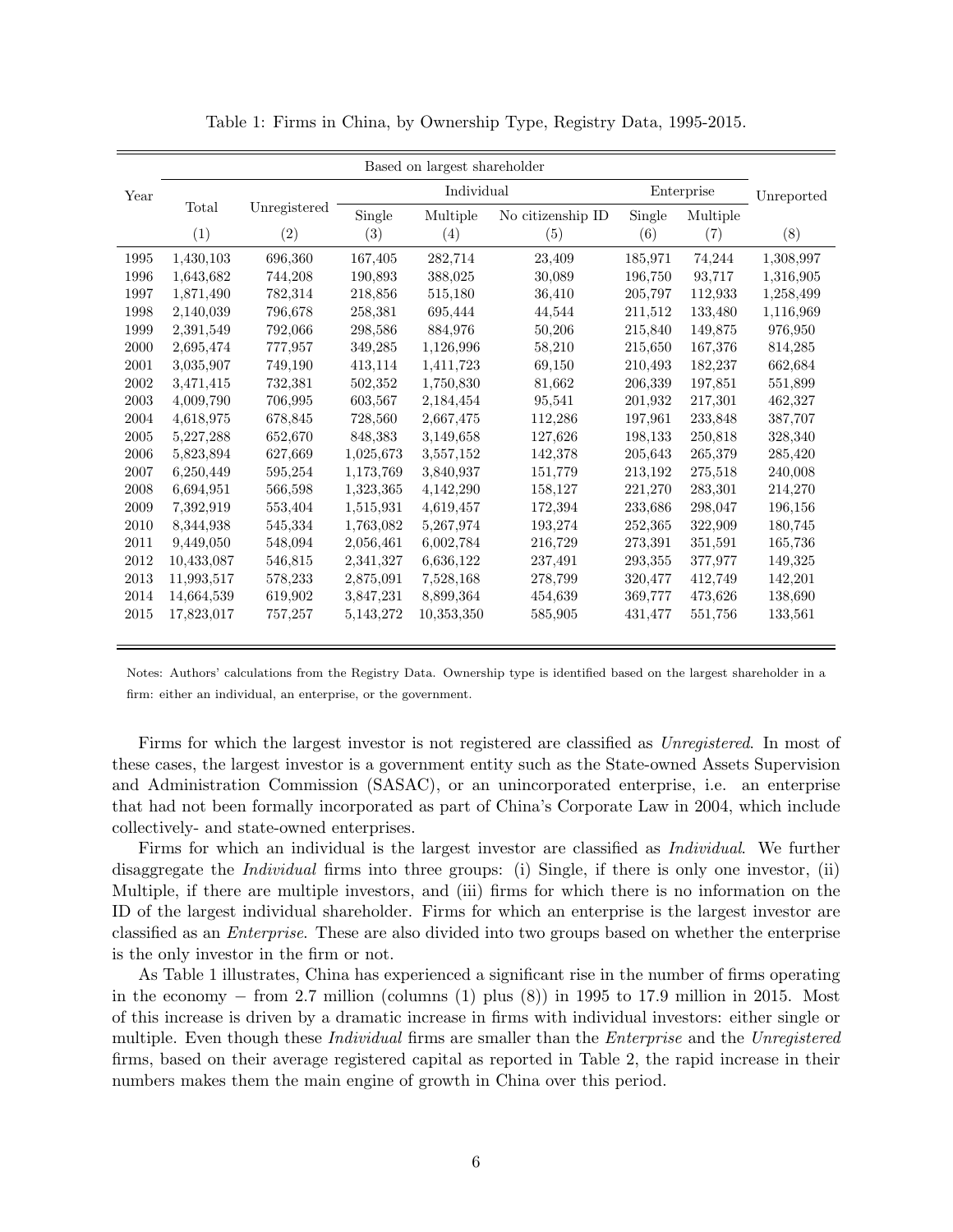|      | Based on largest shareholder |              |           |                               |         |         |            |            |  |  |
|------|------------------------------|--------------|-----------|-------------------------------|---------|---------|------------|------------|--|--|
| Year |                              |              |           | Individual                    |         |         | Enterprise | Unreported |  |  |
|      | Total                        | Unregistered | Single    | No citizenship ID<br>Multiple |         | Single  | Multiple   |            |  |  |
|      | (1)                          | (2)          | (3)       | (4)                           | (5)     | (6)     | (7)        | (8)        |  |  |
| 1995 | 1,430,103                    | 696,360      | 167,405   | 282,714                       | 23,409  | 185,971 | 74,244     | 1,308,997  |  |  |
| 1996 | 1,643,682                    | 744,208      | 190,893   | 388,025                       | 30,089  | 196,750 | 93,717     | 1,316,905  |  |  |
| 1997 | 1,871,490                    | 782,314      | 218,856   | 515,180                       | 36,410  | 205,797 | 112,933    | 1,258,499  |  |  |
| 1998 | 2,140,039                    | 796,678      | 258,381   | 695,444                       | 44,544  | 211,512 | 133,480    | 1,116,969  |  |  |
| 1999 | 2,391,549                    | 792,066      | 298,586   | 884,976                       | 50,206  | 215,840 | 149,875    | 976,950    |  |  |
| 2000 | 2,695,474                    | 777,957      | 349,285   | 1,126,996                     | 58,210  | 215,650 | 167,376    | 814,285    |  |  |
| 2001 | 3,035,907                    | 749,190      | 413,114   | 1,411,723                     | 69,150  | 210,493 | 182,237    | 662,684    |  |  |
| 2002 | 3,471,415                    | 732,381      | 502,352   | 1,750,830                     | 81,662  | 206,339 | 197,851    | 551,899    |  |  |
| 2003 | 4,009,790                    | 706,995      | 603,567   | 2,184,454                     | 95,541  | 201,932 | 217,301    | 462,327    |  |  |
| 2004 | 4,618,975                    | 678,845      | 728,560   | 2,667,475                     | 112,286 | 197,961 | 233,848    | 387,707    |  |  |
| 2005 | 5,227,288                    | 652,670      | 848,383   | 3,149,658                     | 127,626 | 198,133 | 250,818    | 328,340    |  |  |
| 2006 | 5,823,894                    | 627,669      | 1,025,673 | 3,557,152                     | 142,378 | 205,643 | 265,379    | 285,420    |  |  |
| 2007 | 6,250,449                    | 595,254      | 1,173,769 | 3,840,937                     | 151,779 | 213,192 | 275,518    | 240,008    |  |  |
| 2008 | 6.694,951                    | 566,598      | 1,323,365 | 4,142,290                     | 158,127 | 221,270 | 283,301    | 214,270    |  |  |
| 2009 | 7,392,919                    | 553,404      | 1,515,931 | 4,619,457                     | 172,394 | 233,686 | 298,047    | 196,156    |  |  |
| 2010 | 8,344,938                    | 545,334      | 1,763,082 | 5,267,974                     | 193,274 | 252,365 | 322,909    | 180,745    |  |  |
| 2011 | 9,449,050                    | 548,094      | 2,056,461 | 6,002,784                     | 216,729 | 273,391 | 351,591    | 165,736    |  |  |
| 2012 | 10,433,087                   | 546,815      | 2,341,327 | 6,636,122                     | 237,491 | 293,355 | 377,977    | 149,325    |  |  |
| 2013 | 11,993,517                   | 578,233      | 2,875,091 | 7,528,168                     | 278,799 | 320,477 | 412,749    | 142,201    |  |  |
| 2014 | 14,664,539                   | 619,902      | 3,847,231 | 8,899,364                     | 454,639 | 369,777 | 473,626    | 138,690    |  |  |
| 2015 | 17,823,017                   | 757,257      | 5,143,272 | 10,353,350                    | 585,905 | 431,477 | 551,756    | 133,561    |  |  |
|      |                              |              |           |                               |         |         |            |            |  |  |

Table 1: Firms in China, by Ownership Type, Registry Data, 1995-2015.

Notes: Authors' calculations from the Registry Data. Ownership type is identified based on the largest shareholder in a firm: either an individual, an enterprise, or the government.

Firms for which the largest investor is not registered are classified as Unregistered. In most of these cases, the largest investor is a government entity such as the State-owned Assets Supervision and Administration Commission (SASAC), or an unincorporated enterprise, i.e. an enterprise that had not been formally incorporated as part of China's Corporate Law in 2004, which include collectively- and state-owned enterprises.

Firms for which an individual is the largest investor are classified as Individual. We further disaggregate the *Individual* firms into three groups: (i) Single, if there is only one investor, (ii) Multiple, if there are multiple investors, and (iii) firms for which there is no information on the ID of the largest individual shareholder. Firms for which an enterprise is the largest investor are classified as an Enterprise. These are also divided into two groups based on whether the enterprise is the only investor in the firm or not.

As Table 1 illustrates, China has experienced a significant rise in the number of firms operating in the economy  $-$  from 2.7 million (columns (1) plus (8)) in 1995 to 17.9 million in 2015. Most of this increase is driven by a dramatic increase in firms with individual investors: either single or multiple. Even though these *Individual* firms are smaller than the *Enterprise* and the *Unregistered* firms, based on their average registered capital as reported in Table 2, the rapid increase in their numbers makes them the main engine of growth in China over this period.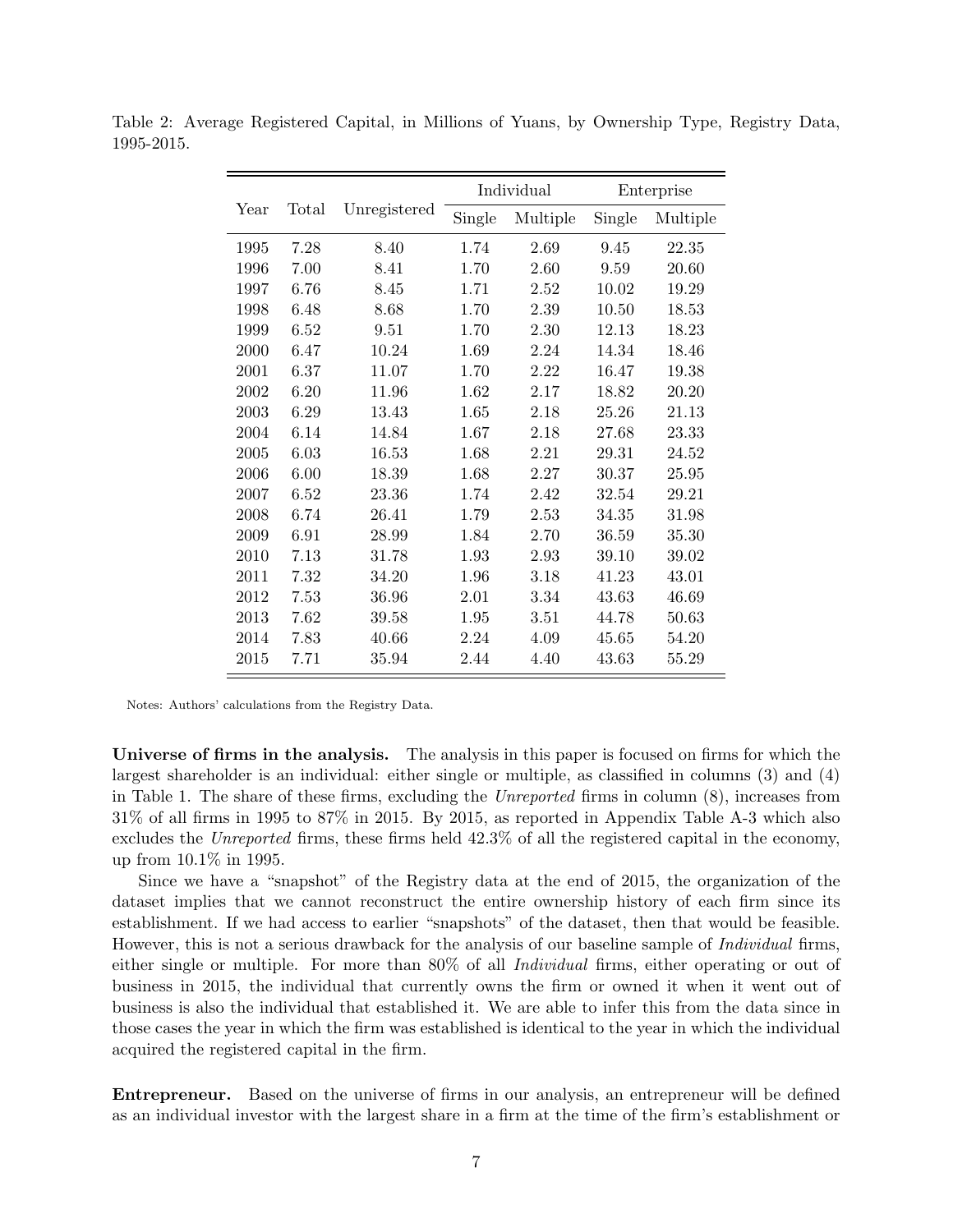|      |       |              |        | Individual |        | Enterprise |
|------|-------|--------------|--------|------------|--------|------------|
| Year | Total | Unregistered | Single | Multiple   | Single | Multiple   |
| 1995 | 7.28  | 8.40         | 1.74   | 2.69       | 9.45   | 22.35      |
| 1996 | 7.00  | 8.41         | 1.70   | 2.60       | 9.59   | 20.60      |
| 1997 | 6.76  | 8.45         | 1.71   | 2.52       | 10.02  | 19.29      |
| 1998 | 6.48  | 8.68         | 1.70   | 2.39       | 10.50  | 18.53      |
| 1999 | 6.52  | 9.51         | 1.70   | 2.30       | 12.13  | 18.23      |
| 2000 | 6.47  | 10.24        | 1.69   | 2.24       | 14.34  | 18.46      |
| 2001 | 6.37  | 11.07        | 1.70   | 2.22       | 16.47  | 19.38      |
| 2002 | 6.20  | 11.96        | 1.62   | 2.17       | 18.82  | 20.20      |
| 2003 | 6.29  | 13.43        | 1.65   | 2.18       | 25.26  | 21.13      |
| 2004 | 6.14  | 14.84        | 1.67   | 2.18       | 27.68  | 23.33      |
| 2005 | 6.03  | 16.53        | 1.68   | 2.21       | 29.31  | 24.52      |
| 2006 | 6.00  | 18.39        | 1.68   | 2.27       | 30.37  | 25.95      |
| 2007 | 6.52  | 23.36        | 1.74   | 2.42       | 32.54  | 29.21      |
| 2008 | 6.74  | 26.41        | 1.79   | 2.53       | 34.35  | 31.98      |
| 2009 | 6.91  | 28.99        | 1.84   | 2.70       | 36.59  | 35.30      |
| 2010 | 7.13  | 31.78        | 1.93   | 2.93       | 39.10  | 39.02      |
| 2011 | 7.32  | 34.20        | 1.96   | 3.18       | 41.23  | 43.01      |
| 2012 | 7.53  | 36.96        | 2.01   | 3.34       | 43.63  | 46.69      |
| 2013 | 7.62  | 39.58        | 1.95   | 3.51       | 44.78  | 50.63      |
| 2014 | 7.83  | 40.66        | 2.24   | 4.09       | 45.65  | 54.20      |
| 2015 | 7.71  | 35.94        | 2.44   | 4.40       | 43.63  | 55.29      |

Table 2: Average Registered Capital, in Millions of Yuans, by Ownership Type, Registry Data, 1995-2015.

Notes: Authors' calculations from the Registry Data.

Universe of firms in the analysis. The analysis in this paper is focused on firms for which the largest shareholder is an individual: either single or multiple, as classified in columns (3) and (4) in Table 1. The share of these firms, excluding the Unreported firms in column (8), increases from 31% of all firms in 1995 to 87% in 2015. By 2015, as reported in Appendix Table A-3 which also excludes the Unreported firms, these firms held 42.3% of all the registered capital in the economy, up from 10.1% in 1995.

Since we have a "snapshot" of the Registry data at the end of 2015, the organization of the dataset implies that we cannot reconstruct the entire ownership history of each firm since its establishment. If we had access to earlier "snapshots" of the dataset, then that would be feasible. However, this is not a serious drawback for the analysis of our baseline sample of *Individual* firms, either single or multiple. For more than 80% of all *Individual* firms, either operating or out of business in 2015, the individual that currently owns the firm or owned it when it went out of business is also the individual that established it. We are able to infer this from the data since in those cases the year in which the firm was established is identical to the year in which the individual acquired the registered capital in the firm.

Entrepreneur. Based on the universe of firms in our analysis, an entrepreneur will be defined as an individual investor with the largest share in a firm at the time of the firm's establishment or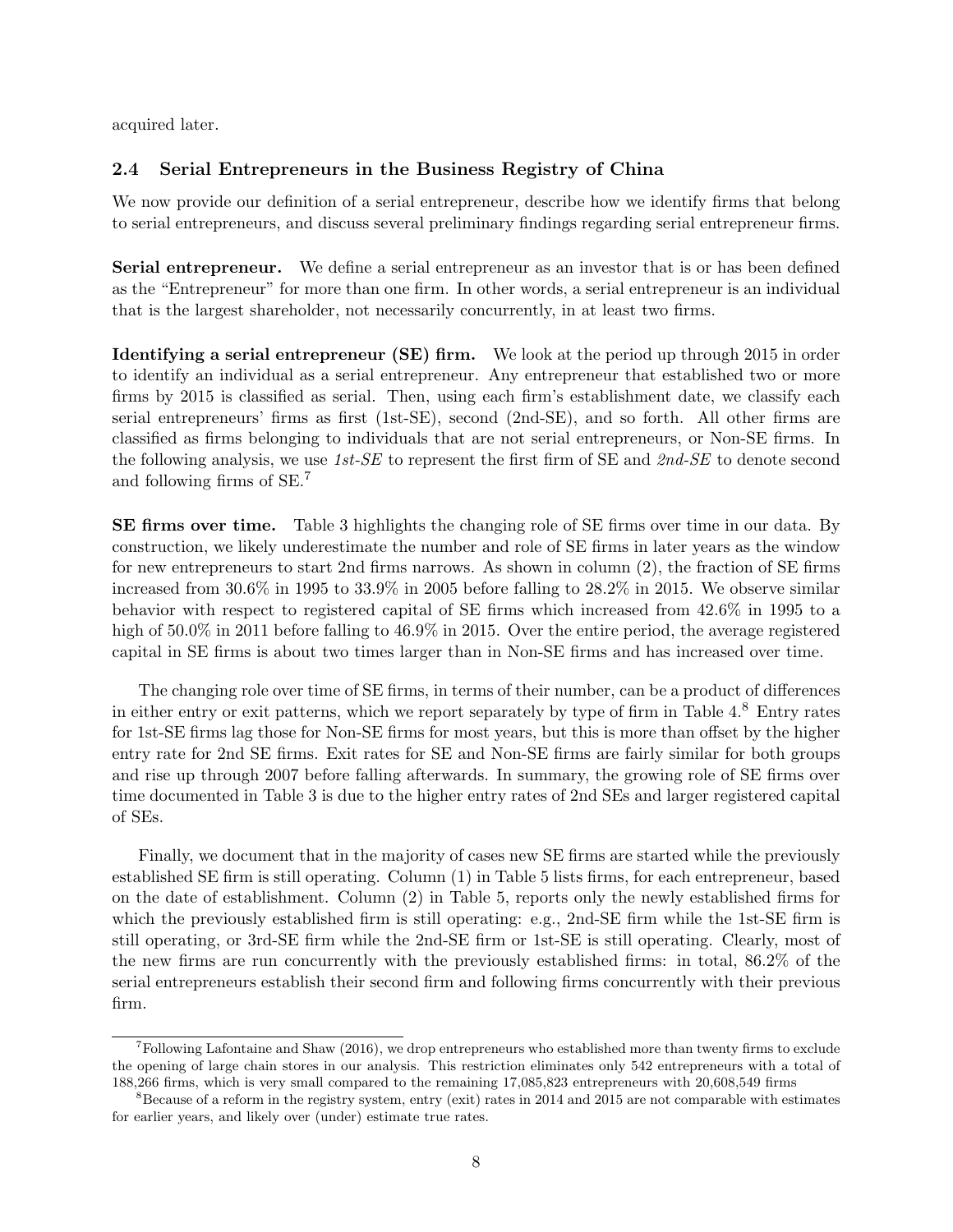acquired later.

### 2.4 Serial Entrepreneurs in the Business Registry of China

We now provide our definition of a serial entrepreneur, describe how we identify firms that belong to serial entrepreneurs, and discuss several preliminary findings regarding serial entrepreneur firms.

Serial entrepreneur. We define a serial entrepreneur as an investor that is or has been defined as the "Entrepreneur" for more than one firm. In other words, a serial entrepreneur is an individual that is the largest shareholder, not necessarily concurrently, in at least two firms.

Identifying a serial entrepreneur (SE) firm. We look at the period up through 2015 in order to identify an individual as a serial entrepreneur. Any entrepreneur that established two or more firms by 2015 is classified as serial. Then, using each firm's establishment date, we classify each serial entrepreneurs' firms as first (1st-SE), second (2nd-SE), and so forth. All other firms are classified as firms belonging to individuals that are not serial entrepreneurs, or Non-SE firms. In the following analysis, we use  $1st$ -SE to represent the first firm of SE and  $2nd$ -SE to denote second and following firms of SE.<sup>7</sup>

SE firms over time. Table 3 highlights the changing role of SE firms over time in our data. By construction, we likely underestimate the number and role of SE firms in later years as the window for new entrepreneurs to start 2nd firms narrows. As shown in column (2), the fraction of SE firms increased from 30.6% in 1995 to 33.9% in 2005 before falling to 28.2% in 2015. We observe similar behavior with respect to registered capital of SE firms which increased from 42.6% in 1995 to a high of 50.0% in 2011 before falling to 46.9% in 2015. Over the entire period, the average registered capital in SE firms is about two times larger than in Non-SE firms and has increased over time.

The changing role over time of SE firms, in terms of their number, can be a product of differences in either entry or exit patterns, which we report separately by type of firm in Table 4.<sup>8</sup> Entry rates for 1st-SE firms lag those for Non-SE firms for most years, but this is more than offset by the higher entry rate for 2nd SE firms. Exit rates for SE and Non-SE firms are fairly similar for both groups and rise up through 2007 before falling afterwards. In summary, the growing role of SE firms over time documented in Table 3 is due to the higher entry rates of 2nd SEs and larger registered capital of SEs.

Finally, we document that in the majority of cases new SE firms are started while the previously established SE firm is still operating. Column (1) in Table 5 lists firms, for each entrepreneur, based on the date of establishment. Column (2) in Table 5, reports only the newly established firms for which the previously established firm is still operating: e.g., 2nd-SE firm while the 1st-SE firm is still operating, or 3rd-SE firm while the 2nd-SE firm or 1st-SE is still operating. Clearly, most of the new firms are run concurrently with the previously established firms: in total, 86.2% of the serial entrepreneurs establish their second firm and following firms concurrently with their previous firm.

<sup>7</sup>Following Lafontaine and Shaw (2016), we drop entrepreneurs who established more than twenty firms to exclude the opening of large chain stores in our analysis. This restriction eliminates only 542 entrepreneurs with a total of 188,266 firms, which is very small compared to the remaining 17,085,823 entrepreneurs with 20,608,549 firms

 $8B$ ecause of a reform in the registry system, entry (exit) rates in 2014 and 2015 are not comparable with estimates for earlier years, and likely over (under) estimate true rates.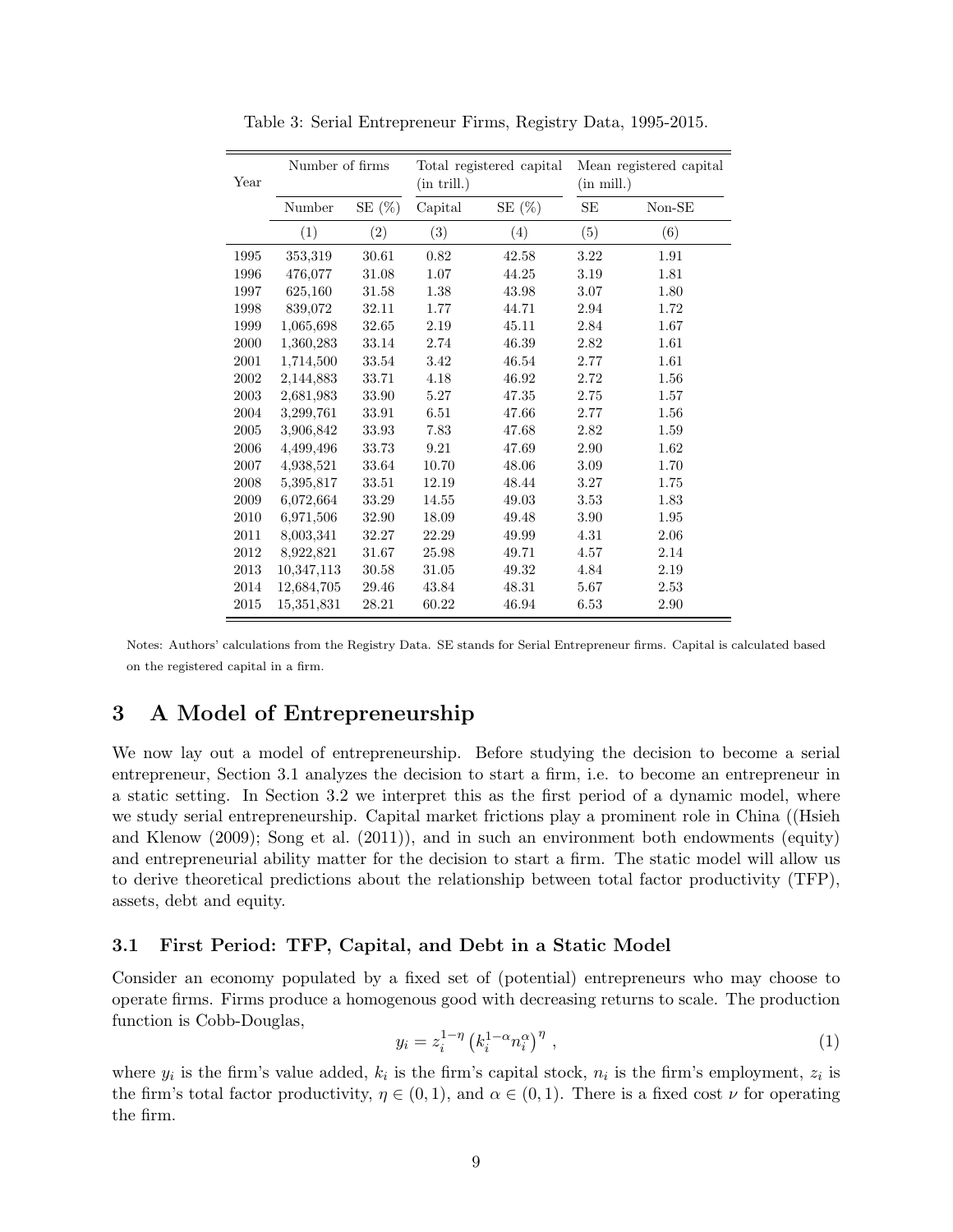| Year | Number of firms |           | $(in$ trill. $)$ | Total registered capital | Mean registered capital<br>$(in \text{ mill.})$ |          |  |
|------|-----------------|-----------|------------------|--------------------------|-------------------------------------------------|----------|--|
|      | Number          | SE $(\%)$ | Capital          | SE $(\%)$                | SЕ                                              | $Non-SE$ |  |
|      | (1)             | (2)       | (3)              | (4)                      | (5)                                             | (6)      |  |
| 1995 | 353,319         | 30.61     | 0.82             | 42.58                    | 3.22                                            | 1.91     |  |
| 1996 | 476,077         | 31.08     | 1.07             | 44.25                    | 3.19                                            | 1.81     |  |
| 1997 | 625,160         | 31.58     | 1.38             | 43.98                    | 3.07                                            | 1.80     |  |
| 1998 | 839,072         | 32.11     | 1.77             | 44.71                    | 2.94                                            | 1.72     |  |
| 1999 | 1,065,698       | 32.65     | 2.19             | 45.11                    | 2.84                                            | 1.67     |  |
| 2000 | 1,360,283       | 33.14     | 2.74             | 46.39                    | 2.82                                            | 1.61     |  |
| 2001 | 1,714,500       | 33.54     | 3.42             | 46.54                    | 2.77                                            | 1.61     |  |
| 2002 | 2,144,883       | 33.71     | 4.18             | 46.92                    | 2.72                                            | 1.56     |  |
| 2003 | 2,681,983       | 33.90     | 5.27             | 47.35                    | 2.75                                            | 1.57     |  |
| 2004 | 3,299,761       | 33.91     | 6.51             | 47.66                    | 2.77                                            | 1.56     |  |
| 2005 | 3,906,842       | 33.93     | 7.83             | 47.68                    | 2.82                                            | 1.59     |  |
| 2006 | 4,499,496       | 33.73     | 9.21             | 47.69                    | 2.90                                            | 1.62     |  |
| 2007 | 4,938,521       | 33.64     | 10.70            | 48.06                    | 3.09                                            | 1.70     |  |
| 2008 | 5,395,817       | 33.51     | 12.19            | 48.44                    | 3.27                                            | 1.75     |  |
| 2009 | 6,072,664       | 33.29     | 14.55            | 49.03                    | 3.53                                            | 1.83     |  |
| 2010 | 6,971,506       | 32.90     | 18.09            | 49.48                    | 3.90                                            | 1.95     |  |
| 2011 | 8,003,341       | 32.27     | 22.29            | 49.99                    | 4.31                                            | 2.06     |  |
| 2012 | 8,922,821       | 31.67     | 25.98            | 49.71                    | 4.57                                            | 2.14     |  |
| 2013 | 10,347,113      | 30.58     | 31.05            | 49.32                    | 4.84                                            | 2.19     |  |
| 2014 | 12,684,705      | 29.46     | 43.84            | 48.31                    | 5.67                                            | 2.53     |  |
| 2015 | 15,351,831      | 28.21     | 60.22            | 46.94                    | 6.53                                            | 2.90     |  |

Table 3: Serial Entrepreneur Firms, Registry Data, 1995-2015.

Notes: Authors' calculations from the Registry Data. SE stands for Serial Entrepreneur firms. Capital is calculated based on the registered capital in a firm.

# 3 A Model of Entrepreneurship

We now lay out a model of entrepreneurship. Before studying the decision to become a serial entrepreneur, Section 3.1 analyzes the decision to start a firm, i.e. to become an entrepreneur in a static setting. In Section 3.2 we interpret this as the first period of a dynamic model, where we study serial entrepreneurship. Capital market frictions play a prominent role in China ((Hsieh and Klenow (2009); Song et al. (2011)), and in such an environment both endowments (equity) and entrepreneurial ability matter for the decision to start a firm. The static model will allow us to derive theoretical predictions about the relationship between total factor productivity (TFP), assets, debt and equity.

#### 3.1 First Period: TFP, Capital, and Debt in a Static Model

Consider an economy populated by a fixed set of (potential) entrepreneurs who may choose to operate firms. Firms produce a homogenous good with decreasing returns to scale. The production function is Cobb-Douglas,

$$
y_i = z_i^{1-\eta} \left( k_i^{1-\alpha} n_i^{\alpha} \right)^{\eta} , \qquad (1)
$$

where  $y_i$  is the firm's value added,  $k_i$  is the firm's capital stock,  $n_i$  is the firm's employment,  $z_i$  is the firm's total factor productivity,  $\eta \in (0,1)$ , and  $\alpha \in (0,1)$ . There is a fixed cost  $\nu$  for operating the firm.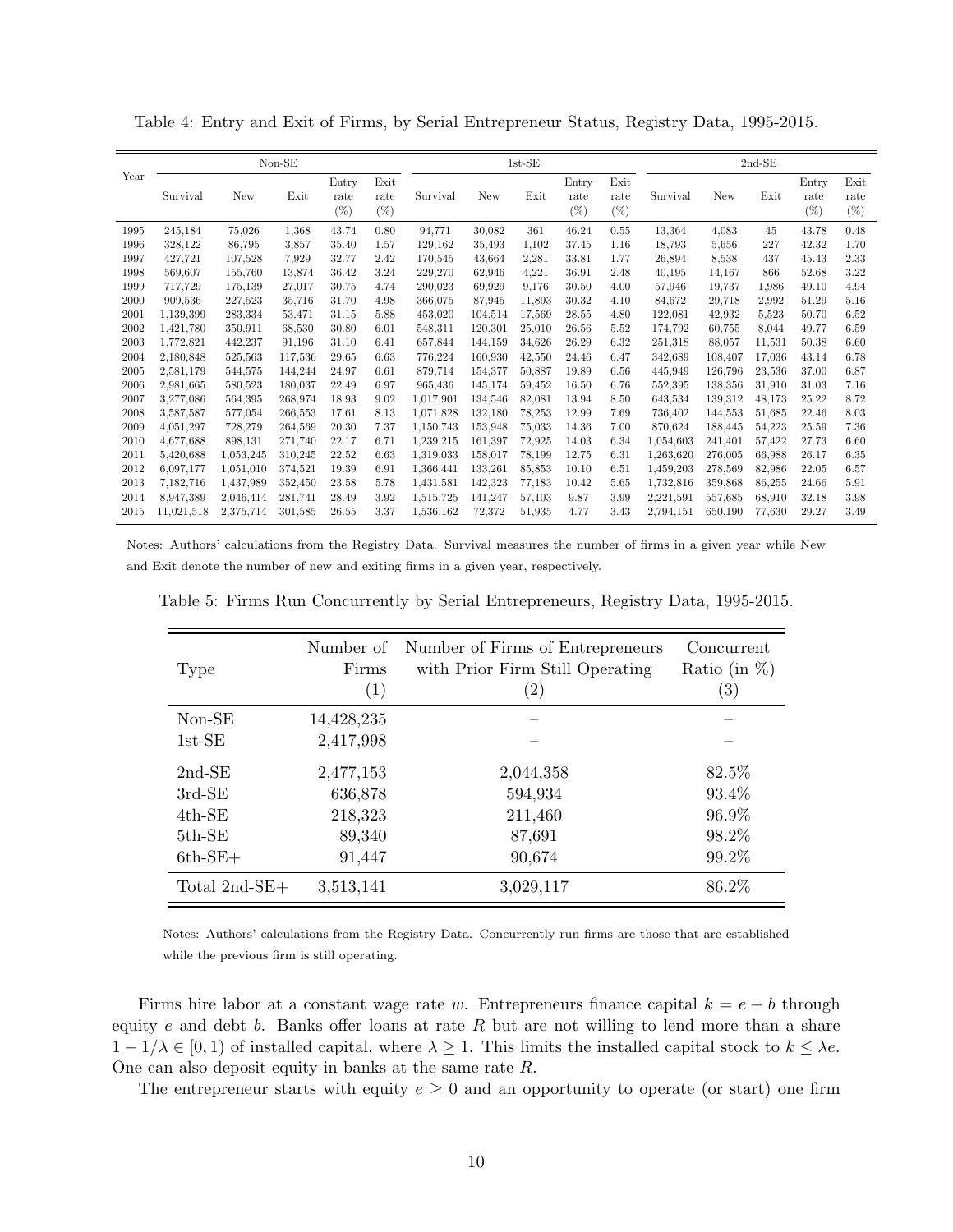Table 4: Entry and Exit of Firms, by Serial Entrepreneur Status, Registry Data, 1995-2015.

|      |            |           | $Non-SE$ |               |              |           |         | $1st-SE$ |               |              |           |         | $2nd-SE$ |               |              |
|------|------------|-----------|----------|---------------|--------------|-----------|---------|----------|---------------|--------------|-----------|---------|----------|---------------|--------------|
| Year | Survival   | New       | Exit     | Entry<br>rate | Exit<br>rate | Survival  | New     | Exit     | Entry<br>rate | Exit<br>rate | Survival  | New     | Exit     | Entry<br>rate | Exit<br>rate |
|      |            |           |          | $(\%)$        | (%           |           |         |          | (%            | $(\%)$       |           |         |          | $(\%)$        | $(\%)$       |
| 1995 | 245,184    | 75,026    | 1,368    | 43.74         | 0.80         | 94,771    | 30,082  | 361      | 46.24         | 0.55         | 13,364    | 4,083   | 45       | 43.78         | 0.48         |
| 1996 | 328,122    | 86,795    | 3,857    | 35.40         | 1.57         | 129,162   | 35,493  | 1,102    | 37.45         | 1.16         | 18,793    | 5,656   | 227      | 42.32         | 1.70         |
| 1997 | 427,721    | 107,528   | 7.929    | 32.77         | 2.42         | 170,545   | 43,664  | 2,281    | 33.81         | 1.77         | 26,894    | 8,538   | 437      | 45.43         | 2.33         |
| 1998 | 569.607    | 155.760   | 13.874   | 36.42         | 3.24         | 229.270   | 62,946  | 4,221    | 36.91         | 2.48         | 40,195    | 14,167  | 866      | 52.68         | 3.22         |
| 1999 | 717,729    | 175,139   | 27,017   | 30.75         | 4.74         | 290.023   | 69,929  | 9,176    | 30.50         | 4.00         | 57,946    | 19,737  | 1,986    | 49.10         | 4.94         |
| 2000 | 909,536    | 227,523   | 35,716   | 31.70         | 4.98         | 366,075   | 87,945  | 11,893   | 30.32         | 4.10         | 84,672    | 29,718  | 2,992    | 51.29         | 5.16         |
| 2001 | 1,139,399  | 283,334   | 53,471   | 31.15         | 5.88         | 453,020   | 104,514 | 17,569   | 28.55         | 4.80         | 122,081   | 42,932  | 5,523    | 50.70         | 6.52         |
| 2002 | 1,421,780  | 350,911   | 68,530   | 30.80         | 6.01         | 548.311   | 120,301 | 25,010   | 26.56         | 5.52         | 174,792   | 60.755  | 8,044    | 49.77         | 6.59         |
| 2003 | 1,772,821  | 442,237   | 91,196   | 31.10         | 6.41         | 657,844   | 144,159 | 34,626   | 26.29         | 6.32         | 251,318   | 88,057  | 11,531   | 50.38         | 6.60         |
| 2004 | 2,180,848  | 525,563   | 117,536  | 29.65         | 6.63         | 776,224   | 160,930 | 42,550   | 24.46         | 6.47         | 342,689   | 108,407 | 17,036   | 43.14         | 6.78         |
| 2005 | 2,581,179  | 544,575   | 144,244  | 24.97         | 6.61         | 879.714   | 154.377 | 50,887   | 19.89         | 6.56         | 445,949   | 126.796 | 23,536   | 37.00         | 6.87         |
| 2006 | 2,981,665  | 580,523   | 180.037  | 22.49         | 6.97         | 965.436   | 145.174 | 59.452   | 16.50         | 6.76         | 552,395   | 138.356 | 31,910   | 31.03         | 7.16         |
| 2007 | 3,277,086  | 564,395   | 268,974  | 18.93         | 9.02         | 1,017,901 | 134,546 | 82,081   | 13.94         | 8.50         | 643,534   | 139,312 | 48,173   | 25.22         | 8.72         |
| 2008 | 3.587,587  | 577,054   | 266,553  | 17.61         | 8.13         | 1,071,828 | 132,180 | 78,253   | 12.99         | 7.69         | 736,402   | 144,553 | 51,685   | 22.46         | 8.03         |
| 2009 | 4,051,297  | 728,279   | 264.569  | 20.30         | 7.37         | 1.150.743 | 153.948 | 75,033   | 14.36         | 7.00         | 870.624   | 188.445 | 54,223   | 25.59         | 7.36         |
| 2010 | 4,677,688  | 898,131   | 271.740  | 22.17         | 6.71         | 1,239,215 | 161,397 | 72,925   | 14.03         | 6.34         | 1,054,603 | 241.401 | 57,422   | 27.73         | 6.60         |
| 2011 | 5,420,688  | 1,053,245 | 310,245  | 22.52         | 6.63         | 1,319,033 | 158,017 | 78,199   | 12.75         | 6.31         | 1,263,620 | 276,005 | 66,988   | 26.17         | 6.35         |
| 2012 | 6.097.177  | 1,051,010 | 374.521  | 19.39         | 6.91         | 1.366.441 | 133,261 | 85,853   | 10.10         | 6.51         | 1,459,203 | 278.569 | 82,986   | 22.05         | 6.57         |
| 2013 | 7,182,716  | 1,437,989 | 352,450  | 23.58         | 5.78         | 1,431,581 | 142,323 | 77,183   | 10.42         | 5.65         | 1,732,816 | 359,868 | 86,255   | 24.66         | 5.91         |
| 2014 | 8,947,389  | 2,046,414 | 281,741  | 28.49         | 3.92         | 1,515,725 | 141,247 | 57,103   | 9.87          | 3.99         | 2,221,591 | 557,685 | 68,910   | 32.18         | 3.98         |
| 2015 | 11.021.518 | 2.375.714 | 301.585  | 26.55         | 3.37         | 1.536.162 | 72,372  | 51,935   | 4.77          | 3.43         | 2,794,151 | 650,190 | 77.630   | 29.27         | 3.49         |

Notes: Authors' calculations from the Registry Data. Survival measures the number of firms in a given year while New and Exit denote the number of new and exiting firms in a given year, respectively.

| Type             | Number of<br>Firms<br>(1) | Number of Firms of Entrepreneurs<br>with Prior Firm Still Operating<br>$\left( 2\right)$ | Concurrent<br>Ratio (in $\%$ )<br>$\left( 3\right)$ |
|------------------|---------------------------|------------------------------------------------------------------------------------------|-----------------------------------------------------|
| Non-SE           | 14,428,235                |                                                                                          |                                                     |
| $1st-SE$         | 2,417,998                 |                                                                                          |                                                     |
| $2nd-SE$         | 2,477,153                 | 2,044,358                                                                                | 82.5%                                               |
| $3rd-SE$         | 636,878                   | 594,934                                                                                  | 93.4%                                               |
| $4th$ -SE        | 218,323                   | 211,460                                                                                  | 96.9%                                               |
| $5th$ -SE        | 89,340                    | 87,691                                                                                   | 98.2%                                               |
| $6th$ -SE+       | 91,447                    | 90,674                                                                                   | 99.2%                                               |
| Total $2nd$ -SE+ | 3,513,141                 | 3,029,117                                                                                | 86.2%                                               |

Table 5: Firms Run Concurrently by Serial Entrepreneurs, Registry Data, 1995-2015.

Notes: Authors' calculations from the Registry Data. Concurrently run firms are those that are established while the previous firm is still operating.

Firms hire labor at a constant wage rate w. Entrepreneurs finance capital  $k = e + b$  through equity  $e$  and debt  $b$ . Banks offer loans at rate  $R$  but are not willing to lend more than a share  $1 - 1/\lambda \in [0, 1)$  of installed capital, where  $\lambda \geq 1$ . This limits the installed capital stock to  $k \leq \lambda e$ . One can also deposit equity in banks at the same rate R.

The entrepreneur starts with equity  $e \geq 0$  and an opportunity to operate (or start) one firm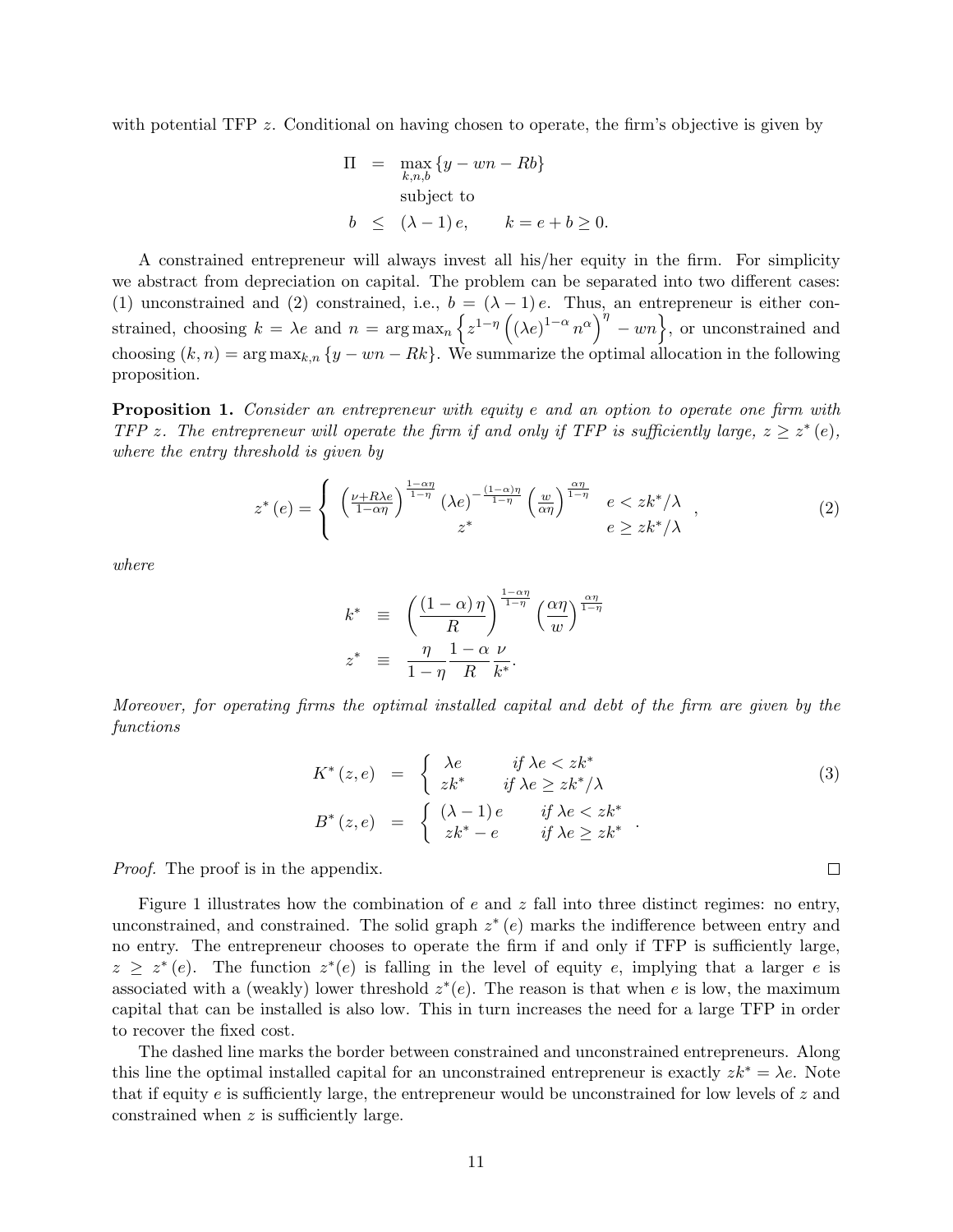with potential TFP z. Conditional on having chosen to operate, the firm's objective is given by

$$
\Pi = \max_{k,n,b} \{y - wn - Rb\}
$$
  
subject to  

$$
b \le (\lambda - 1)e, \qquad k = e + b \ge 0.
$$

A constrained entrepreneur will always invest all his/her equity in the firm. For simplicity we abstract from depreciation on capital. The problem can be separated into two different cases: (1) unconstrained and (2) constrained, i.e.,  $b = (\lambda - 1)e$ . Thus, an entrepreneur is either constrained, choosing  $k = \lambda e$  and  $n = \arg \max_{n} \left\{ z^{1-\eta} \left( (\lambda e)^{1-\alpha} n^{\alpha} \right)^{\eta} - w n \right\}$ , or unconstrained and choosing  $(k, n) = \arg \max_{k,n} \{y - w_n - Rk\}.$  We summarize the optimal allocation in the following proposition.

**Proposition 1.** Consider an entrepreneur with equity e and an option to operate one firm with TFP z. The entrepreneur will operate the firm if and only if TFP is sufficiently large,  $z \geq z^*(e)$ , where the entry threshold is given by

$$
z^*(e) = \begin{cases} \left(\frac{\nu + R\lambda e}{1 - \alpha \eta}\right)^{\frac{1 - \alpha \eta}{1 - \eta}} (\lambda e)^{-\frac{(1 - \alpha)\eta}{1 - \eta}} \left(\frac{w}{\alpha \eta}\right)^{\frac{\alpha \eta}{1 - \eta}} & e < zk^*/\lambda \\ z^* & e \geq zk^*/\lambda \end{cases}, \tag{2}
$$

where

$$
k^* \equiv \left(\frac{(1-\alpha)\,\eta}{R}\right)^{\frac{1-\alpha\eta}{1-\eta}} \left(\frac{\alpha\eta}{w}\right)^{\frac{\alpha\eta}{1-\eta}}
$$
  

$$
z^* \equiv \frac{\eta}{1-\eta} \frac{1-\alpha}{R} \frac{\nu}{k^*}.
$$

Moreover, for operating firms the optimal installed capital and debt of the firm are given by the functions

$$
K^*(z, e) = \begin{cases} \lambda e & \text{if } \lambda e < z k^* \\ z k^* & \text{if } \lambda e \ge z k^* / \lambda \end{cases} \tag{3}
$$
\n
$$
B^*(z, e) = \begin{cases} (\lambda - 1) e & \text{if } \lambda e < z k^* \\ z k^* - e & \text{if } \lambda e \ge z k^* \end{cases}.
$$

*Proof.* The proof is in the appendix.

Figure 1 illustrates how the combination of  $e$  and  $z$  fall into three distinct regimes: no entry, unconstrained, and constrained. The solid graph  $z^*(e)$  marks the indifference between entry and no entry. The entrepreneur chooses to operate the firm if and only if TFP is sufficiently large,  $z \geq z^*(e)$ . The function  $z^*(e)$  is falling in the level of equity e, implying that a larger e is associated with a (weakly) lower threshold  $z^*(e)$ . The reason is that when e is low, the maximum capital that can be installed is also low. This in turn increases the need for a large TFP in order to recover the fixed cost.

The dashed line marks the border between constrained and unconstrained entrepreneurs. Along this line the optimal installed capital for an unconstrained entrepreneur is exactly  $zk^* = \lambda e$ . Note that if equity e is sufficiently large, the entrepreneur would be unconstrained for low levels of  $z$  and constrained when z is sufficiently large.

 $\Box$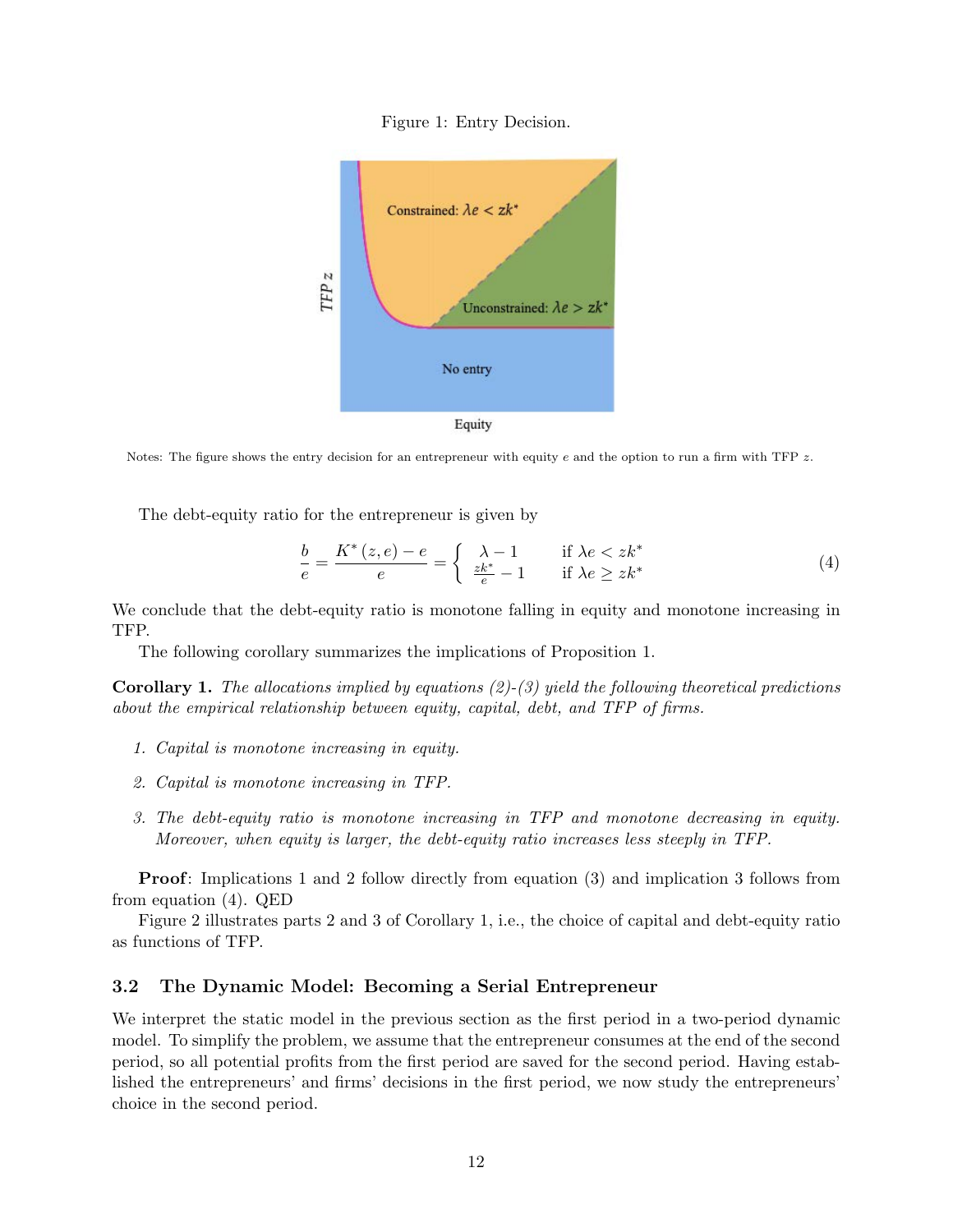



Notes: The figure shows the entry decision for an entrepreneur with equity e and the option to run a firm with TFP  $z$ .

The debt-equity ratio for the entrepreneur is given by

$$
\frac{b}{e} = \frac{K^*(z, e) - e}{e} = \begin{cases} \lambda - 1 & \text{if } \lambda e < zk^*\\ \frac{zk^*}{e} - 1 & \text{if } \lambda e \geq zk^* \end{cases} \tag{4}
$$

We conclude that the debt-equity ratio is monotone falling in equity and monotone increasing in TFP.

The following corollary summarizes the implications of Proposition 1.

**Corollary 1.** The allocations implied by equations  $(2)-(3)$  yield the following theoretical predictions about the empirical relationship between equity, capital, debt, and TFP of firms.

- 1. Capital is monotone increasing in equity.
- 2. Capital is monotone increasing in TFP.
- 3. The debt-equity ratio is monotone increasing in TFP and monotone decreasing in equity. Moreover, when equity is larger, the debt-equity ratio increases less steeply in TFP.

Proof: Implications 1 and 2 follow directly from equation (3) and implication 3 follows from from equation (4). QED

Figure 2 illustrates parts 2 and 3 of Corollary 1, i.e., the choice of capital and debt-equity ratio as functions of TFP.

#### 3.2 The Dynamic Model: Becoming a Serial Entrepreneur

We interpret the static model in the previous section as the first period in a two-period dynamic model. To simplify the problem, we assume that the entrepreneur consumes at the end of the second period, so all potential profits from the first period are saved for the second period. Having established the entrepreneurs' and firms' decisions in the first period, we now study the entrepreneurs' choice in the second period.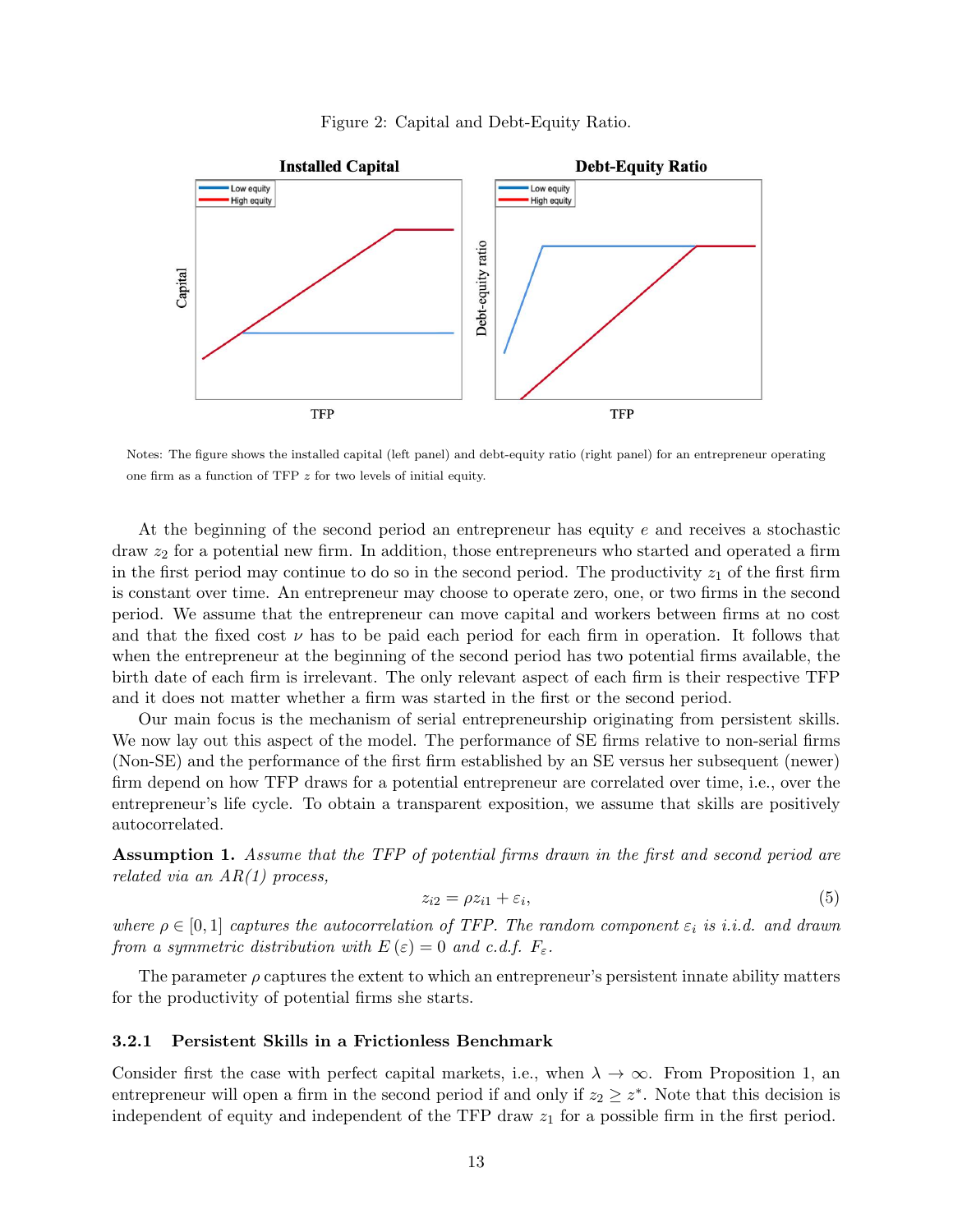



Notes: The figure shows the installed capital (left panel) and debt-equity ratio (right panel) for an entrepreneur operating one firm as a function of TFP z for two levels of initial equity.

At the beginning of the second period an entrepreneur has equity e and receives a stochastic draw  $z<sub>2</sub>$  for a potential new firm. In addition, those entrepreneurs who started and operated a firm in the first period may continue to do so in the second period. The productivity  $z<sub>1</sub>$  of the first firm is constant over time. An entrepreneur may choose to operate zero, one, or two firms in the second period. We assume that the entrepreneur can move capital and workers between firms at no cost and that the fixed cost  $\nu$  has to be paid each period for each firm in operation. It follows that when the entrepreneur at the beginning of the second period has two potential firms available, the birth date of each firm is irrelevant. The only relevant aspect of each firm is their respective TFP and it does not matter whether a firm was started in the first or the second period.

Our main focus is the mechanism of serial entrepreneurship originating from persistent skills. We now lay out this aspect of the model. The performance of SE firms relative to non-serial firms (Non-SE) and the performance of the first firm established by an SE versus her subsequent (newer) firm depend on how TFP draws for a potential entrepreneur are correlated over time, i.e., over the entrepreneur's life cycle. To obtain a transparent exposition, we assume that skills are positively autocorrelated.

Assumption 1. Assume that the TFP of potential firms drawn in the first and second period are related via an  $AR(1)$  process,

$$
z_{i2} = \rho z_{i1} + \varepsilon_i,\tag{5}
$$

where  $\rho \in [0,1]$  captures the autocorrelation of TFP. The random component  $\varepsilon_i$  is i.i.d. and drawn from a symmetric distribution with  $E(\varepsilon) = 0$  and c.d.f.  $F_{\varepsilon}$ .

The parameter  $\rho$  captures the extent to which an entrepreneur's persistent innate ability matters for the productivity of potential firms she starts.

#### 3.2.1 Persistent Skills in a Frictionless Benchmark

Consider first the case with perfect capital markets, i.e., when  $\lambda \to \infty$ . From Proposition 1, an entrepreneur will open a firm in the second period if and only if  $z_2 \geq z^*$ . Note that this decision is independent of equity and independent of the TFP draw  $z<sub>1</sub>$  for a possible firm in the first period.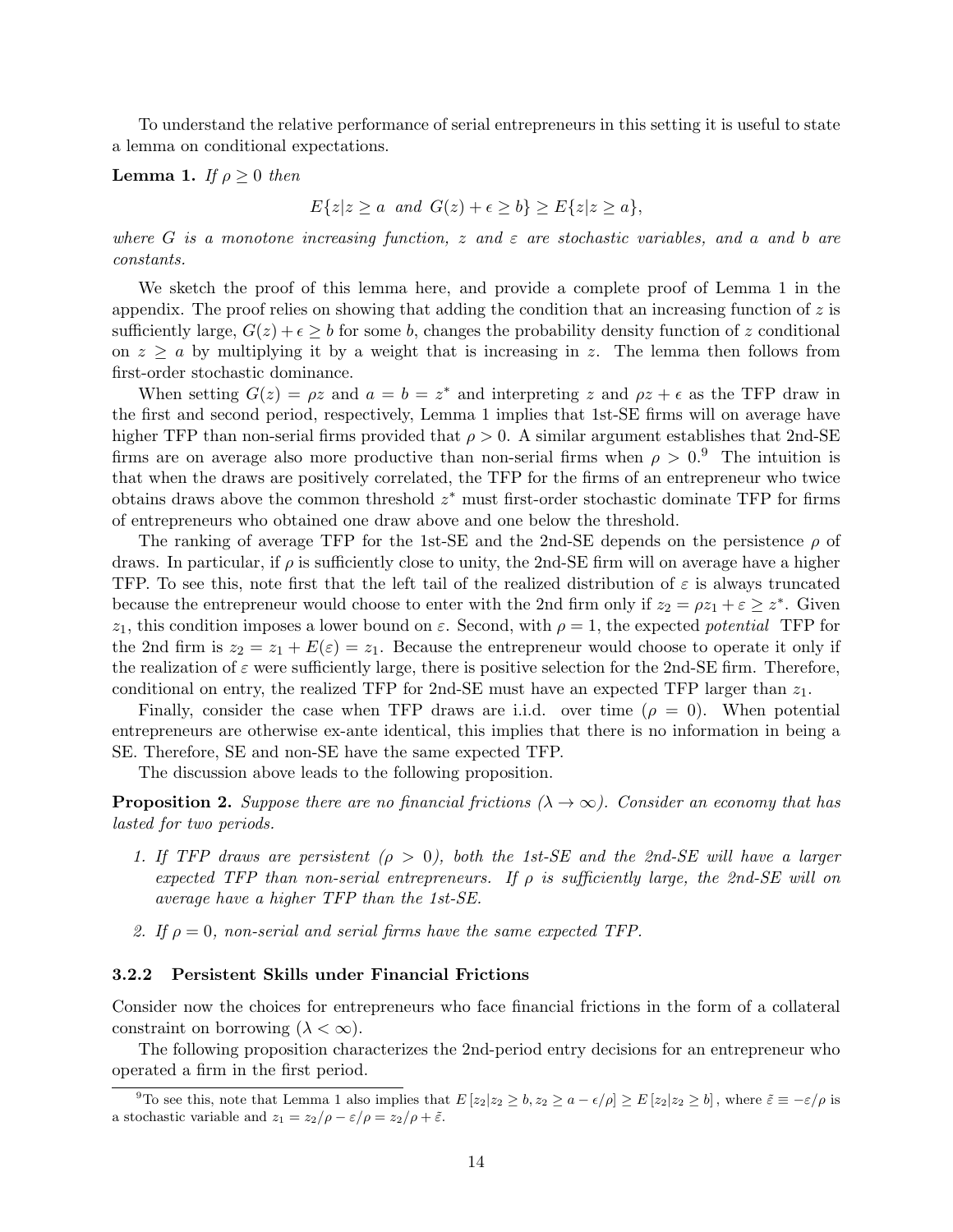To understand the relative performance of serial entrepreneurs in this setting it is useful to state a lemma on conditional expectations.

#### **Lemma 1.** If  $\rho \geq 0$  then

$$
E\{z|z \ge a \text{ and } G(z) + \epsilon \ge b\} \ge E\{z|z \ge a\},
$$

where G is a monotone increasing function, z and  $\varepsilon$  are stochastic variables, and a and b are constants.

We sketch the proof of this lemma here, and provide a complete proof of Lemma 1 in the appendix. The proof relies on showing that adding the condition that an increasing function of  $z$  is sufficiently large,  $G(z) + \epsilon \geq b$  for some b, changes the probability density function of z conditional on  $z \ge a$  by multiplying it by a weight that is increasing in z. The lemma then follows from first-order stochastic dominance.

When setting  $G(z) = \rho z$  and  $a = b = z^*$  and interpreting z and  $\rho z + \epsilon$  as the TFP draw in the first and second period, respectively, Lemma 1 implies that 1st-SE firms will on average have higher TFP than non-serial firms provided that  $\rho > 0$ . A similar argument establishes that 2nd-SE firms are on average also more productive than non-serial firms when  $\rho > 0.9$  The intuition is that when the draws are positively correlated, the TFP for the firms of an entrepreneur who twice obtains draws above the common threshold  $z^*$  must first-order stochastic dominate TFP for firms of entrepreneurs who obtained one draw above and one below the threshold.

The ranking of average TFP for the 1st-SE and the 2nd-SE depends on the persistence  $\rho$  of draws. In particular, if  $\rho$  is sufficiently close to unity, the 2nd-SE firm will on average have a higher TFP. To see this, note first that the left tail of the realized distribution of  $\varepsilon$  is always truncated because the entrepreneur would choose to enter with the 2nd firm only if  $z_2 = \rho z_1 + \varepsilon \geq z^*$ . Given  $z_1$ , this condition imposes a lower bound on  $\varepsilon$ . Second, with  $\rho = 1$ , the expected potential TFP for the 2nd firm is  $z_2 = z_1 + E(\varepsilon) = z_1$ . Because the entrepreneur would choose to operate it only if the realization of  $\varepsilon$  were sufficiently large, there is positive selection for the 2nd-SE firm. Therefore, conditional on entry, the realized TFP for 2nd-SE must have an expected TFP larger than  $z_1$ .

Finally, consider the case when TFP draws are i.i.d. over time  $(\rho = 0)$ . When potential entrepreneurs are otherwise ex-ante identical, this implies that there is no information in being a SE. Therefore, SE and non-SE have the same expected TFP.

The discussion above leads to the following proposition.

**Proposition 2.** Suppose there are no financial frictions ( $\lambda \to \infty$ ). Consider an economy that has lasted for two periods.

- 1. If TFP draws are persistent ( $\rho > 0$ ), both the 1st-SE and the 2nd-SE will have a larger expected TFP than non-serial entrepreneurs. If  $\rho$  is sufficiently large, the 2nd-SE will on average have a higher TFP than the 1st-SE.
- 2. If  $\rho = 0$ , non-serial and serial firms have the same expected TFP.

#### 3.2.2 Persistent Skills under Financial Frictions

Consider now the choices for entrepreneurs who face financial frictions in the form of a collateral constraint on borrowing  $(\lambda < \infty)$ .

The following proposition characterizes the 2nd-period entry decisions for an entrepreneur who operated a firm in the first period.

<sup>&</sup>lt;sup>9</sup>To see this, note that Lemma 1 also implies that  $E[z_2|z_2 \geq b, z_2 \geq a - \epsilon/\rho] \geq E[z_2|z_2 \geq b]$ , where  $\tilde{\varepsilon} \equiv -\varepsilon/\rho$  is a stochastic variable and  $z_1 = z_2/\rho - \varepsilon/\rho = z_2/\rho + \tilde{\varepsilon}$ .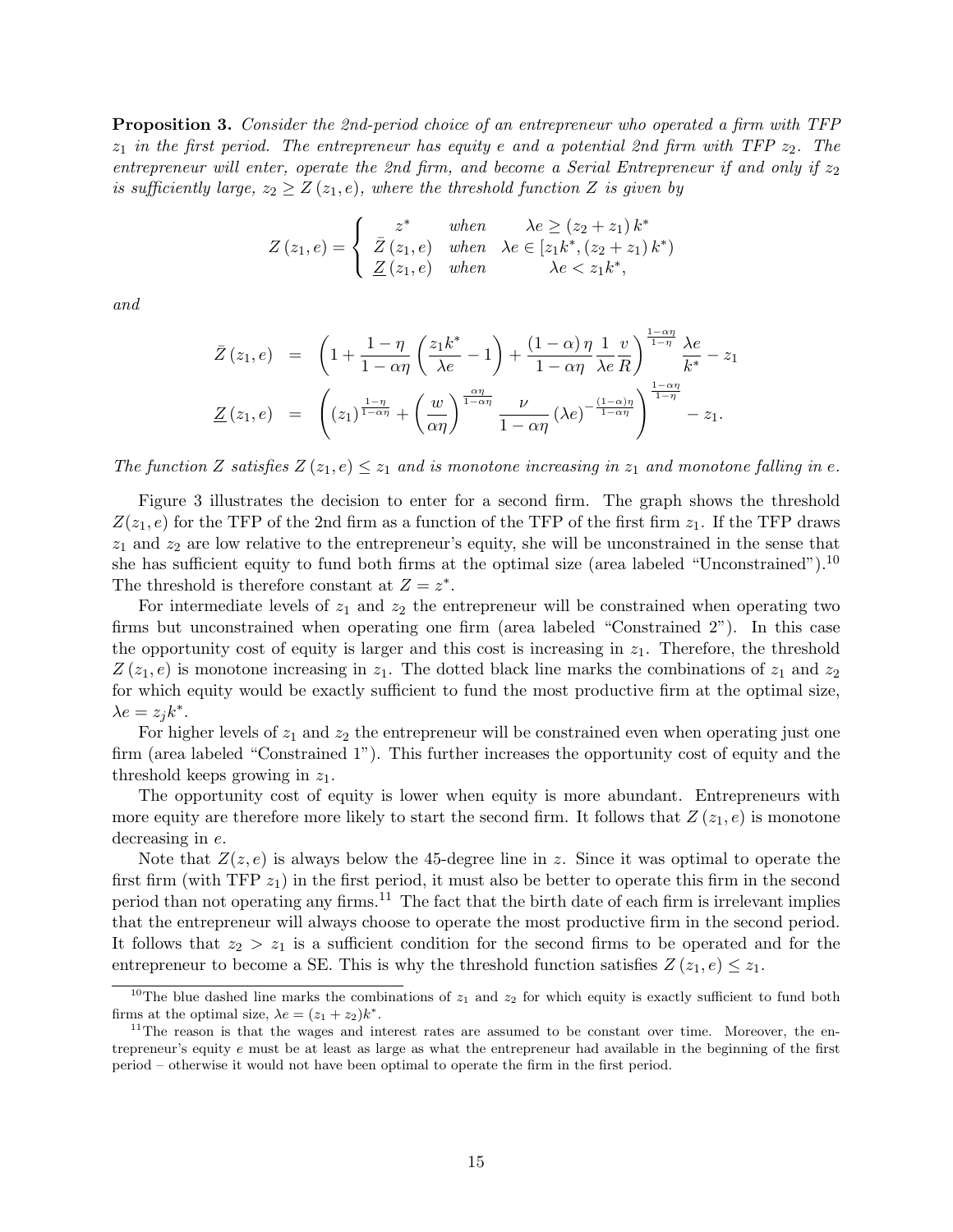Proposition 3. Consider the 2nd-period choice of an entrepreneur who operated a firm with TFP  $z_1$  in the first period. The entrepreneur has equity e and a potential 2nd firm with TFP  $z_2$ . The entrepreneur will enter, operate the 2nd firm, and become a Serial Entrepreneur if and only if  $z_2$ is sufficiently large,  $z_2 \geq Z(z_1, e)$ , where the threshold function Z is given by

$$
Z(z_1, e) = \begin{cases} z^* & when & \lambda e \ge (z_2 + z_1) k^* \\ \bar{Z}(z_1, e) & when & \lambda e \in [z_1 k^*, (z_2 + z_1) k^*) \\ \underline{Z}(z_1, e) & when & \lambda e < z_1 k^*, \end{cases}
$$

and

$$
\bar{Z}(z_1, e) = \left(1 + \frac{1 - \eta}{1 - \alpha \eta} \left(\frac{z_1 k^*}{\lambda e} - 1\right) + \frac{(1 - \alpha) \eta}{1 - \alpha \eta} \frac{1}{\lambda e} \frac{v}{R}\right)^{\frac{1 - \alpha \eta}{1 - \eta}} \frac{\lambda e}{k^*} - z_1
$$
  

$$
\underline{Z}(z_1, e) = \left((z_1)^{\frac{1 - \eta}{1 - \alpha \eta}} + \left(\frac{w}{\alpha \eta}\right)^{\frac{\alpha \eta}{1 - \alpha \eta}} \frac{\nu}{1 - \alpha \eta} (\lambda e)^{-\frac{(1 - \alpha) \eta}{1 - \alpha \eta}}\right)^{\frac{1 - \alpha \eta}{1 - \eta}} - z_1.
$$

The function Z satisfies  $Z(z_1, e) \leq z_1$  and is monotone increasing in  $z_1$  and monotone falling in e.

Figure 3 illustrates the decision to enter for a second firm. The graph shows the threshold  $Z(z_1, e)$  for the TFP of the 2nd firm as a function of the TFP of the first firm  $z_1$ . If the TFP draws  $z_1$  and  $z_2$  are low relative to the entrepreneur's equity, she will be unconstrained in the sense that she has sufficient equity to fund both firms at the optimal size (area labeled "Unconstrained").<sup>10</sup> The threshold is therefore constant at  $Z = z^*$ .

For intermediate levels of  $z_1$  and  $z_2$  the entrepreneur will be constrained when operating two firms but unconstrained when operating one firm (area labeled "Constrained 2"). In this case the opportunity cost of equity is larger and this cost is increasing in  $z<sub>1</sub>$ . Therefore, the threshold  $Z(z_1, e)$  is monotone increasing in  $z_1$ . The dotted black line marks the combinations of  $z_1$  and  $z_2$ for which equity would be exactly sufficient to fund the most productive firm at the optimal size,  $\lambda e = z_j k^*$ .

For higher levels of  $z_1$  and  $z_2$  the entrepreneur will be constrained even when operating just one firm (area labeled "Constrained 1"). This further increases the opportunity cost of equity and the threshold keeps growing in  $z_1$ .

The opportunity cost of equity is lower when equity is more abundant. Entrepreneurs with more equity are therefore more likely to start the second firm. It follows that  $Z(z_1, e)$  is monotone decreasing in e.

Note that  $Z(z, e)$  is always below the 45-degree line in z. Since it was optimal to operate the first firm (with TFP  $z_1$ ) in the first period, it must also be better to operate this firm in the second period than not operating any firms.<sup>11</sup> The fact that the birth date of each firm is irrelevant implies that the entrepreneur will always choose to operate the most productive firm in the second period. It follows that  $z_2 > z_1$  is a sufficient condition for the second firms to be operated and for the entrepreneur to become a SE. This is why the threshold function satisfies  $Z(z_1, e) \leq z_1$ .

<sup>&</sup>lt;sup>10</sup>The blue dashed line marks the combinations of  $z_1$  and  $z_2$  for which equity is exactly sufficient to fund both firms at the optimal size,  $\lambda e = (z_1 + z_2)k^*$ .

 $11$ The reason is that the wages and interest rates are assumed to be constant over time. Moreover, the entrepreneur's equity e must be at least as large as what the entrepreneur had available in the beginning of the first period – otherwise it would not have been optimal to operate the firm in the first period.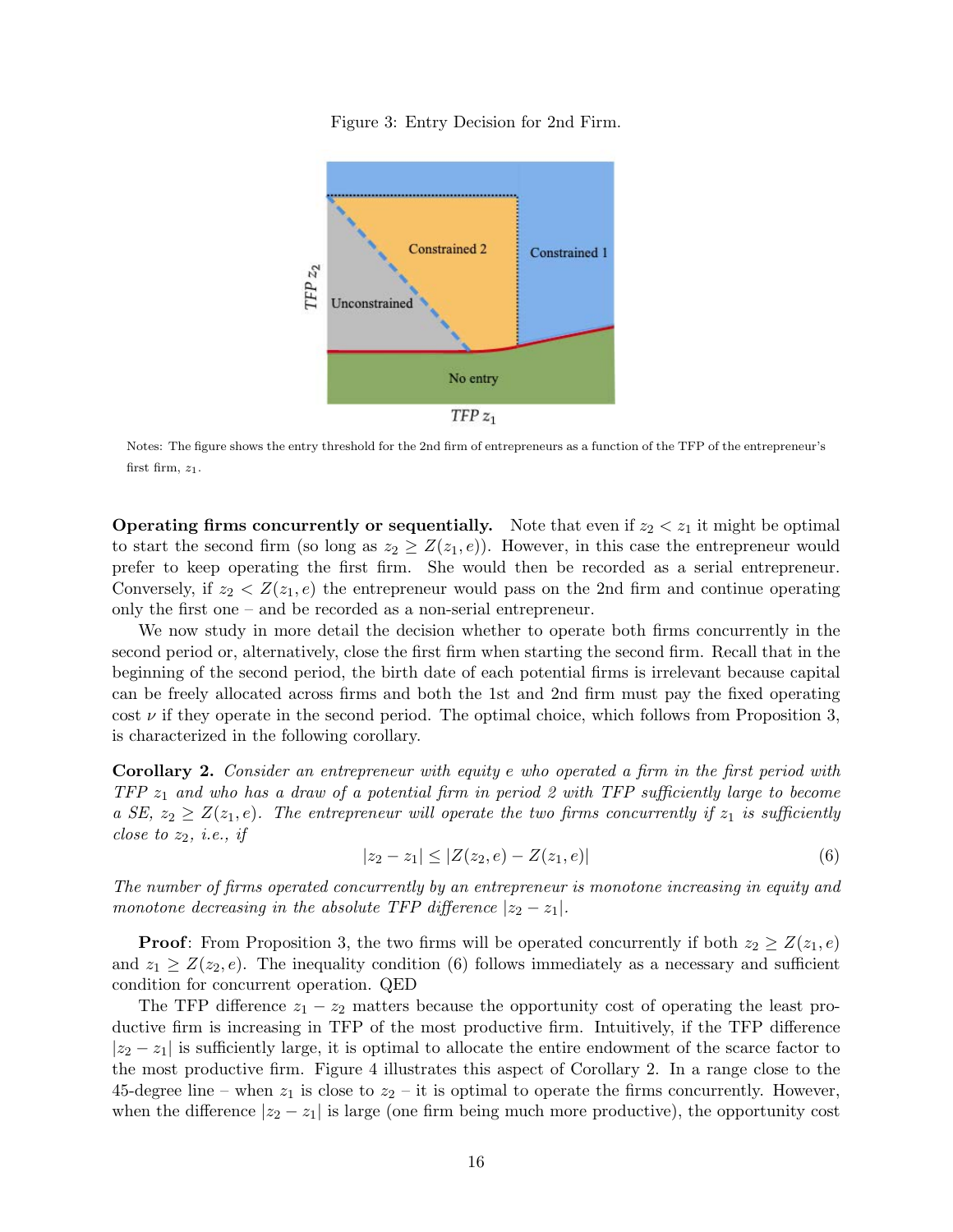Figure 3: Entry Decision for 2nd Firm.



Notes: The figure shows the entry threshold for the 2nd firm of entrepreneurs as a function of the TFP of the entrepreneur's first firm,  $z_1$ .

**Operating firms concurrently or sequentially.** Note that even if  $z_2 < z_1$  it might be optimal to start the second firm (so long as  $z_2 \geq Z(z_1, e)$ ). However, in this case the entrepreneur would prefer to keep operating the first firm. She would then be recorded as a serial entrepreneur. Conversely, if  $z_2 < Z(z_1, e)$  the entrepreneur would pass on the 2nd firm and continue operating only the first one – and be recorded as a non-serial entrepreneur.

We now study in more detail the decision whether to operate both firms concurrently in the second period or, alternatively, close the first firm when starting the second firm. Recall that in the beginning of the second period, the birth date of each potential firms is irrelevant because capital can be freely allocated across firms and both the 1st and 2nd firm must pay the fixed operating cost  $\nu$  if they operate in the second period. The optimal choice, which follows from Proposition 3, is characterized in the following corollary.

Corollary 2. Consider an entrepreneur with equity e who operated a firm in the first period with  $TFP z<sub>1</sub>$  and who has a draw of a potential firm in period 2 with TFP sufficiently large to become a SE,  $z_2 \geq Z(z_1, e)$ . The entrepreneur will operate the two firms concurrently if  $z_1$  is sufficiently close to  $z_2$ , *i.e.*, *if* 

$$
|z_2 - z_1| \le |Z(z_2, e) - Z(z_1, e)| \tag{6}
$$

The number of firms operated concurrently by an entrepreneur is monotone increasing in equity and monotone decreasing in the absolute TFP difference  $|z_2 - z_1|$ .

**Proof:** From Proposition 3, the two firms will be operated concurrently if both  $z_2 \geq Z(z_1, e)$ and  $z_1 \geq Z(z_2, e)$ . The inequality condition (6) follows immediately as a necessary and sufficient condition for concurrent operation. QED

The TFP difference  $z_1 - z_2$  matters because the opportunity cost of operating the least productive firm is increasing in TFP of the most productive firm. Intuitively, if the TFP difference  $|z_2 - z_1|$  is sufficiently large, it is optimal to allocate the entire endowment of the scarce factor to the most productive firm. Figure 4 illustrates this aspect of Corollary 2. In a range close to the 45-degree line – when  $z_1$  is close to  $z_2$  – it is optimal to operate the firms concurrently. However, when the difference  $|z_2 - z_1|$  is large (one firm being much more productive), the opportunity cost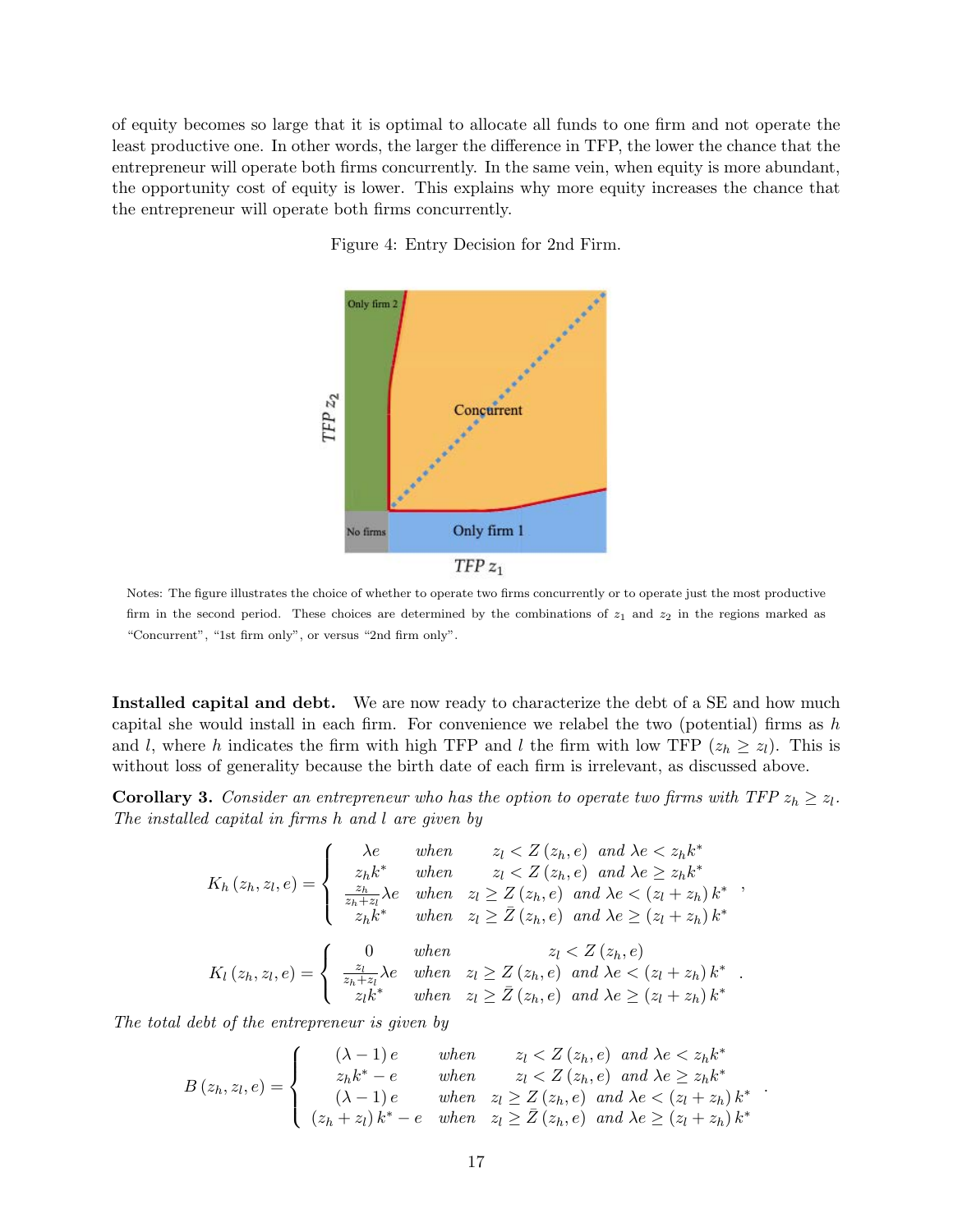of equity becomes so large that it is optimal to allocate all funds to one firm and not operate the least productive one. In other words, the larger the difference in TFP, the lower the chance that the entrepreneur will operate both firms concurrently. In the same vein, when equity is more abundant, the opportunity cost of equity is lower. This explains why more equity increases the chance that the entrepreneur will operate both firms concurrently.

Figure 4: Entry Decision for 2nd Firm.



Notes: The figure illustrates the choice of whether to operate two firms concurrently or to operate just the most productive firm in the second period. These choices are determined by the combinations of  $z_1$  and  $z_2$  in the regions marked as "Concurrent", "1st firm only", or versus "2nd firm only".

Installed capital and debt. We are now ready to characterize the debt of a SE and how much capital she would install in each firm. For convenience we relabel the two (potential) firms as  $h$ and l, where h indicates the firm with high TFP and l the firm with low TFP  $(z_h \geq z_l)$ . This is without loss of generality because the birth date of each firm is irrelevant, as discussed above.

**Corollary 3.** Consider an entrepreneur who has the option to operate two firms with TFP  $z_h \geq z_l$ . The installed capital in firms h and l are given by

$$
K_{h}(z_{h}, z_{l}, e) = \begin{cases} \n\lambda e & \text{when } z_{l} < Z\left(z_{h}, e\right) \text{ and } \lambda e < z_{h} k^{*} \\ \nz_{h} k^{*} & \text{when } z_{l} < Z\left(z_{h}, e\right) \text{ and } \lambda e \geq z_{h} k^{*} \\ \n\frac{z_{h}}{z_{h} + z_{l}} \lambda e & \text{when } z_{l} \geq Z\left(z_{h}, e\right) \text{ and } \lambda e < \left(z_{l} + z_{h}\right) k^{*} \\ \nz_{h} k^{*} & \text{when } z_{l} \geq \overline{Z}\left(z_{h}, e\right) \text{ and } \lambda e \geq \left(z_{l} + z_{h}\right) k^{*} \n\end{cases},
$$
\n
$$
K_{l}(z_{h}, z_{l}, e) = \begin{cases} \n0 & \text{when } z_{l} \geq Z\left(z_{h}, e\right) \text{ and } \lambda e \leq \left(z_{l} + z_{h}\right) k^{*} \\ \n\frac{z_{l}}{z_{h} + z_{l}} \lambda e & \text{when } z_{l} \geq Z\left(z_{h}, e\right) \text{ and } \lambda e \leq \left(z_{l} + z_{h}\right) k^{*} \\ \nz_{l} k^{*} & \text{when } z_{l} \geq \overline{Z}\left(z_{h}, e\right) \text{ and } \lambda e \geq \left(z_{l} + z_{h}\right) k^{*} \n\end{cases}.
$$

The total debt of the entrepreneur is given by

$$
B(z_h, z_l, e) = \begin{cases} (\lambda - 1)e & when & z_l < Z(z_h, e) \text{ and } \lambda e < z_h k^* \\ z_h k^* - e & when & z_l < Z(z_h, e) \text{ and } \lambda e \ge z_h k^* \\ (\lambda - 1)e & when & z_l \ge Z(z_h, e) \text{ and } \lambda e < (z_l + z_h) k^* \\ (z_h + z_l) k^* - e & when & z_l \ge \overline{Z}(z_h, e) \text{ and } \lambda e \ge (z_l + z_h) k^* \end{cases}.
$$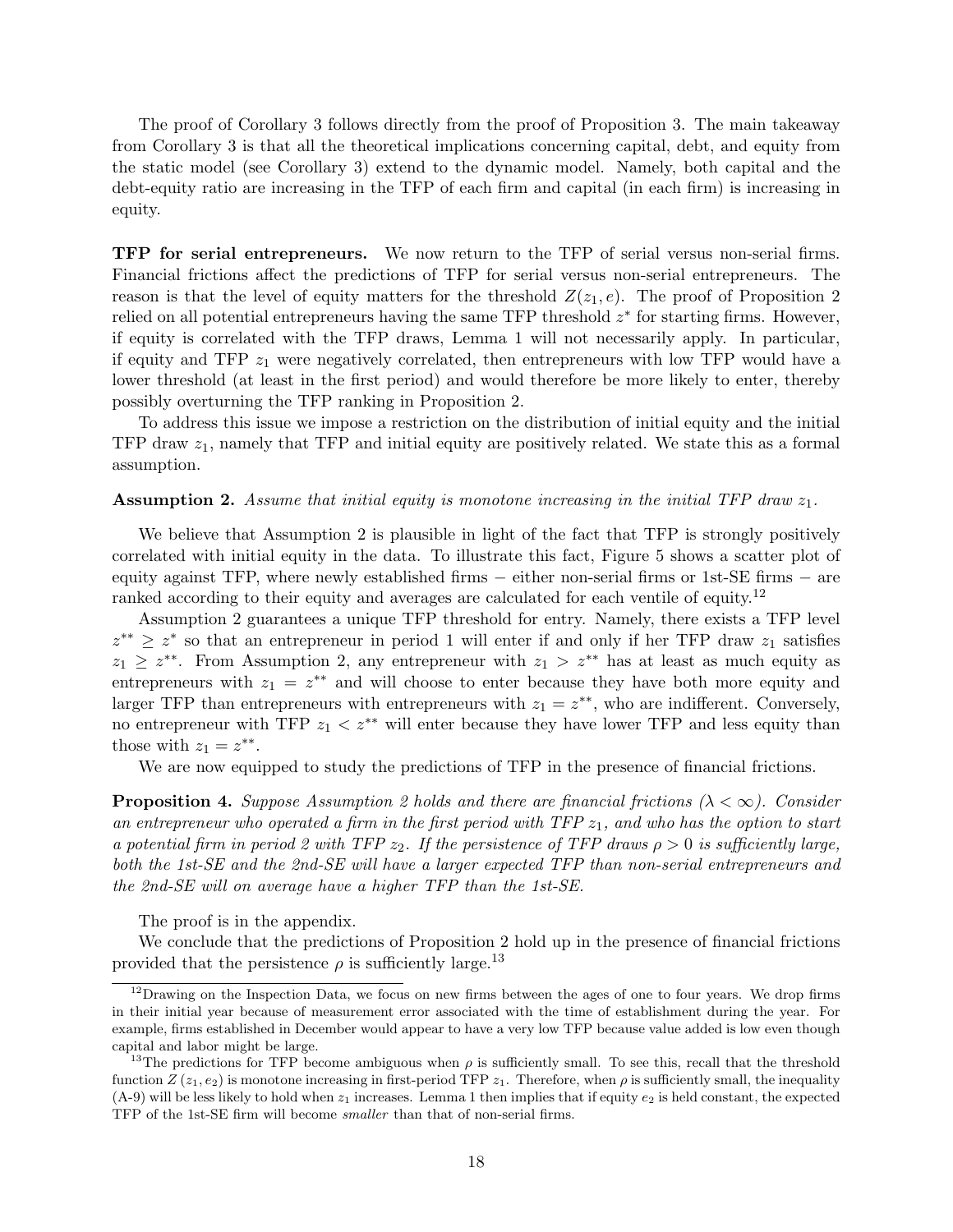The proof of Corollary 3 follows directly from the proof of Proposition 3. The main takeaway from Corollary 3 is that all the theoretical implications concerning capital, debt, and equity from the static model (see Corollary 3) extend to the dynamic model. Namely, both capital and the debt-equity ratio are increasing in the TFP of each firm and capital (in each firm) is increasing in equity.

**TFP** for serial entrepreneurs. We now return to the TFP of serial versus non-serial firms. Financial frictions affect the predictions of TFP for serial versus non-serial entrepreneurs. The reason is that the level of equity matters for the threshold  $Z(z_1, e)$ . The proof of Proposition 2 relied on all potential entrepreneurs having the same TFP threshold  $z^*$  for starting firms. However, if equity is correlated with the TFP draws, Lemma 1 will not necessarily apply. In particular, if equity and TFP  $z_1$  were negatively correlated, then entrepreneurs with low TFP would have a lower threshold (at least in the first period) and would therefore be more likely to enter, thereby possibly overturning the TFP ranking in Proposition 2.

To address this issue we impose a restriction on the distribution of initial equity and the initial TFP draw  $z_1$ , namely that TFP and initial equity are positively related. We state this as a formal assumption.

#### **Assumption 2.** Assume that initial equity is monotone increasing in the initial TFP draw  $z_1$ .

We believe that Assumption 2 is plausible in light of the fact that TFP is strongly positively correlated with initial equity in the data. To illustrate this fact, Figure 5 shows a scatter plot of equity against TFP, where newly established firms – either non-serial firms or 1st-SE firms – are ranked according to their equity and averages are calculated for each ventile of equity.<sup>12</sup>

Assumption 2 guarantees a unique TFP threshold for entry. Namely, there exists a TFP level  $z^{**} \geq z^*$  so that an entrepreneur in period 1 will enter if and only if her TFP draw  $z_1$  satisfies  $z_1 \geq z^{**}$ . From Assumption 2, any entrepreneur with  $z_1 > z^{**}$  has at least as much equity as entrepreneurs with  $z_1 = z^{**}$  and will choose to enter because they have both more equity and larger TFP than entrepreneurs with entrepreneurs with  $z_1 = z^{**}$ , who are indifferent. Conversely, no entrepreneur with TFP  $z_1 < z^{**}$  will enter because they have lower TFP and less equity than those with  $z_1 = z^{**}$ .

We are now equipped to study the predictions of TFP in the presence of financial frictions.

**Proposition 4.** Suppose Assumption 2 holds and there are financial frictions ( $\lambda < \infty$ ). Consider an entrepreneur who operated a firm in the first period with  $TFP z<sub>1</sub>$ , and who has the option to start a potential firm in period 2 with TFP  $z_2$ . If the persistence of TFP draws  $\rho > 0$  is sufficiently large, both the 1st-SE and the 2nd-SE will have a larger expected TFP than non-serial entrepreneurs and the 2nd-SE will on average have a higher TFP than the 1st-SE.

The proof is in the appendix.

We conclude that the predictions of Proposition 2 hold up in the presence of financial frictions provided that the persistence  $\rho$  is sufficiently large.<sup>13</sup>

 $12$ Drawing on the Inspection Data, we focus on new firms between the ages of one to four years. We drop firms in their initial year because of measurement error associated with the time of establishment during the year. For example, firms established in December would appear to have a very low TFP because value added is low even though capital and labor might be large.

<sup>&</sup>lt;sup>13</sup>The predictions for TFP become ambiguous when  $\rho$  is sufficiently small. To see this, recall that the threshold function  $Z(z_1, e_2)$  is monotone increasing in first-period TFP  $z_1$ . Therefore, when  $\rho$  is sufficiently small, the inequality  $(A-9)$  will be less likely to hold when  $z_1$  increases. Lemma 1 then implies that if equity  $e_2$  is held constant, the expected TFP of the 1st-SE firm will become smaller than that of non-serial firms.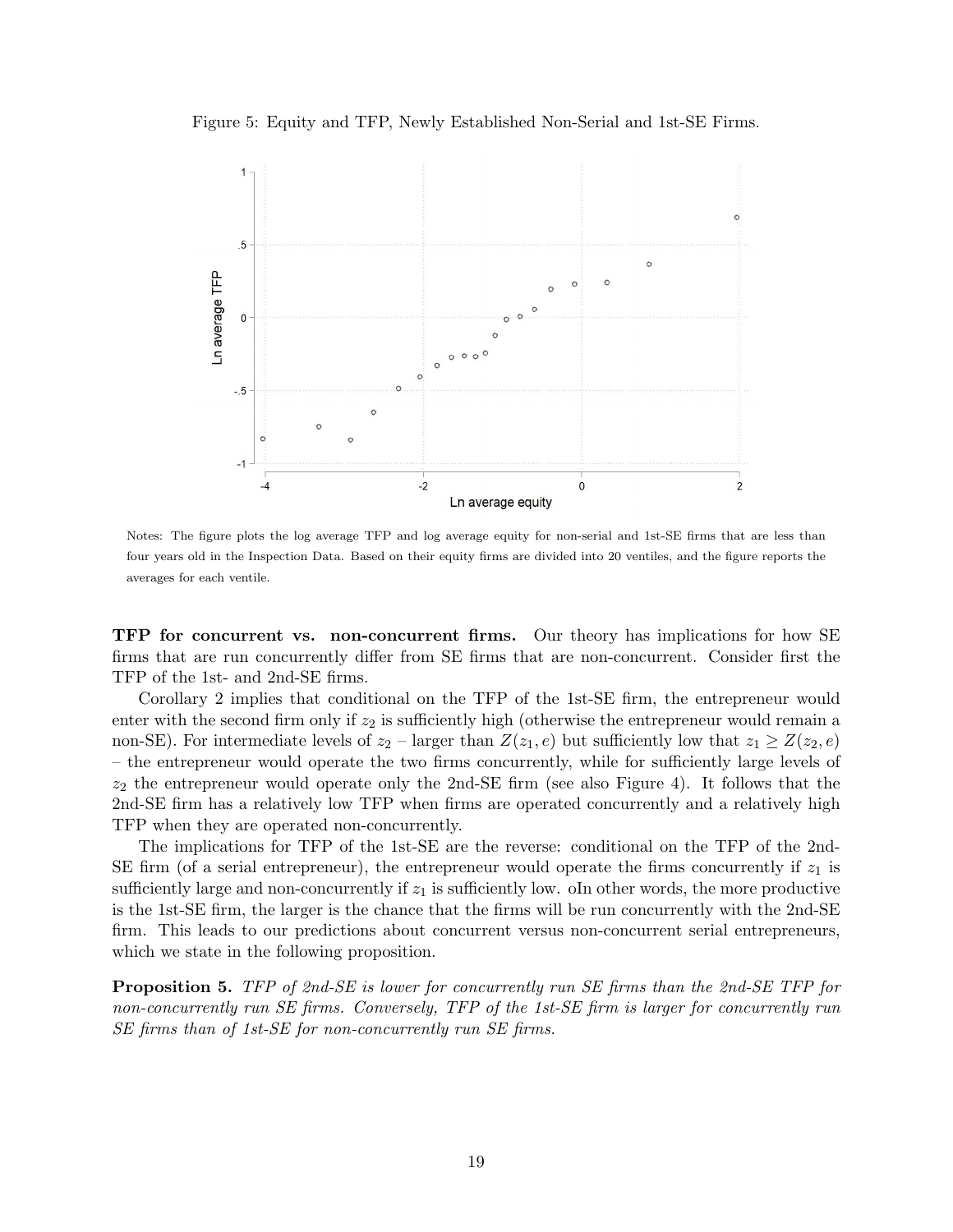



Notes: The figure plots the log average TFP and log average equity for non-serial and 1st-SE firms that are less than four years old in the Inspection Data. Based on their equity firms are divided into 20 ventiles, and the figure reports the averages for each ventile.

TFP for concurrent vs. non-concurrent firms. Our theory has implications for how SE firms that are run concurrently differ from SE firms that are non-concurrent. Consider first the TFP of the 1st- and 2nd-SE firms.

Corollary 2 implies that conditional on the TFP of the 1st-SE firm, the entrepreneur would enter with the second firm only if  $z_2$  is sufficiently high (otherwise the entrepreneur would remain a non-SE). For intermediate levels of  $z_2$  – larger than  $Z(z_1, e)$  but sufficiently low that  $z_1 \geq Z(z_2, e)$ – the entrepreneur would operate the two firms concurrently, while for sufficiently large levels of  $z_2$  the entrepreneur would operate only the 2nd-SE firm (see also Figure 4). It follows that the 2nd-SE firm has a relatively low TFP when firms are operated concurrently and a relatively high TFP when they are operated non-concurrently.

The implications for TFP of the 1st-SE are the reverse: conditional on the TFP of the 2nd-SE firm (of a serial entrepreneur), the entrepreneur would operate the firms concurrently if  $z_1$  is sufficiently large and non-concurrently if  $z<sub>1</sub>$  is sufficiently low. oIn other words, the more productive is the 1st-SE firm, the larger is the chance that the firms will be run concurrently with the 2nd-SE firm. This leads to our predictions about concurrent versus non-concurrent serial entrepreneurs, which we state in the following proposition.

Proposition 5. TFP of 2nd-SE is lower for concurrently run SE firms than the 2nd-SE TFP for non-concurrently run SE firms. Conversely, TFP of the 1st-SE firm is larger for concurrently run SE firms than of 1st-SE for non-concurrently run SE firms.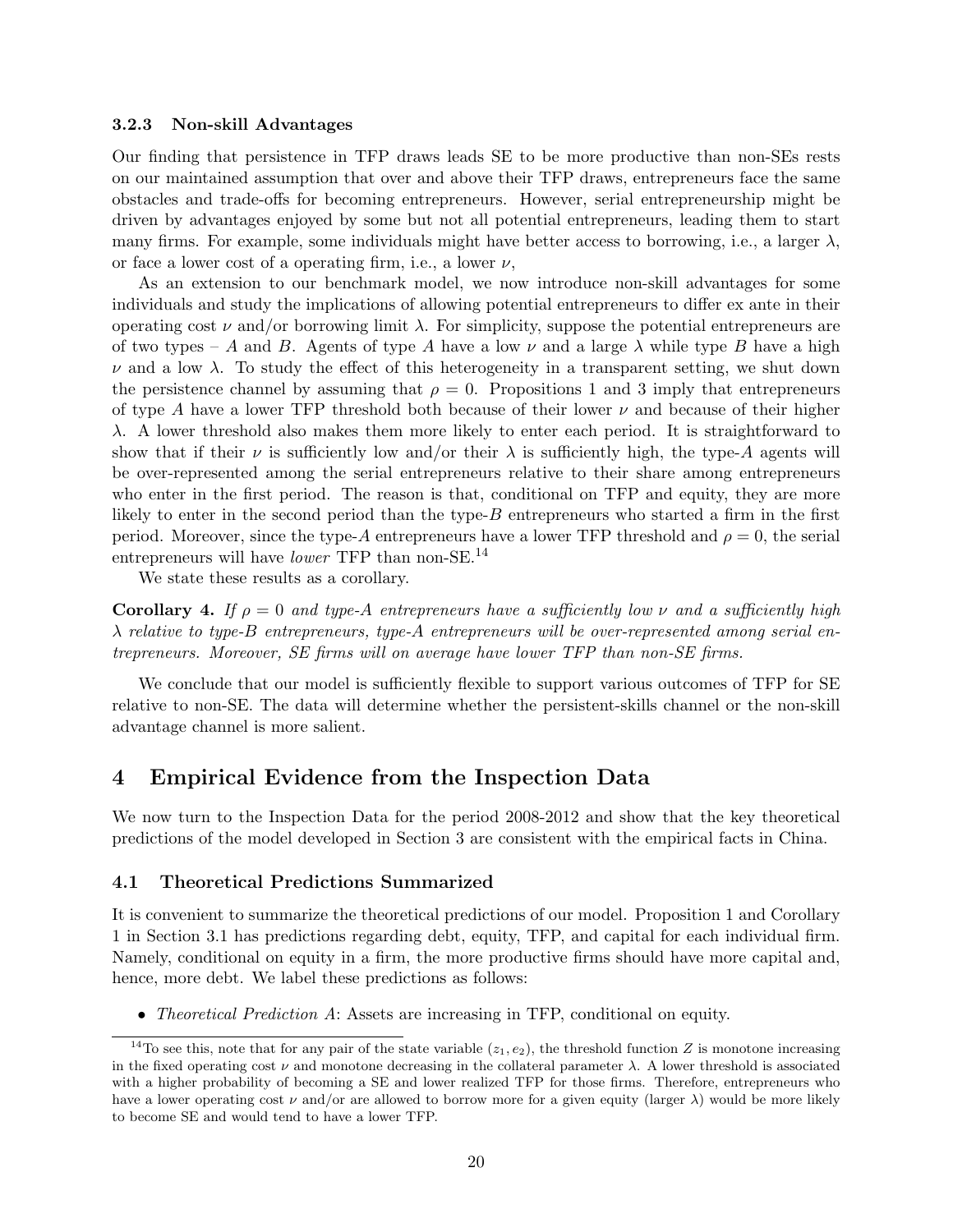#### 3.2.3 Non-skill Advantages

Our finding that persistence in TFP draws leads SE to be more productive than non-SEs rests on our maintained assumption that over and above their TFP draws, entrepreneurs face the same obstacles and trade-offs for becoming entrepreneurs. However, serial entrepreneurship might be driven by advantages enjoyed by some but not all potential entrepreneurs, leading them to start many firms. For example, some individuals might have better access to borrowing, i.e., a larger  $\lambda$ , or face a lower cost of a operating firm, i.e., a lower  $\nu$ ,

As an extension to our benchmark model, we now introduce non-skill advantages for some individuals and study the implications of allowing potential entrepreneurs to differ ex ante in their operating cost  $\nu$  and/or borrowing limit  $\lambda$ . For simplicity, suppose the potential entrepreneurs are of two types – A and B. Agents of type A have a low  $\nu$  and a large  $\lambda$  while type B have a high  $\nu$  and a low  $\lambda$ . To study the effect of this heterogeneity in a transparent setting, we shut down the persistence channel by assuming that  $\rho = 0$ . Propositions 1 and 3 imply that entrepreneurs of type A have a lower TFP threshold both because of their lower  $\nu$  and because of their higher λ. A lower threshold also makes them more likely to enter each period. It is straightforward to show that if their  $\nu$  is sufficiently low and/or their  $\lambda$  is sufficiently high, the type-A agents will be over-represented among the serial entrepreneurs relative to their share among entrepreneurs who enter in the first period. The reason is that, conditional on TFP and equity, they are more likely to enter in the second period than the type-B entrepreneurs who started a firm in the first period. Moreover, since the type-A entrepreneurs have a lower TFP threshold and  $\rho = 0$ , the serial entrepreneurs will have *lower* TFP than non-SE.<sup>14</sup>

We state these results as a corollary.

**Corollary 4.** If  $\rho = 0$  and type-A entrepreneurs have a sufficiently low  $\nu$  and a sufficiently high λ relative to type-B entrepreneurs, type-A entrepreneurs will be over-represented among serial entrepreneurs. Moreover, SE firms will on average have lower TFP than non-SE firms.

We conclude that our model is sufficiently flexible to support various outcomes of TFP for SE relative to non-SE. The data will determine whether the persistent-skills channel or the non-skill advantage channel is more salient.

# 4 Empirical Evidence from the Inspection Data

We now turn to the Inspection Data for the period 2008-2012 and show that the key theoretical predictions of the model developed in Section 3 are consistent with the empirical facts in China.

#### 4.1 Theoretical Predictions Summarized

It is convenient to summarize the theoretical predictions of our model. Proposition 1 and Corollary 1 in Section 3.1 has predictions regarding debt, equity, TFP, and capital for each individual firm. Namely, conditional on equity in a firm, the more productive firms should have more capital and, hence, more debt. We label these predictions as follows:

• *Theoretical Prediction A*: Assets are increasing in TFP, conditional on equity.

<sup>&</sup>lt;sup>14</sup>To see this, note that for any pair of the state variable  $(z_1, e_2)$ , the threshold function Z is monotone increasing in the fixed operating cost  $\nu$  and monotone decreasing in the collateral parameter  $\lambda$ . A lower threshold is associated with a higher probability of becoming a SE and lower realized TFP for those firms. Therefore, entrepreneurs who have a lower operating cost  $\nu$  and/or are allowed to borrow more for a given equity (larger  $\lambda$ ) would be more likely to become SE and would tend to have a lower TFP.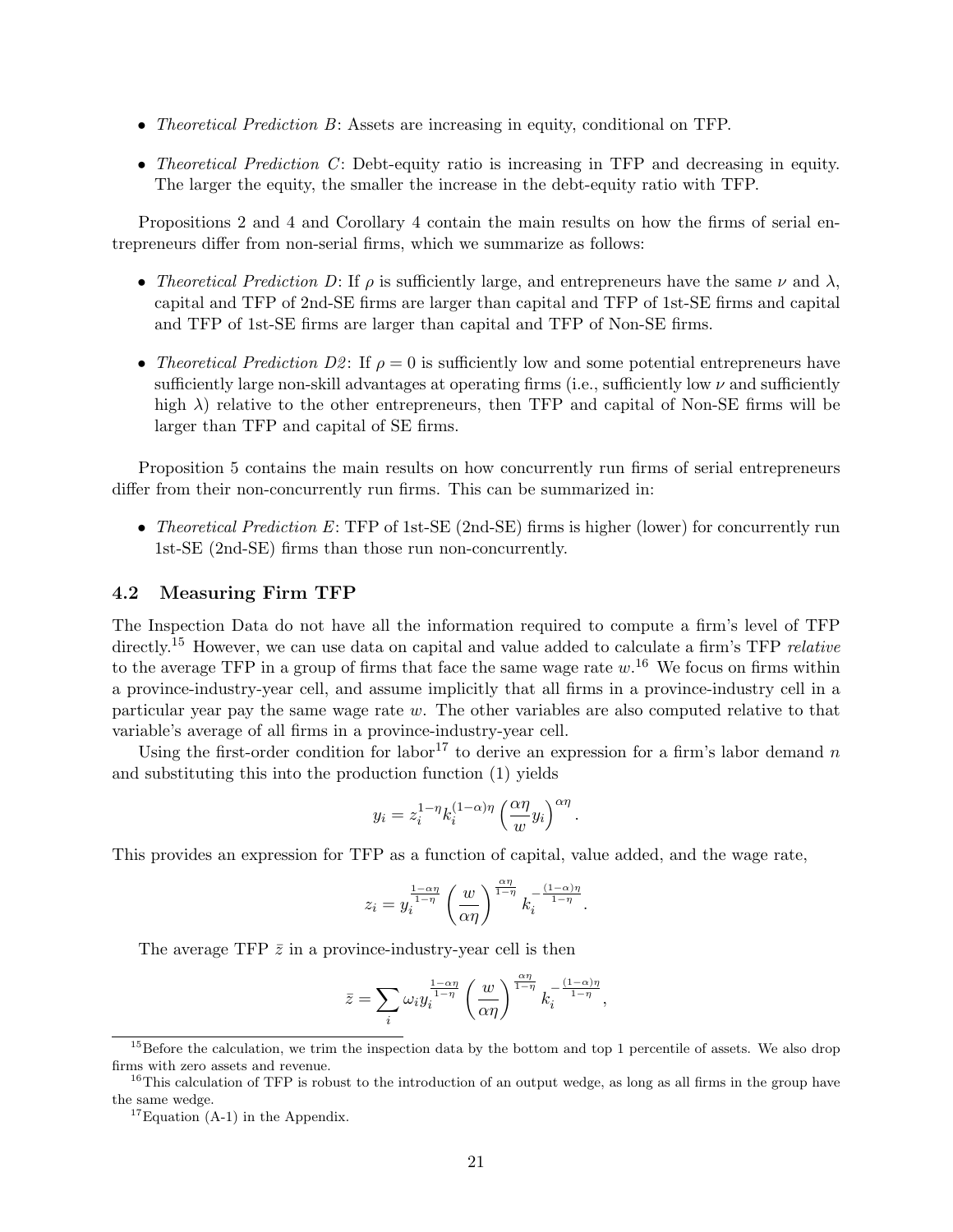- Theoretical Prediction B: Assets are increasing in equity, conditional on TFP.
- Theoretical Prediction  $C$ : Debt-equity ratio is increasing in TFP and decreasing in equity. The larger the equity, the smaller the increase in the debt-equity ratio with TFP.

Propositions 2 and 4 and Corollary 4 contain the main results on how the firms of serial entrepreneurs differ from non-serial firms, which we summarize as follows:

- Theoretical Prediction D: If  $\rho$  is sufficiently large, and entrepreneurs have the same  $\nu$  and  $\lambda$ , capital and TFP of 2nd-SE firms are larger than capital and TFP of 1st-SE firms and capital and TFP of 1st-SE firms are larger than capital and TFP of Non-SE firms.
- Theoretical Prediction D2: If  $\rho = 0$  is sufficiently low and some potential entrepreneurs have sufficiently large non-skill advantages at operating firms (i.e., sufficiently low  $\nu$  and sufficiently high  $\lambda$ ) relative to the other entrepreneurs, then TFP and capital of Non-SE firms will be larger than TFP and capital of SE firms.

Proposition 5 contains the main results on how concurrently run firms of serial entrepreneurs differ from their non-concurrently run firms. This can be summarized in:

• Theoretical Prediction E: TFP of 1st-SE (2nd-SE) firms is higher (lower) for concurrently run 1st-SE (2nd-SE) firms than those run non-concurrently.

#### 4.2 Measuring Firm TFP

The Inspection Data do not have all the information required to compute a firm's level of TFP directly.<sup>15</sup> However, we can use data on capital and value added to calculate a firm's TFP *relative* to the average TFP in a group of firms that face the same wage rate  $w$ .<sup>16</sup> We focus on firms within a province-industry-year cell, and assume implicitly that all firms in a province-industry cell in a particular year pay the same wage rate w. The other variables are also computed relative to that variable's average of all firms in a province-industry-year cell.

Using the first-order condition for labor<sup>17</sup> to derive an expression for a firm's labor demand n and substituting this into the production function (1) yields

$$
y_i = z_i^{1-\eta} k_i^{(1-\alpha)\eta} \left(\frac{\alpha\eta}{w} y_i\right)^{\alpha\eta}
$$

.

This provides an expression for TFP as a function of capital, value added, and the wage rate,

$$
z_i = y_i^{\frac{1-\alpha\eta}{1-\eta}} \left(\frac{w}{\alpha\eta}\right)^{\frac{\alpha\eta}{1-\eta}} k_i^{-\frac{(1-\alpha)\eta}{1-\eta}}.
$$

The average TFP  $\bar{z}$  in a province-industry-year cell is then

$$
\bar{z} = \sum_{i} \omega_i y_i^{\frac{1-\alpha\eta}{1-\eta}} \left(\frac{w}{\alpha\eta}\right)^{\frac{\alpha\eta}{1-\eta}} k_i^{-\frac{(1-\alpha)\eta}{1-\eta}},
$$

<sup>&</sup>lt;sup>15</sup>Before the calculation, we trim the inspection data by the bottom and top 1 percentile of assets. We also drop firms with zero assets and revenue.

 $16$ This calculation of TFP is robust to the introduction of an output wedge, as long as all firms in the group have the same wedge.

 $17$ Equation (A-1) in the Appendix.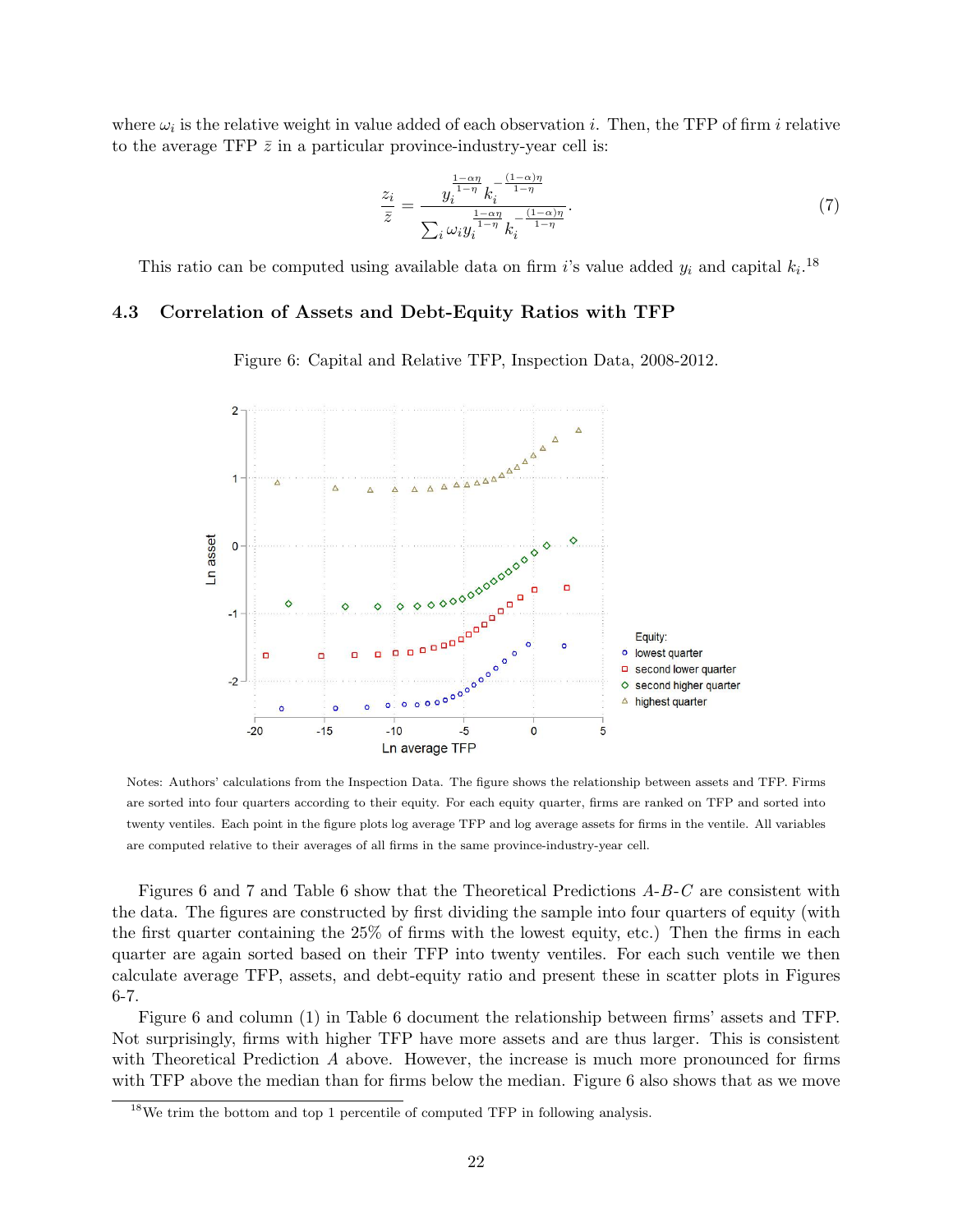where  $\omega_i$  is the relative weight in value added of each observation i. Then, the TFP of firm i relative to the average TFP  $\bar{z}$  in a particular province-industry-year cell is:

$$
\frac{z_i}{\bar{z}} = \frac{y_i^{\frac{1-\alpha\eta}{1-\eta}} k_i^{-\frac{(1-\alpha)\eta}{1-\eta}}}{\sum_i \omega_i y_i^{\frac{1-\alpha\eta}{1-\eta}} k_i^{-\frac{(1-\alpha)\eta}{1-\eta}}}.
$$
\n(7)

This ratio can be computed using available data on firm i's value added  $y_i$  and capital  $k_i$ .<sup>18</sup>

#### 4.3 Correlation of Assets and Debt-Equity Ratios with TFP

Figure 6: Capital and Relative TFP, Inspection Data, 2008-2012.



Notes: Authors' calculations from the Inspection Data. The figure shows the relationship between assets and TFP. Firms are sorted into four quarters according to their equity. For each equity quarter, firms are ranked on TFP and sorted into twenty ventiles. Each point in the figure plots log average TFP and log average assets for firms in the ventile. All variables are computed relative to their averages of all firms in the same province-industry-year cell.

Figures 6 and 7 and Table 6 show that the Theoretical Predictions A-B-C are consistent with the data. The figures are constructed by first dividing the sample into four quarters of equity (with the first quarter containing the 25% of firms with the lowest equity, etc.) Then the firms in each quarter are again sorted based on their TFP into twenty ventiles. For each such ventile we then calculate average TFP, assets, and debt-equity ratio and present these in scatter plots in Figures 6-7.

Figure 6 and column (1) in Table 6 document the relationship between firms' assets and TFP. Not surprisingly, firms with higher TFP have more assets and are thus larger. This is consistent with Theoretical Prediction A above. However, the increase is much more pronounced for firms with TFP above the median than for firms below the median. Figure 6 also shows that as we move

<sup>18</sup>We trim the bottom and top 1 percentile of computed TFP in following analysis.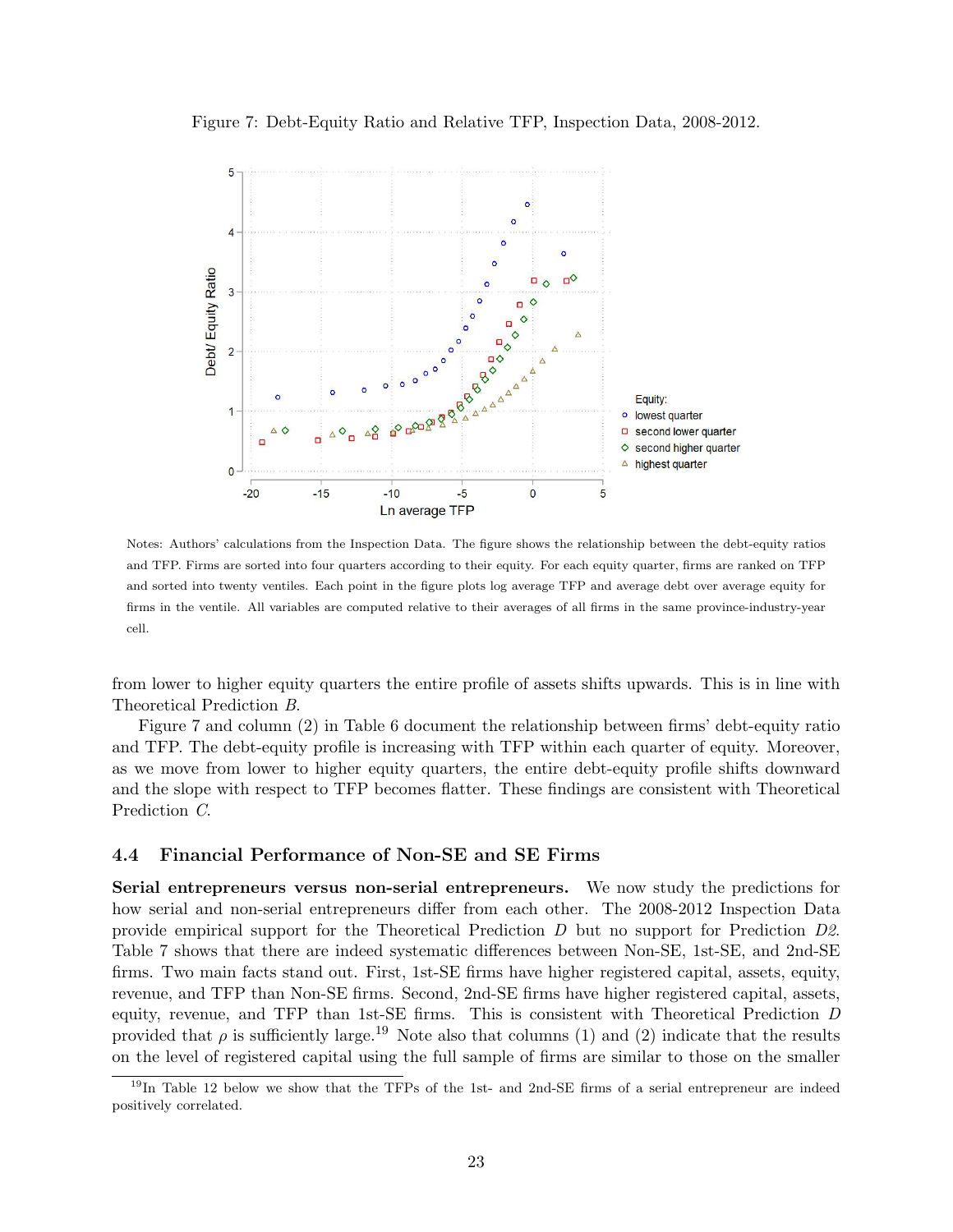Figure 7: Debt-Equity Ratio and Relative TFP, Inspection Data, 2008-2012.



Notes: Authors' calculations from the Inspection Data. The figure shows the relationship between the debt-equity ratios and TFP. Firms are sorted into four quarters according to their equity. For each equity quarter, firms are ranked on TFP and sorted into twenty ventiles. Each point in the figure plots log average TFP and average debt over average equity for firms in the ventile. All variables are computed relative to their averages of all firms in the same province-industry-year cell.

from lower to higher equity quarters the entire profile of assets shifts upwards. This is in line with Theoretical Prediction B.

Figure 7 and column (2) in Table 6 document the relationship between firms' debt-equity ratio and TFP. The debt-equity profile is increasing with TFP within each quarter of equity. Moreover, as we move from lower to higher equity quarters, the entire debt-equity profile shifts downward and the slope with respect to TFP becomes flatter. These findings are consistent with Theoretical Prediction C.

#### 4.4 Financial Performance of Non-SE and SE Firms

Serial entrepreneurs versus non-serial entrepreneurs. We now study the predictions for how serial and non-serial entrepreneurs differ from each other. The 2008-2012 Inspection Data provide empirical support for the Theoretical Prediction D but no support for Prediction D2. Table 7 shows that there are indeed systematic differences between Non-SE, 1st-SE, and 2nd-SE firms. Two main facts stand out. First, 1st-SE firms have higher registered capital, assets, equity, revenue, and TFP than Non-SE firms. Second, 2nd-SE firms have higher registered capital, assets, equity, revenue, and TFP than 1st-SE firms. This is consistent with Theoretical Prediction D provided that  $\rho$  is sufficiently large.<sup>19</sup> Note also that columns (1) and (2) indicate that the results on the level of registered capital using the full sample of firms are similar to those on the smaller

<sup>&</sup>lt;sup>19</sup>In Table 12 below we show that the TFPs of the 1st- and 2nd-SE firms of a serial entrepreneur are indeed positively correlated.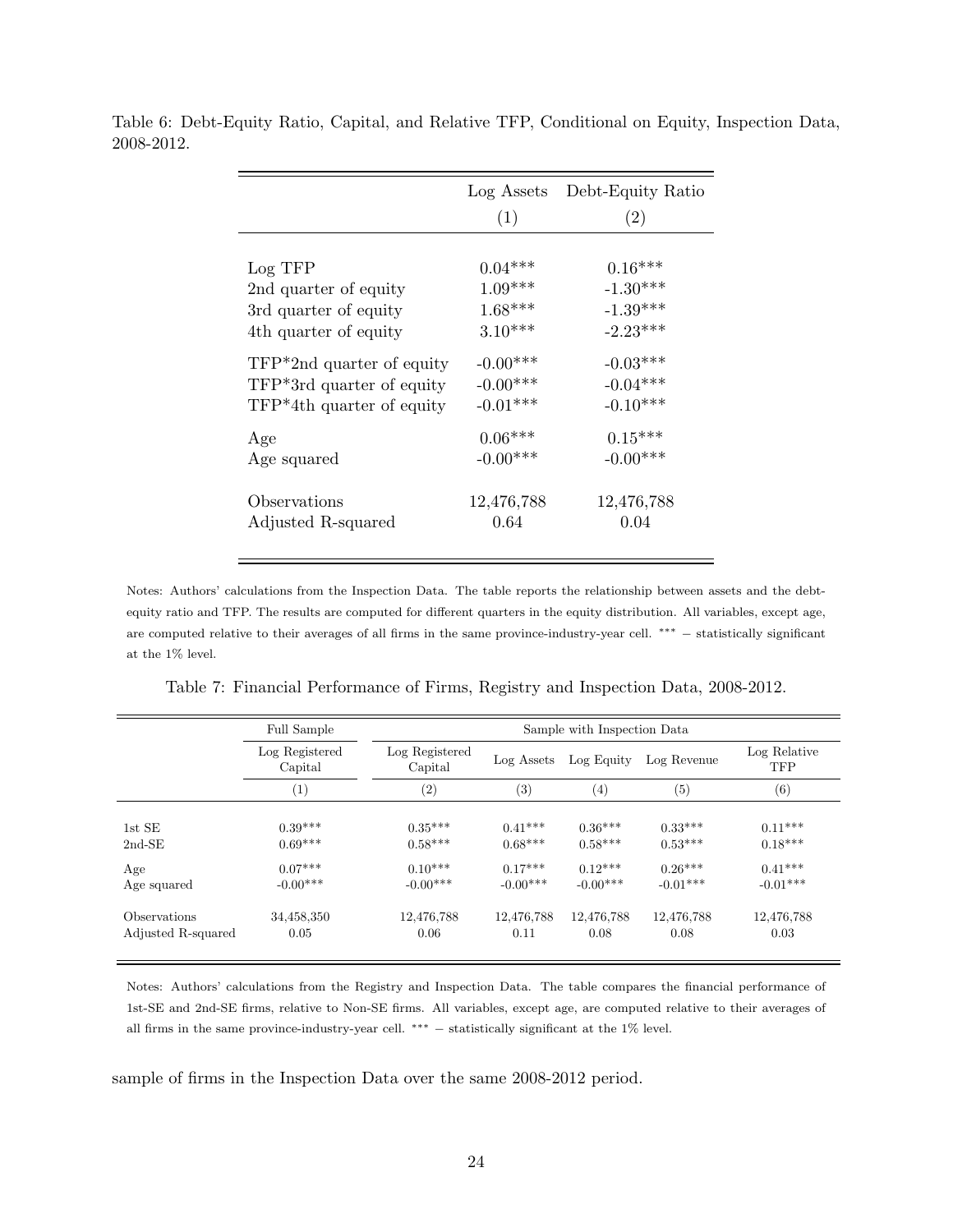|                             | (1)        | Log Assets Debt-Equity Ratio<br>(2) |
|-----------------------------|------------|-------------------------------------|
| Log TFP                     | $0.04***$  | $0.16***$                           |
| 2nd quarter of equity       | $1.09***$  | $-1.30***$                          |
| 3rd quarter of equity       | $1.68***$  | $-1.39***$                          |
| 4th quarter of equity       | $3.10***$  | $-2.23***$                          |
| $TFP*2nd$ quarter of equity | $-0.00***$ | $-0.03***$                          |
| $TFP*3rd$ quarter of equity | $-0.00***$ | $-0.04***$                          |
| TFP*4th quarter of equity   | $-0.01***$ | $-0.10***$                          |
| Age                         | $0.06***$  | $0.15***$                           |
| Age squared                 | $-0.00***$ | $-0.00***$                          |
| Observations                | 12,476,788 | 12,476,788                          |
| Adjusted R-squared          | 0.64       | 0.04                                |

Table 6: Debt-Equity Ratio, Capital, and Relative TFP, Conditional on Equity, Inspection Data, 2008-2012.

Notes: Authors' calculations from the Inspection Data. The table reports the relationship between assets and the debtequity ratio and TFP. The results are computed for different quarters in the equity distribution. All variables, except age, are computed relative to their averages of all firms in the same province-industry-year cell. ∗∗∗ − statistically significant at the 1% level.

|  | Table 7: Financial Performance of Firms, Registry and Inspection Data, 2008-2012. |  |  |  |  |
|--|-----------------------------------------------------------------------------------|--|--|--|--|
|  |                                                                                   |  |  |  |  |

|                    | Full Sample               |                           | Sample with Inspection Data |            |             |                            |  |  |  |  |  |
|--------------------|---------------------------|---------------------------|-----------------------------|------------|-------------|----------------------------|--|--|--|--|--|
|                    | Log Registered<br>Capital | Log Registered<br>Capital | Log Assets                  | Log Equity | Log Revenue | Log Relative<br><b>TFP</b> |  |  |  |  |  |
|                    | $\left( 1\right)$         | (2)                       | (3)                         | $^{(4)}$   | (5)         | (6)                        |  |  |  |  |  |
| 1st SE             | $0.39***$                 | $0.35***$                 | $0.41***$                   | $0.36***$  | $0.33***$   | $0.11***$                  |  |  |  |  |  |
| $2nd-SE$           | $0.69***$                 | $0.58***$                 | $0.68***$                   | $0.58***$  | $0.53***$   | $0.18***$                  |  |  |  |  |  |
| Age                | $0.07***$                 | $0.10***$                 | $0.17***$                   | $0.12***$  | $0.26***$   | $0.41***$                  |  |  |  |  |  |
| Age squared        | $-0.00***$                | $-0.00***$                | $-0.00***$                  | $-0.00***$ | $-0.01***$  | $-0.01***$                 |  |  |  |  |  |
| Observations       | 34,458,350                | 12,476,788                | 12,476,788                  | 12,476,788 | 12,476,788  | 12,476,788                 |  |  |  |  |  |
| Adjusted R-squared | 0.05                      | 0.06                      | 0.11                        | 0.08       | 0.08        | 0.03                       |  |  |  |  |  |

Notes: Authors' calculations from the Registry and Inspection Data. The table compares the financial performance of 1st-SE and 2nd-SE firms, relative to Non-SE firms. All variables, except age, are computed relative to their averages of all firms in the same province-industry-year cell. ∗∗∗ − statistically significant at the 1% level.

sample of firms in the Inspection Data over the same 2008-2012 period.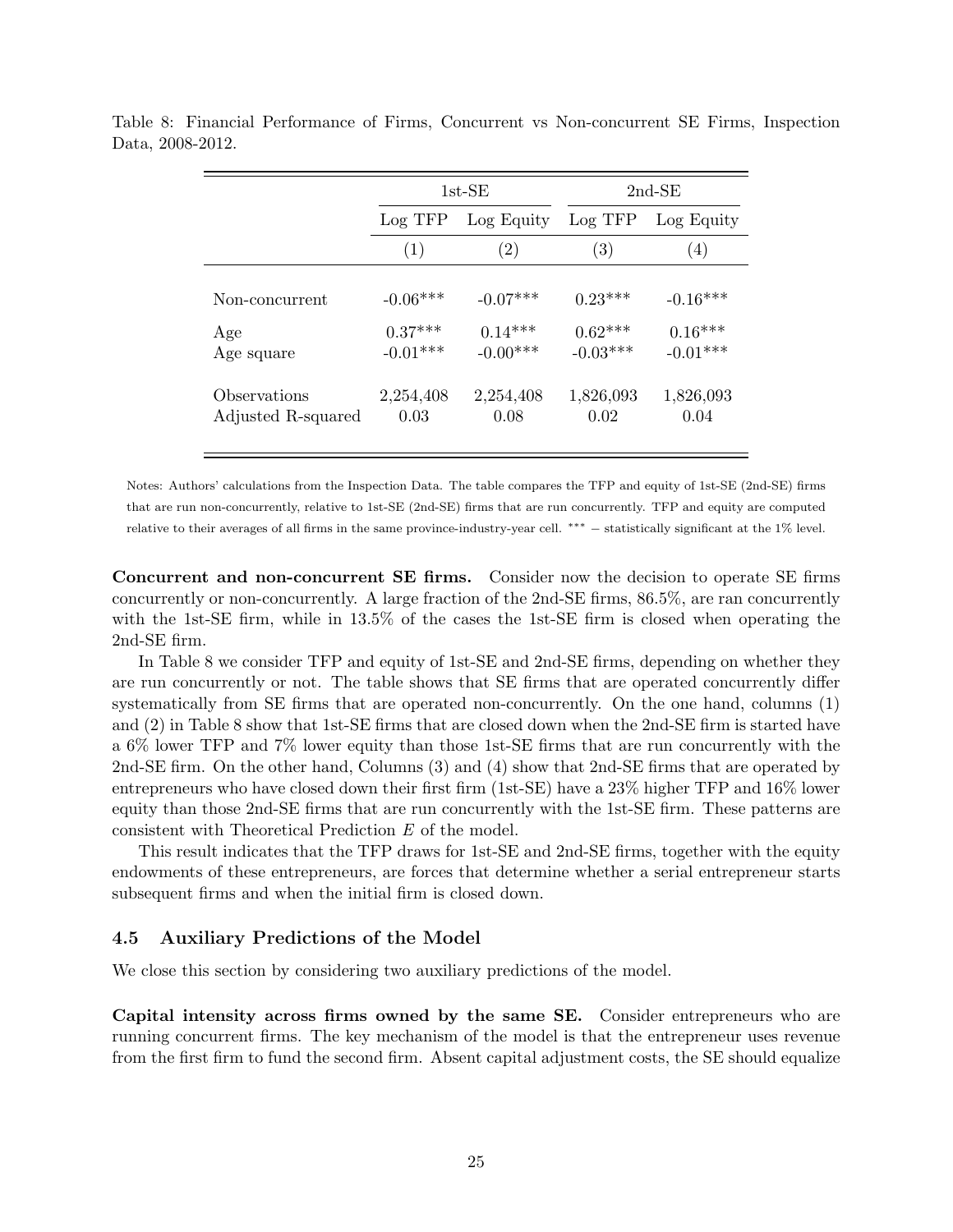|                                     |                                       | $1st$ -SE                             |                                      | $2nd$ -SE                             |
|-------------------------------------|---------------------------------------|---------------------------------------|--------------------------------------|---------------------------------------|
|                                     | Log TFP                               | Log Equity                            | Log TFP                              | Log Equity                            |
|                                     | (1)                                   | $\left( 2\right)$                     | $\left( 3\right)$                    | $\left( 4\right)$                     |
| Non-concurrent<br>Age<br>Age square | $-0.06***$<br>$0.37***$<br>$-0.01***$ | $-0.07***$<br>$0.14***$<br>$-0.00***$ | $0.23***$<br>$0.62***$<br>$-0.03***$ | $-0.16***$<br>$0.16***$<br>$-0.01***$ |
| Observations<br>Adjusted R-squared  | 2,254,408<br>0.03                     | 2,254,408<br>0.08                     | 1,826,093<br>0.02                    | 1,826,093<br>0.04                     |

Table 8: Financial Performance of Firms, Concurrent vs Non-concurrent SE Firms, Inspection Data, 2008-2012.

Notes: Authors' calculations from the Inspection Data. The table compares the TFP and equity of 1st-SE (2nd-SE) firms that are run non-concurrently, relative to 1st-SE (2nd-SE) firms that are run concurrently. TFP and equity are computed relative to their averages of all firms in the same province-industry-year cell. ∗∗∗ − statistically significant at the 1% level.

Concurrent and non-concurrent SE firms. Consider now the decision to operate SE firms concurrently or non-concurrently. A large fraction of the 2nd-SE firms, 86.5%, are ran concurrently with the 1st-SE firm, while in 13.5% of the cases the 1st-SE firm is closed when operating the 2nd-SE firm.

In Table 8 we consider TFP and equity of 1st-SE and 2nd-SE firms, depending on whether they are run concurrently or not. The table shows that SE firms that are operated concurrently differ systematically from SE firms that are operated non-concurrently. On the one hand, columns (1) and (2) in Table 8 show that 1st-SE firms that are closed down when the 2nd-SE firm is started have a 6% lower TFP and 7% lower equity than those 1st-SE firms that are run concurrently with the 2nd-SE firm. On the other hand, Columns (3) and (4) show that 2nd-SE firms that are operated by entrepreneurs who have closed down their first firm (1st-SE) have a 23% higher TFP and 16% lower equity than those 2nd-SE firms that are run concurrently with the 1st-SE firm. These patterns are consistent with Theoretical Prediction E of the model.

This result indicates that the TFP draws for 1st-SE and 2nd-SE firms, together with the equity endowments of these entrepreneurs, are forces that determine whether a serial entrepreneur starts subsequent firms and when the initial firm is closed down.

#### 4.5 Auxiliary Predictions of the Model

We close this section by considering two auxiliary predictions of the model.

Capital intensity across firms owned by the same SE. Consider entrepreneurs who are running concurrent firms. The key mechanism of the model is that the entrepreneur uses revenue from the first firm to fund the second firm. Absent capital adjustment costs, the SE should equalize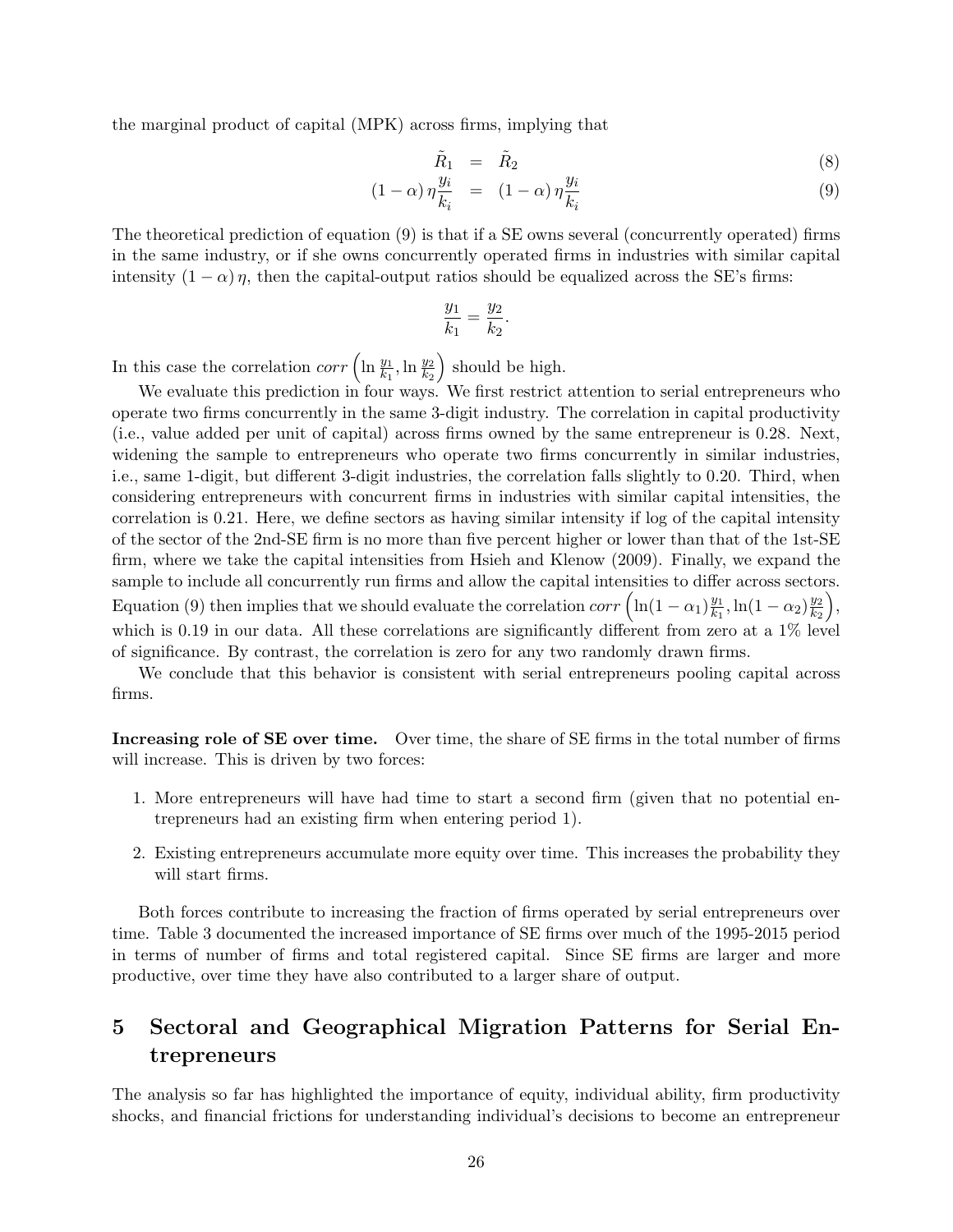the marginal product of capital (MPK) across firms, implying that

$$
\tilde{R}_1 = \tilde{R}_2 \tag{8}
$$

$$
(1 - \alpha) \eta \frac{y_i}{k_i} = (1 - \alpha) \eta \frac{y_i}{k_i} \tag{9}
$$

The theoretical prediction of equation (9) is that if a SE owns several (concurrently operated) firms in the same industry, or if she owns concurrently operated firms in industries with similar capital intensity  $(1 - \alpha) \eta$ , then the capital-output ratios should be equalized across the SE's firms:

$$
\frac{y_1}{k_1} = \frac{y_2}{k_2}.
$$

In this case the correlation  $corr\left(\ln\frac{y_1}{k_1}, \ln\frac{y_2}{k_2}\right)$ should be high.

We evaluate this prediction in four ways. We first restrict attention to serial entrepreneurs who operate two firms concurrently in the same 3-digit industry. The correlation in capital productivity (i.e., value added per unit of capital) across firms owned by the same entrepreneur is 0.28. Next, widening the sample to entrepreneurs who operate two firms concurrently in similar industries, i.e., same 1-digit, but different 3-digit industries, the correlation falls slightly to 0.20. Third, when considering entrepreneurs with concurrent firms in industries with similar capital intensities, the correlation is 0.21. Here, we define sectors as having similar intensity if log of the capital intensity of the sector of the 2nd-SE firm is no more than five percent higher or lower than that of the 1st-SE firm, where we take the capital intensities from Hsieh and Klenow (2009). Finally, we expand the sample to include all concurrently run firms and allow the capital intensities to differ across sectors. Equation (9) then implies that we should evaluate the correlation  $corr\left(\ln(1-\alpha_1)\frac{y_1}{k_1}\right)$  $\frac{y_1}{k_1}, \ln(1-\alpha_2)\frac{y_2}{k_2}$  $\mathbf{k}_2$  , which is 0.19 in our data. All these correlations are significantly different from zero at a 1% level of significance. By contrast, the correlation is zero for any two randomly drawn firms.

We conclude that this behavior is consistent with serial entrepreneurs pooling capital across firms.

Increasing role of SE over time. Over time, the share of SE firms in the total number of firms will increase. This is driven by two forces:

- 1. More entrepreneurs will have had time to start a second firm (given that no potential entrepreneurs had an existing firm when entering period 1).
- 2. Existing entrepreneurs accumulate more equity over time. This increases the probability they will start firms.

Both forces contribute to increasing the fraction of firms operated by serial entrepreneurs over time. Table 3 documented the increased importance of SE firms over much of the 1995-2015 period in terms of number of firms and total registered capital. Since SE firms are larger and more productive, over time they have also contributed to a larger share of output.

# 5 Sectoral and Geographical Migration Patterns for Serial Entrepreneurs

The analysis so far has highlighted the importance of equity, individual ability, firm productivity shocks, and financial frictions for understanding individual's decisions to become an entrepreneur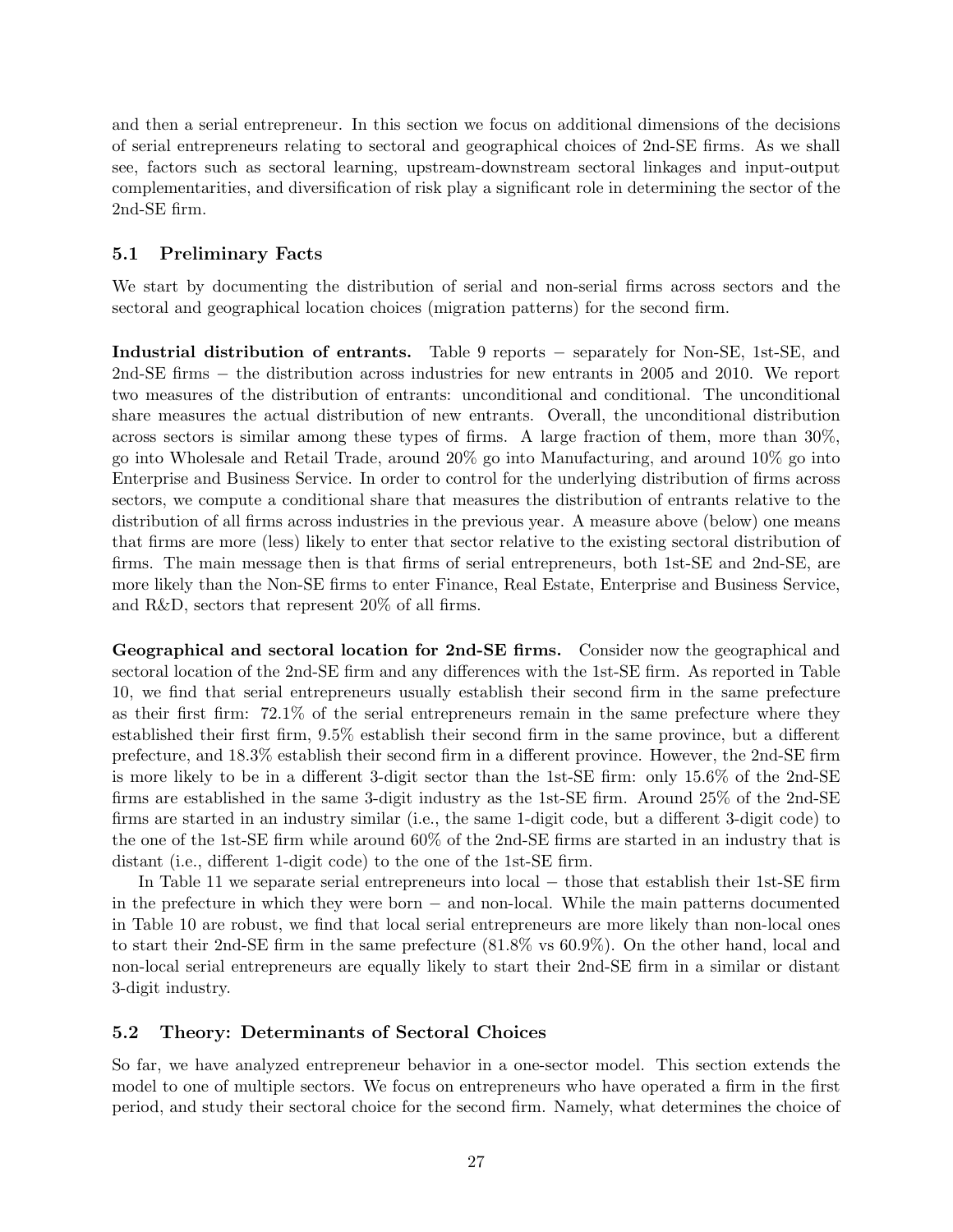and then a serial entrepreneur. In this section we focus on additional dimensions of the decisions of serial entrepreneurs relating to sectoral and geographical choices of 2nd-SE firms. As we shall see, factors such as sectoral learning, upstream-downstream sectoral linkages and input-output complementarities, and diversification of risk play a significant role in determining the sector of the 2nd-SE firm.

#### 5.1 Preliminary Facts

We start by documenting the distribution of serial and non-serial firms across sectors and the sectoral and geographical location choices (migration patterns) for the second firm.

Industrial distribution of entrants. Table 9 reports − separately for Non-SE, 1st-SE, and 2nd-SE firms − the distribution across industries for new entrants in 2005 and 2010. We report two measures of the distribution of entrants: unconditional and conditional. The unconditional share measures the actual distribution of new entrants. Overall, the unconditional distribution across sectors is similar among these types of firms. A large fraction of them, more than 30%, go into Wholesale and Retail Trade, around 20% go into Manufacturing, and around 10% go into Enterprise and Business Service. In order to control for the underlying distribution of firms across sectors, we compute a conditional share that measures the distribution of entrants relative to the distribution of all firms across industries in the previous year. A measure above (below) one means that firms are more (less) likely to enter that sector relative to the existing sectoral distribution of firms. The main message then is that firms of serial entrepreneurs, both 1st-SE and 2nd-SE, are more likely than the Non-SE firms to enter Finance, Real Estate, Enterprise and Business Service, and R&D, sectors that represent 20% of all firms.

Geographical and sectoral location for 2nd-SE firms. Consider now the geographical and sectoral location of the 2nd-SE firm and any differences with the 1st-SE firm. As reported in Table 10, we find that serial entrepreneurs usually establish their second firm in the same prefecture as their first firm: 72.1% of the serial entrepreneurs remain in the same prefecture where they established their first firm, 9.5% establish their second firm in the same province, but a different prefecture, and 18.3% establish their second firm in a different province. However, the 2nd-SE firm is more likely to be in a different 3-digit sector than the 1st-SE firm: only 15.6% of the 2nd-SE firms are established in the same 3-digit industry as the 1st-SE firm. Around 25% of the 2nd-SE firms are started in an industry similar (i.e., the same 1-digit code, but a different 3-digit code) to the one of the 1st-SE firm while around 60% of the 2nd-SE firms are started in an industry that is distant (i.e., different 1-digit code) to the one of the 1st-SE firm.

In Table 11 we separate serial entrepreneurs into local − those that establish their 1st-SE firm in the prefecture in which they were born − and non-local. While the main patterns documented in Table 10 are robust, we find that local serial entrepreneurs are more likely than non-local ones to start their 2nd-SE firm in the same prefecture (81.8% vs 60.9%). On the other hand, local and non-local serial entrepreneurs are equally likely to start their 2nd-SE firm in a similar or distant 3-digit industry.

#### 5.2 Theory: Determinants of Sectoral Choices

So far, we have analyzed entrepreneur behavior in a one-sector model. This section extends the model to one of multiple sectors. We focus on entrepreneurs who have operated a firm in the first period, and study their sectoral choice for the second firm. Namely, what determines the choice of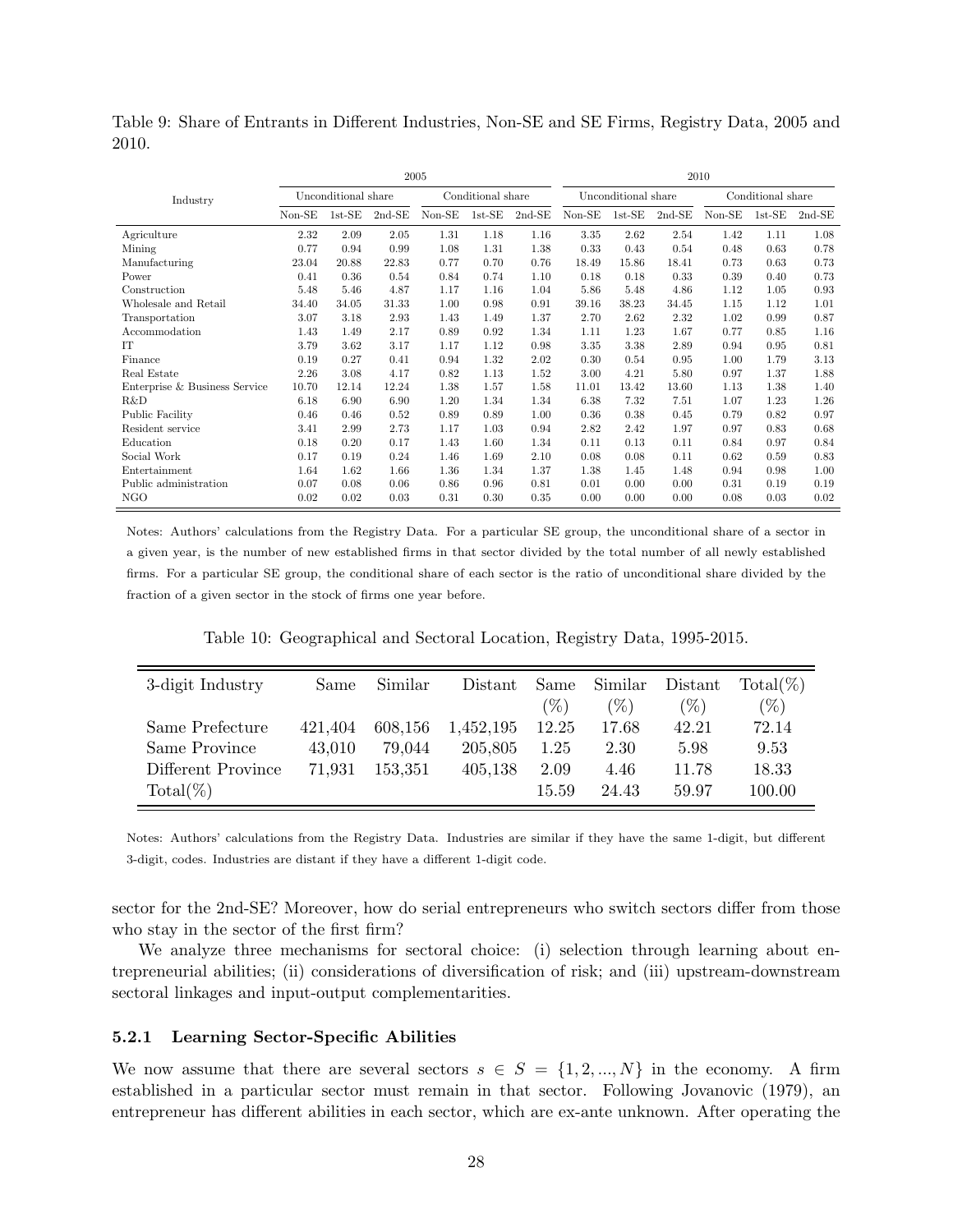Table 9: Share of Entrants in Different Industries, Non-SE and SE Firms, Registry Data, 2005 and 2010.

|                               | 2005                |          |          |                   |          |          |                     | 2010     |          |                   |          |          |  |
|-------------------------------|---------------------|----------|----------|-------------------|----------|----------|---------------------|----------|----------|-------------------|----------|----------|--|
| Industry                      | Unconditional share |          |          | Conditional share |          |          | Unconditional share |          |          | Conditional share |          |          |  |
|                               | $Non-SE$            | $1st-SE$ | $2nd-SE$ | $Non-SE$          | $1st-SE$ | $2nd-SE$ | $Non-SE$            | $1st-SE$ | $2nd-SE$ | $Non-SE$          | $1st-SE$ | $2nd-SE$ |  |
| Agriculture                   | 2.32                | 2.09     | 2.05     | 1.31              | 1.18     | 1.16     | 3.35                | 2.62     | 2.54     | 1.42              | 1.11     | 1.08     |  |
| Mining                        | 0.77                | 0.94     | 0.99     | 1.08              | 1.31     | 1.38     | 0.33                | 0.43     | 0.54     | 0.48              | 0.63     | 0.78     |  |
| Manufacturing                 | 23.04               | 20.88    | 22.83    | 0.77              | 0.70     | 0.76     | 18.49               | 15.86    | 18.41    | 0.73              | 0.63     | 0.73     |  |
| Power                         | 0.41                | 0.36     | 0.54     | 0.84              | 0.74     | 1.10     | 0.18                | 0.18     | 0.33     | 0.39              | 0.40     | 0.73     |  |
| Construction                  | 5.48                | 5.46     | 4.87     | 1.17              | 1.16     | 1.04     | 5.86                | 5.48     | 4.86     | 1.12              | 1.05     | 0.93     |  |
| Wholesale and Retail          | 34.40               | 34.05    | 31.33    | 1.00              | 0.98     | 0.91     | 39.16               | 38.23    | 34.45    | 1.15              | 1.12     | 1.01     |  |
| Transportation                | 3.07                | 3.18     | 2.93     | 1.43              | 1.49     | 1.37     | 2.70                | 2.62     | 2.32     | 1.02              | 0.99     | 0.87     |  |
| Accommodation                 | 1.43                | 1.49     | 2.17     | 0.89              | 0.92     | 1.34     | 1.11                | 1.23     | 1.67     | 0.77              | 0.85     | 1.16     |  |
| IT                            | 3.79                | 3.62     | 3.17     | 1.17              | 1.12     | 0.98     | 3.35                | 3.38     | 2.89     | 0.94              | 0.95     | 0.81     |  |
| Finance                       | 0.19                | 0.27     | 0.41     | 0.94              | 1.32     | 2.02     | 0.30                | 0.54     | 0.95     | 1.00              | 1.79     | 3.13     |  |
| Real Estate                   | 2.26                | 3.08     | 4.17     | 0.82              | 1.13     | 1.52     | 3.00                | 4.21     | 5.80     | 0.97              | 1.37     | 1.88     |  |
| Enterprise & Business Service | 10.70               | 12.14    | 12.24    | 1.38              | 1.57     | 1.58     | 11.01               | 13.42    | 13.60    | 1.13              | 1.38     | 1.40     |  |
| R&D                           | 6.18                | 6.90     | 6.90     | 1.20              | 1.34     | 1.34     | 6.38                | 7.32     | 7.51     | 1.07              | 1.23     | 1.26     |  |
| Public Facility               | 0.46                | 0.46     | 0.52     | 0.89              | 0.89     | 1.00     | 0.36                | 0.38     | 0.45     | 0.79              | 0.82     | 0.97     |  |
| Resident service              | 3.41                | 2.99     | 2.73     | 1.17              | 1.03     | 0.94     | 2.82                | 2.42     | 1.97     | 0.97              | 0.83     | 0.68     |  |
| Education                     | 0.18                | 0.20     | 0.17     | 1.43              | 1.60     | 1.34     | 0.11                | 0.13     | 0.11     | 0.84              | 0.97     | 0.84     |  |
| Social Work                   | 0.17                | 0.19     | 0.24     | 1.46              | 1.69     | 2.10     | 0.08                | 0.08     | 0.11     | 0.62              | 0.59     | 0.83     |  |
| Entertainment                 | 1.64                | 1.62     | 1.66     | 1.36              | 1.34     | 1.37     | 1.38                | 1.45     | 1.48     | 0.94              | 0.98     | 1.00     |  |
| Public administration         | 0.07                | 0.08     | 0.06     | 0.86              | 0.96     | 0.81     | 0.01                | 0.00     | 0.00     | 0.31              | 0.19     | 0.19     |  |
| NGO                           | 0.02                | 0.02     | 0.03     | 0.31              | 0.30     | 0.35     | 0.00                | 0.00     | 0.00     | 0.08              | 0.03     | 0.02     |  |

Notes: Authors' calculations from the Registry Data. For a particular SE group, the unconditional share of a sector in a given year, is the number of new established firms in that sector divided by the total number of all newly established firms. For a particular SE group, the conditional share of each sector is the ratio of unconditional share divided by the fraction of a given sector in the stock of firms one year before.

Table 10: Geographical and Sectoral Location, Registry Data, 1995-2015.

| 3-digit Industry   | Same    | Similar | Distant   | Same   | Similar | Distant | $Total(\%)$ |
|--------------------|---------|---------|-----------|--------|---------|---------|-------------|
|                    |         |         |           | $(\%)$ | $(\%)$  | $(\%)$  | $(\%)$      |
| Same Prefecture    | 421.404 | 608,156 | 1,452,195 | 12.25  | 17.68   | 42.21   | 72.14       |
| Same Province      | 43,010  | 79.044  | 205,805   | 1.25   | 2.30    | 5.98    | 9.53        |
| Different Province | 71,931  | 153.351 | 405,138   | 2.09   | 4.46    | 11.78   | 18.33       |
| $Total(\%)$        |         |         |           | 15.59  | 24.43   | 59.97   | 100.00      |

Notes: Authors' calculations from the Registry Data. Industries are similar if they have the same 1-digit, but different 3-digit, codes. Industries are distant if they have a different 1-digit code.

sector for the 2nd-SE? Moreover, how do serial entrepreneurs who switch sectors differ from those who stay in the sector of the first firm?

We analyze three mechanisms for sectoral choice: (i) selection through learning about entrepreneurial abilities; (ii) considerations of diversification of risk; and (iii) upstream-downstream sectoral linkages and input-output complementarities.

#### 5.2.1 Learning Sector-Specific Abilities

We now assume that there are several sectors  $s \in S = \{1, 2, ..., N\}$  in the economy. A firm established in a particular sector must remain in that sector. Following Jovanovic (1979), an entrepreneur has different abilities in each sector, which are ex-ante unknown. After operating the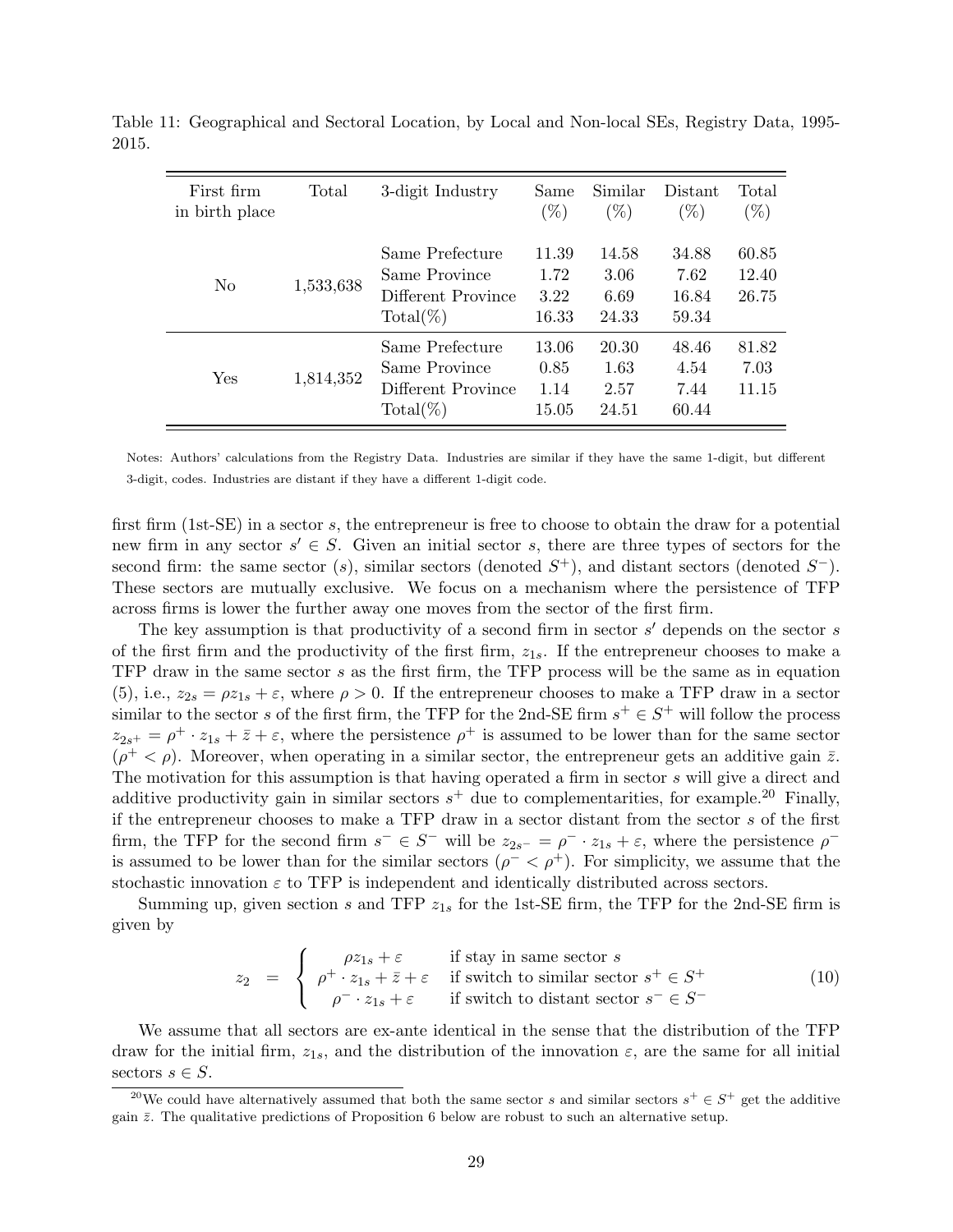| First firm<br>in birth place | Total     | 3-digit Industry                                                      | Same<br>$(\%)$                 | Similar<br>$(\%)$              | Distant<br>$(\%)$               | Total<br>$(\%)$         |
|------------------------------|-----------|-----------------------------------------------------------------------|--------------------------------|--------------------------------|---------------------------------|-------------------------|
| N <sub>0</sub>               | 1,533,638 | Same Prefecture<br>Same Province<br>Different Province<br>$Total(\%)$ | 11.39<br>1.72<br>3.22<br>16.33 | 14.58<br>3.06<br>6.69<br>24.33 | 34.88<br>7.62<br>16.84<br>59.34 | 60.85<br>12.40<br>26.75 |
| Yes                          | 1,814,352 | Same Prefecture<br>Same Province<br>Different Province<br>$Total(\%)$ | 13.06<br>0.85<br>1.14<br>15.05 | 20.30<br>1.63<br>2.57<br>24.51 | 48.46<br>4.54<br>7.44<br>60.44  | 81.82<br>7.03<br>11.15  |

Table 11: Geographical and Sectoral Location, by Local and Non-local SEs, Registry Data, 1995- 2015.

Notes: Authors' calculations from the Registry Data. Industries are similar if they have the same 1-digit, but different 3-digit, codes. Industries are distant if they have a different 1-digit code.

first firm (1st-SE) in a sector s, the entrepreneur is free to choose to obtain the draw for a potential new firm in any sector  $s' \in S$ . Given an initial sector s, there are three types of sectors for the second firm: the same sector (s), similar sectors (denoted  $S^+$ ), and distant sectors (denoted  $S^-$ ). These sectors are mutually exclusive. We focus on a mechanism where the persistence of TFP across firms is lower the further away one moves from the sector of the first firm.

The key assumption is that productivity of a second firm in sector  $s'$  depends on the sector  $s$ of the first firm and the productivity of the first firm,  $z_{1s}$ . If the entrepreneur chooses to make a TFP draw in the same sector s as the first firm, the TFP process will be the same as in equation (5), i.e.,  $z_{2s} = \rho z_{1s} + \varepsilon$ , where  $\rho > 0$ . If the entrepreneur chooses to make a TFP draw in a sector similar to the sector s of the first firm, the TFP for the 2nd-SE firm  $s^+ \in S^+$  will follow the process  $z_{2s^+} = \rho^+ \cdot z_{1s} + \bar{z} + \varepsilon$ , where the persistence  $\rho^+$  is assumed to be lower than for the same sector  $(\rho^+ < \rho)$ . Moreover, when operating in a similar sector, the entrepreneur gets an additive gain  $\bar{z}$ . The motivation for this assumption is that having operated a firm in sector s will give a direct and additive productivity gain in similar sectors  $s^+$  due to complementarities, for example.<sup>20</sup> Finally, if the entrepreneur chooses to make a TFP draw in a sector distant from the sector s of the first firm, the TFP for the second firm  $s^- \in S^-$  will be  $z_{2s^-} = \rho^- \cdot z_{1s} + \varepsilon$ , where the persistence  $\rho^$ is assumed to be lower than for the similar sectors  $(\rho^- < \rho^+)$ . For simplicity, we assume that the stochastic innovation  $\varepsilon$  to TFP is independent and identically distributed across sectors.

Summing up, given section s and TFP  $z_{1s}$  for the 1st-SE firm, the TFP for the 2nd-SE firm is given by

$$
z_2 = \begin{cases} \n\rho z_{1s} + \varepsilon & \text{if stay in same sector } s \\
\rho^+ \cdot z_{1s} + \overline{z} + \varepsilon & \text{if switch to similar sector } s^+ \in S^+ \\
\rho^- \cdot z_{1s} + \varepsilon & \text{if switch to distant sector } s^- \in S^- \n\end{cases} \tag{10}
$$

We assume that all sectors are ex-ante identical in the sense that the distribution of the TFP draw for the initial firm,  $z_{1s}$ , and the distribution of the innovation  $\varepsilon$ , are the same for all initial sectors  $s \in S$ .

<sup>&</sup>lt;sup>20</sup>We could have alternatively assumed that both the same sector s and similar sectors  $s^+ \in S^+$  get the additive gain  $\bar{z}$ . The qualitative predictions of Proposition 6 below are robust to such an alternative setup.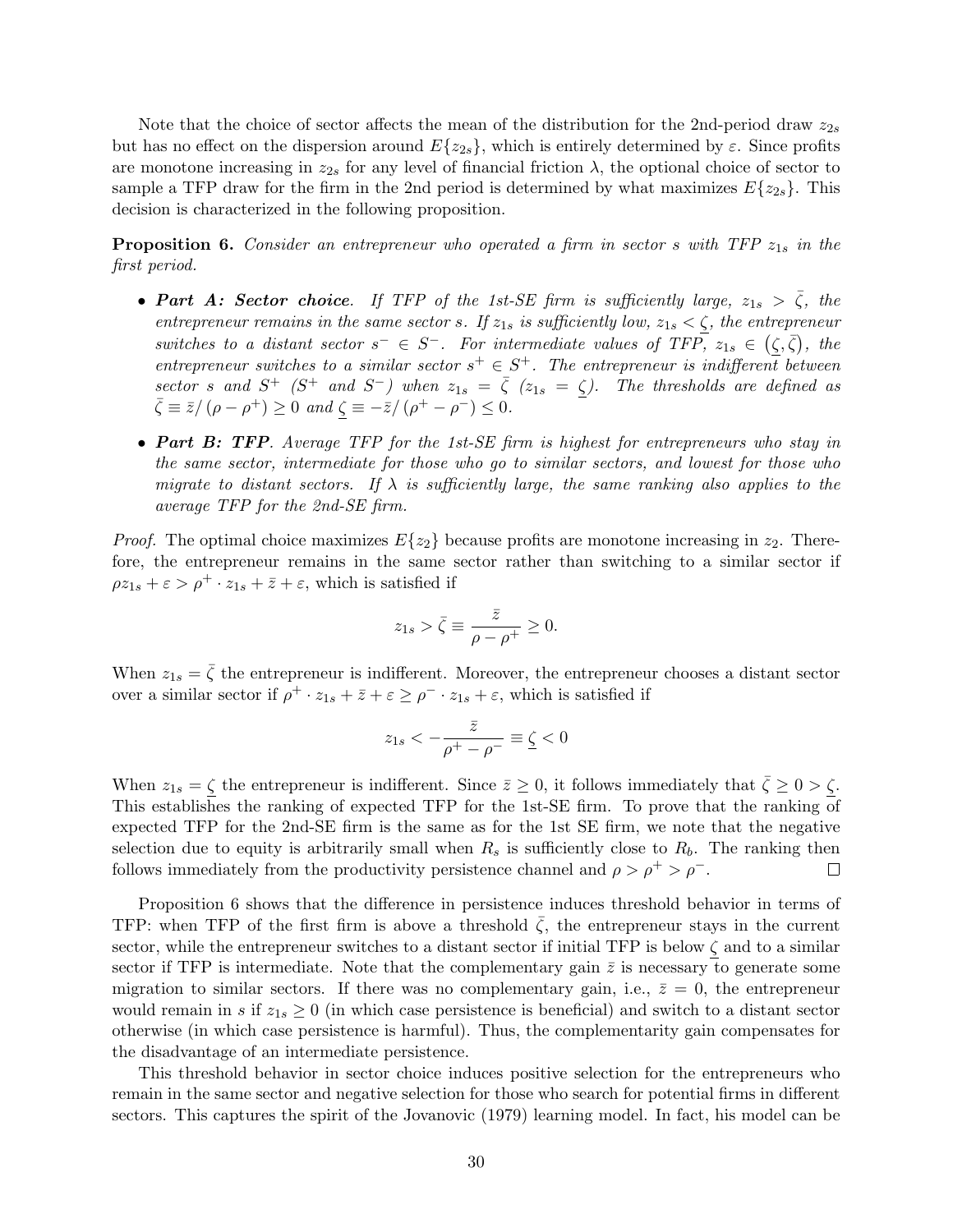Note that the choice of sector affects the mean of the distribution for the 2nd-period draw  $z_{2s}$ but has no effect on the dispersion around  $E\{z_{2s}\}\,$ , which is entirely determined by  $\varepsilon$ . Since profits are monotone increasing in  $z_{2s}$  for any level of financial friction  $\lambda$ , the optional choice of sector to sample a TFP draw for the firm in the 2nd period is determined by what maximizes  $E\{z_{2s}\}\.$  This decision is characterized in the following proposition.

**Proposition 6.** Consider an entrepreneur who operated a firm in sector s with TFP  $z_{1s}$  in the first period.

- Part A: Sector choice. If TFP of the 1st-SE firm is sufficiently large,  $z_{1s} > \bar{\zeta}$ , the entrepreneur remains in the same sector s. If  $z_{1s}$  is sufficiently low,  $z_{1s} < \zeta$ , the entrepreneur switches to a distant sector  $s^- \in S^-$ . For intermediate values of TFP,  $z_{1s} \in (\zeta, \overline{\zeta})$ , the entrepreneur switches to a similar sector  $s^+ \in S^+$ . The entrepreneur is indifferent between sector s and  $S^+$  ( $S^+$  and  $S^-$ ) when  $z_{1s} = \bar{\zeta}$  ( $z_{1s} = \zeta$ ). The thresholds are defined as  $\bar{\zeta} = \bar{z} / (\rho - \rho^+) \ge 0$  and  $\zeta = -\bar{z} / (\rho^+ - \rho^-) \le 0$ .
- Part B: TFP. Average TFP for the 1st-SE firm is highest for entrepreneurs who stay in the same sector, intermediate for those who go to similar sectors, and lowest for those who migrate to distant sectors. If  $\lambda$  is sufficiently large, the same ranking also applies to the average TFP for the 2nd-SE firm.

*Proof.* The optimal choice maximizes  $E\{z_2\}$  because profits are monotone increasing in  $z_2$ . Therefore, the entrepreneur remains in the same sector rather than switching to a similar sector if  $\rho z_{1s} + \varepsilon > \rho^+ \cdot z_{1s} + \overline{z} + \varepsilon$ , which is satisfied if

$$
z_{1s} > \bar{\zeta} \equiv \frac{\bar{z}}{\rho - \rho^+} \ge 0.
$$

When  $z_{1s} = \bar{\zeta}$  the entrepreneur is indifferent. Moreover, the entrepreneur chooses a distant sector over a similar sector if  $\rho^+ \cdot z_{1s} + \bar{z} + \varepsilon \ge \rho^- \cdot z_{1s} + \varepsilon$ , which is satisfied if

$$
z_{1s}<-\frac{\bar{z}}{\rho^+-\rho^-}\equiv\underline{\zeta}<0
$$

When  $z_{1s} = \zeta$  the entrepreneur is indifferent. Since  $\bar{z} \ge 0$ , it follows immediately that  $\bar{\zeta} \ge 0 > \zeta$ . This establishes the ranking of expected TFP for the 1st-SE firm. To prove that the ranking of expected TFP for the 2nd-SE firm is the same as for the 1st SE firm, we note that the negative selection due to equity is arbitrarily small when  $R_s$  is sufficiently close to  $R_b$ . The ranking then follows immediately from the productivity persistence channel and  $\rho > \rho^+ > \rho^-$ .  $\Box$ 

Proposition 6 shows that the difference in persistence induces threshold behavior in terms of TFP: when TFP of the first firm is above a threshold  $\zeta$ , the entrepreneur stays in the current sector, while the entrepreneur switches to a distant sector if initial TFP is below  $\zeta$  and to a similar sector if TFP is intermediate. Note that the complementary gain  $\bar{z}$  is necessary to generate some migration to similar sectors. If there was no complementary gain, i.e.,  $\bar{z} = 0$ , the entrepreneur would remain in s if  $z_{1s} \geq 0$  (in which case persistence is beneficial) and switch to a distant sector otherwise (in which case persistence is harmful). Thus, the complementarity gain compensates for the disadvantage of an intermediate persistence.

This threshold behavior in sector choice induces positive selection for the entrepreneurs who remain in the same sector and negative selection for those who search for potential firms in different sectors. This captures the spirit of the Jovanovic (1979) learning model. In fact, his model can be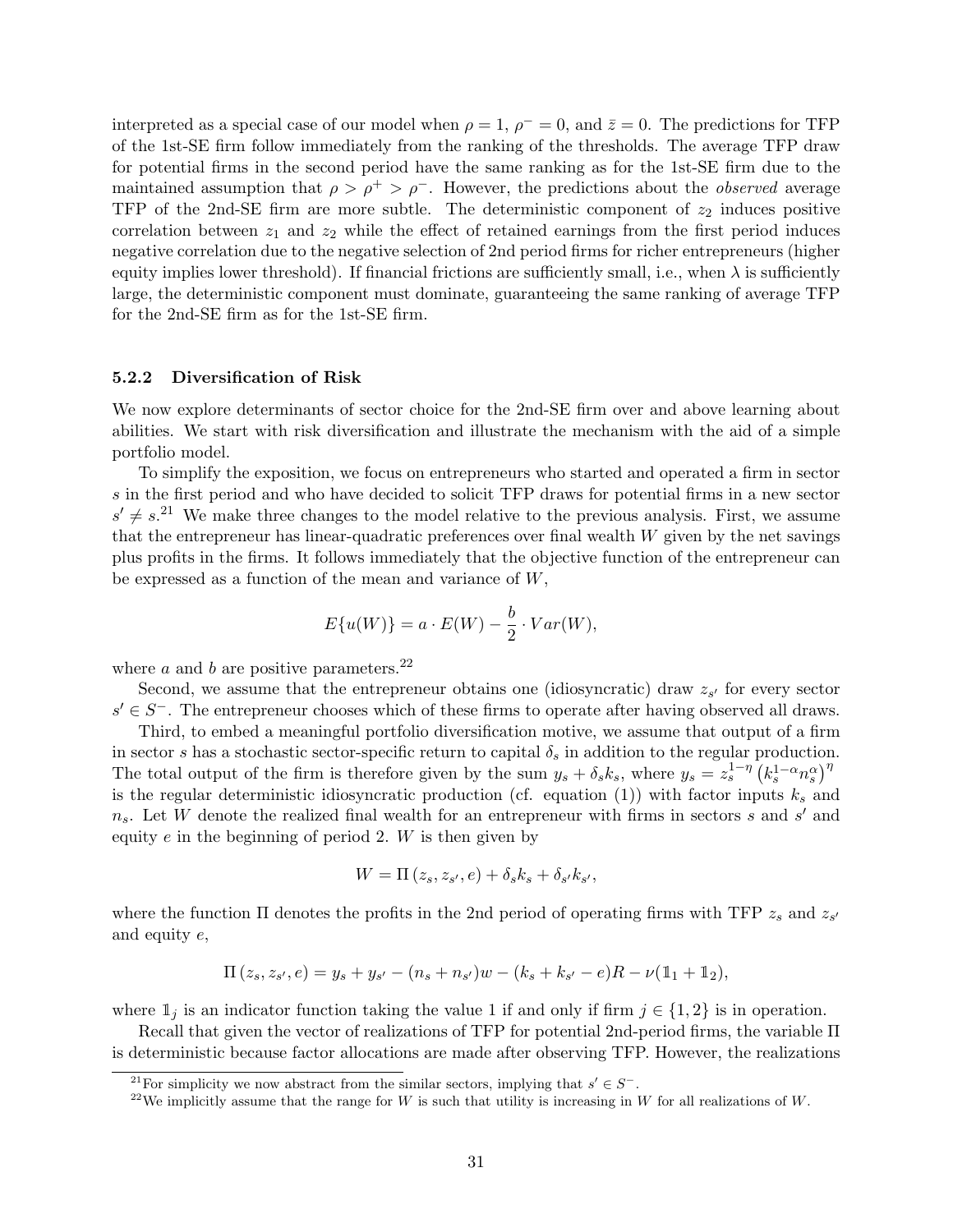interpreted as a special case of our model when  $\rho = 1$ ,  $\rho^- = 0$ , and  $\bar{z} = 0$ . The predictions for TFP of the 1st-SE firm follow immediately from the ranking of the thresholds. The average TFP draw for potential firms in the second period have the same ranking as for the 1st-SE firm due to the maintained assumption that  $\rho > \rho^+ > \rho^-$ . However, the predictions about the *observed* average TFP of the 2nd-SE firm are more subtle. The deterministic component of  $z_2$  induces positive correlation between  $z_1$  and  $z_2$  while the effect of retained earnings from the first period induces negative correlation due to the negative selection of 2nd period firms for richer entrepreneurs (higher equity implies lower threshold). If financial frictions are sufficiently small, i.e., when  $\lambda$  is sufficiently large, the deterministic component must dominate, guaranteeing the same ranking of average TFP for the 2nd-SE firm as for the 1st-SE firm.

#### 5.2.2 Diversification of Risk

We now explore determinants of sector choice for the 2nd-SE firm over and above learning about abilities. We start with risk diversification and illustrate the mechanism with the aid of a simple portfolio model.

To simplify the exposition, we focus on entrepreneurs who started and operated a firm in sector s in the first period and who have decided to solicit TFP draws for potential firms in a new sector  $s' \neq s$ <sup>21</sup> We make three changes to the model relative to the previous analysis. First, we assume that the entrepreneur has linear-quadratic preferences over final wealth W given by the net savings plus profits in the firms. It follows immediately that the objective function of the entrepreneur can be expressed as a function of the mean and variance of W,

$$
E\{u(W)\} = a \cdot E(W) - \frac{b}{2} \cdot Var(W),
$$

where  $a$  and  $b$  are positive parameters.<sup>22</sup>

Second, we assume that the entrepreneur obtains one (idiosyncratic) draw  $z_{s'}$  for every sector  $s' \in S^-$ . The entrepreneur chooses which of these firms to operate after having observed all draws.

Third, to embed a meaningful portfolio diversification motive, we assume that output of a firm in sector s has a stochastic sector-specific return to capital  $\delta_s$  in addition to the regular production. The total output of the firm is therefore given by the sum  $y_s + \delta_s k_s$ , where  $y_s = z_s^{1-\eta} (k_s^{1-\alpha} n_s^{\alpha})^{\eta}$ is the regular deterministic idiosyncratic production (cf. equation (1)) with factor inputs  $k_s$  and  $n_s$ . Let W denote the realized final wealth for an entrepreneur with firms in sectors s and s' and equity  $e$  in the beginning of period 2.  $W$  is then given by

$$
W = \Pi(z_s, z_{s'}, e) + \delta_s k_s + \delta_{s'} k_{s'},
$$

where the function  $\Pi$  denotes the profits in the 2nd period of operating firms with TFP  $z_s$  and  $z_{s'}$ and equity e,

$$
\Pi(z_s, z_{s'}, e) = y_s + y_{s'} - (n_s + n_{s'})w - (k_s + k_{s'} - e)R - \nu(\mathbb{1}_1 + \mathbb{1}_2),
$$

where  $\mathbb{1}_j$  is an indicator function taking the value 1 if and only if firm  $j \in \{1,2\}$  is in operation.

Recall that given the vector of realizations of TFP for potential 2nd-period firms, the variable Π is deterministic because factor allocations are made after observing TFP. However, the realizations

<sup>&</sup>lt;sup>21</sup>For simplicity we now abstract from the similar sectors, implying that  $s' \in S^-$ .

<sup>&</sup>lt;sup>22</sup>We implicitly assume that the range for W is such that utility is increasing in W for all realizations of W.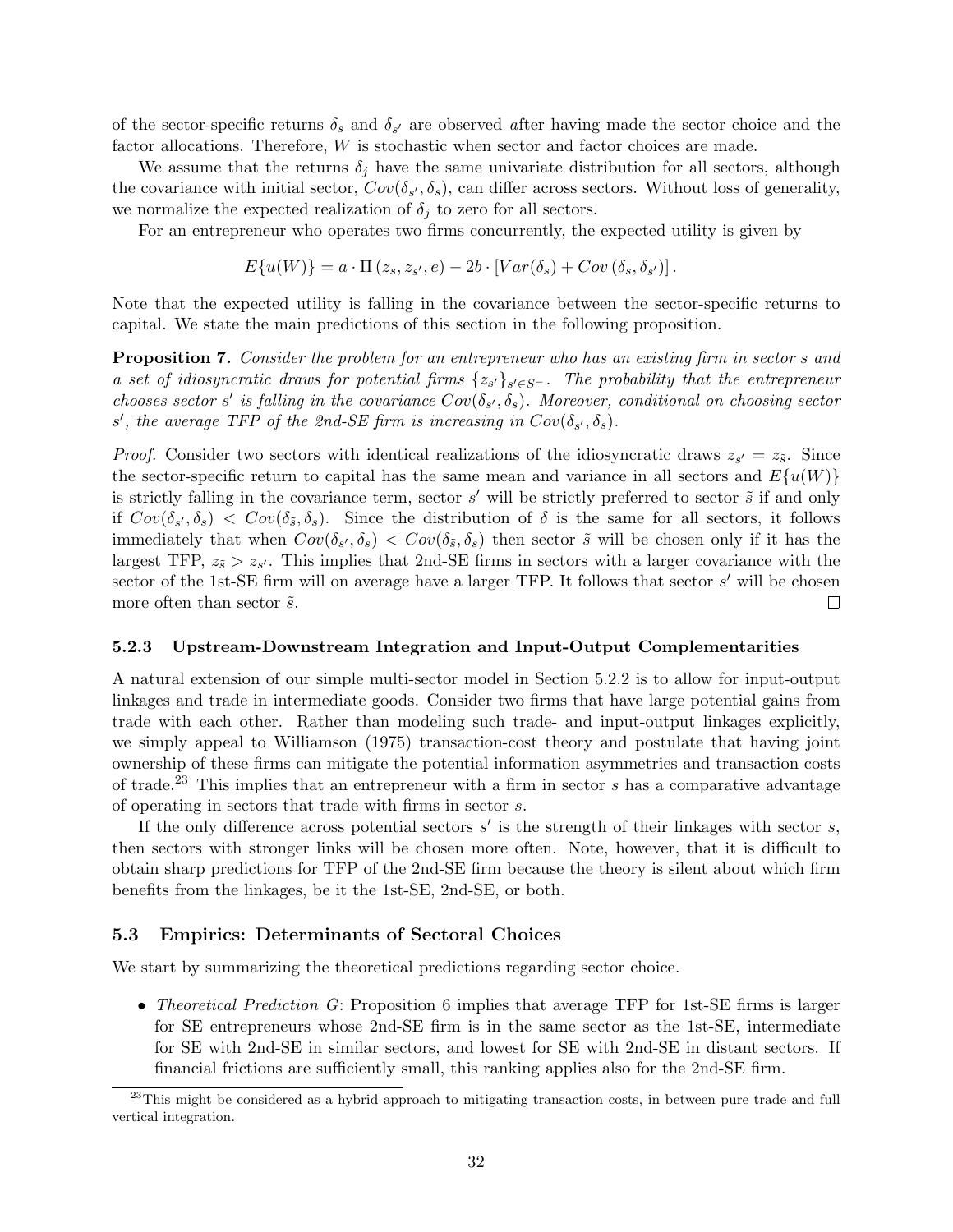of the sector-specific returns  $\delta_s$  and  $\delta_{s'}$  are observed after having made the sector choice and the factor allocations. Therefore, W is stochastic when sector and factor choices are made.

We assume that the returns  $\delta_i$  have the same univariate distribution for all sectors, although the covariance with initial sector,  $Cov(\delta_{s'}, \delta_s)$ , can differ across sectors. Without loss of generality, we normalize the expected realization of  $\delta_i$  to zero for all sectors.

For an entrepreneur who operates two firms concurrently, the expected utility is given by

$$
E\{u(W)\} = a \cdot \Pi(z_s, z_{s'}, e) - 2b \cdot [Var(\delta_s) + Cov(\delta_s, \delta_{s'})].
$$

Note that the expected utility is falling in the covariance between the sector-specific returns to capital. We state the main predictions of this section in the following proposition.

**Proposition 7.** Consider the problem for an entrepreneur who has an existing firm in sector s and a set of idiosyncratic draws for potential firms  $\{z_{s'}\}_{s' \in S}$ -. The probability that the entrepreneur chooses sector s' is falling in the covariance  $Cov(\delta_{s'}, \delta_s)$ . Moreover, conditional on choosing sector s', the average TFP of the 2nd-SE firm is increasing in  $Cov(\delta_{s'}, \delta_{s})$ .

*Proof.* Consider two sectors with identical realizations of the idiosyncratic draws  $z_{s'} = z_{\tilde{s}}$ . Since the sector-specific return to capital has the same mean and variance in all sectors and  $E\{u(W)\}\$ is strictly falling in the covariance term, sector  $s'$  will be strictly preferred to sector  $\tilde{s}$  if and only if  $Cov(\delta_{s'}, \delta_s) < Cov(\delta_{\tilde{s}}, \delta_s)$ . Since the distribution of  $\delta$  is the same for all sectors, it follows immediately that when  $Cov(\delta_{s'}, \delta_s) < Cov(\delta_{\tilde{s}}, \delta_s)$  then sector  $\tilde{s}$  will be chosen only if it has the largest TFP,  $z_{\tilde{s}} > z_{s'}$ . This implies that 2nd-SE firms in sectors with a larger covariance with the sector of the 1st-SE firm will on average have a larger TFP. It follows that sector  $s'$  will be chosen more often than sector  $\tilde{s}$ .  $\Box$ 

#### 5.2.3 Upstream-Downstream Integration and Input-Output Complementarities

A natural extension of our simple multi-sector model in Section 5.2.2 is to allow for input-output linkages and trade in intermediate goods. Consider two firms that have large potential gains from trade with each other. Rather than modeling such trade- and input-output linkages explicitly, we simply appeal to Williamson (1975) transaction-cost theory and postulate that having joint ownership of these firms can mitigate the potential information asymmetries and transaction costs of trade.<sup>23</sup> This implies that an entrepreneur with a firm in sector  $s$  has a comparative advantage of operating in sectors that trade with firms in sector s.

If the only difference across potential sectors  $s'$  is the strength of their linkages with sector  $s$ , then sectors with stronger links will be chosen more often. Note, however, that it is difficult to obtain sharp predictions for TFP of the 2nd-SE firm because the theory is silent about which firm benefits from the linkages, be it the 1st-SE, 2nd-SE, or both.

#### 5.3 Empirics: Determinants of Sectoral Choices

We start by summarizing the theoretical predictions regarding sector choice.

• Theoretical Prediction G: Proposition 6 implies that average TFP for 1st-SE firms is larger for SE entrepreneurs whose 2nd-SE firm is in the same sector as the 1st-SE, intermediate for SE with 2nd-SE in similar sectors, and lowest for SE with 2nd-SE in distant sectors. If financial frictions are sufficiently small, this ranking applies also for the 2nd-SE firm.

<sup>&</sup>lt;sup>23</sup>This might be considered as a hybrid approach to mitigating transaction costs, in between pure trade and full vertical integration.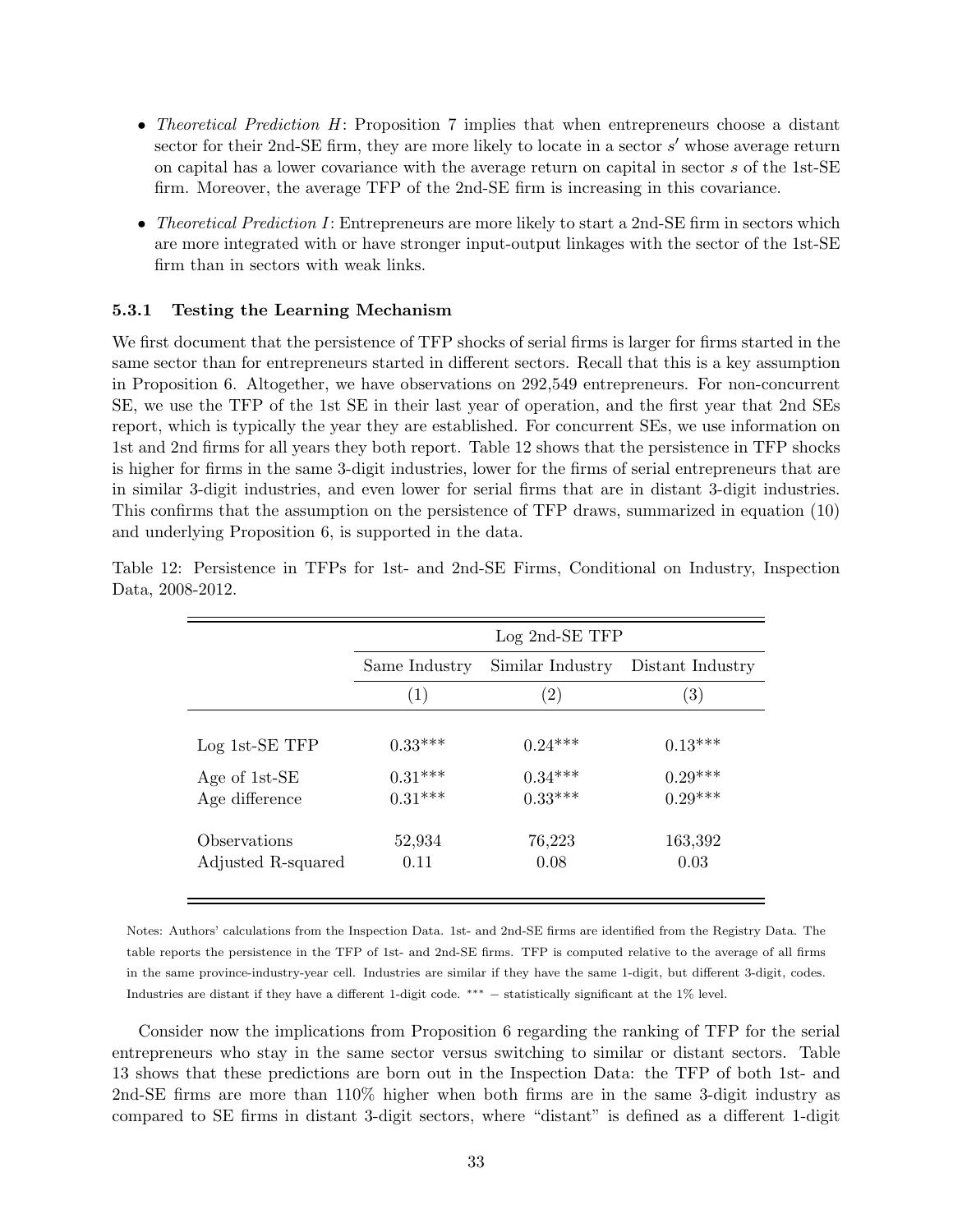- Theoretical Prediction  $H$ : Proposition 7 implies that when entrepreneurs choose a distant sector for their 2nd-SE firm, they are more likely to locate in a sector  $s'$  whose average return on capital has a lower covariance with the average return on capital in sector s of the 1st-SE firm. Moreover, the average TFP of the 2nd-SE firm is increasing in this covariance.
- Theoretical Prediction I: Entrepreneurs are more likely to start a 2nd-SE firm in sectors which are more integrated with or have stronger input-output linkages with the sector of the 1st-SE firm than in sectors with weak links.

#### 5.3.1 Testing the Learning Mechanism

We first document that the persistence of TFP shocks of serial firms is larger for firms started in the same sector than for entrepreneurs started in different sectors. Recall that this is a key assumption in Proposition 6. Altogether, we have observations on 292,549 entrepreneurs. For non-concurrent SE, we use the TFP of the 1st SE in their last year of operation, and the first year that 2nd SEs report, which is typically the year they are established. For concurrent SEs, we use information on 1st and 2nd firms for all years they both report. Table 12 shows that the persistence in TFP shocks is higher for firms in the same 3-digit industries, lower for the firms of serial entrepreneurs that are in similar 3-digit industries, and even lower for serial firms that are in distant 3-digit industries. This confirms that the assumption on the persistence of TFP draws, summarized in equation (10) and underlying Proposition 6, is supported in the data.

|                                    | Log 2nd-SE TFP         |                        |                        |  |  |
|------------------------------------|------------------------|------------------------|------------------------|--|--|
|                                    | Same Industry          | Distant Industry       |                        |  |  |
|                                    | (1)                    | $\left( 2\right)$      | $\left( 3\right)$      |  |  |
| $Log 1st-SE TFP$                   | $0.33***$              | $0.24***$              | $0.13***$              |  |  |
| Age of 1st-SE<br>Age difference    | $0.31***$<br>$0.31***$ | $0.34***$<br>$0.33***$ | $0.29***$<br>$0.29***$ |  |  |
| Observations<br>Adjusted R-squared | 52,934<br>0.11         | 76,223<br>0.08         | 163,392<br>0.03        |  |  |

Table 12: Persistence in TFPs for 1st- and 2nd-SE Firms, Conditional on Industry, Inspection Data, 2008-2012.

Notes: Authors' calculations from the Inspection Data. 1st- and 2nd-SE firms are identified from the Registry Data. The table reports the persistence in the TFP of 1st- and 2nd-SE firms. TFP is computed relative to the average of all firms in the same province-industry-year cell. Industries are similar if they have the same 1-digit, but different 3-digit, codes. Industries are distant if they have a different 1-digit code. ∗∗∗ − statistically significant at the 1% level.

Consider now the implications from Proposition 6 regarding the ranking of TFP for the serial entrepreneurs who stay in the same sector versus switching to similar or distant sectors. Table 13 shows that these predictions are born out in the Inspection Data: the TFP of both 1st- and 2nd-SE firms are more than 110% higher when both firms are in the same 3-digit industry as compared to SE firms in distant 3-digit sectors, where "distant" is defined as a different 1-digit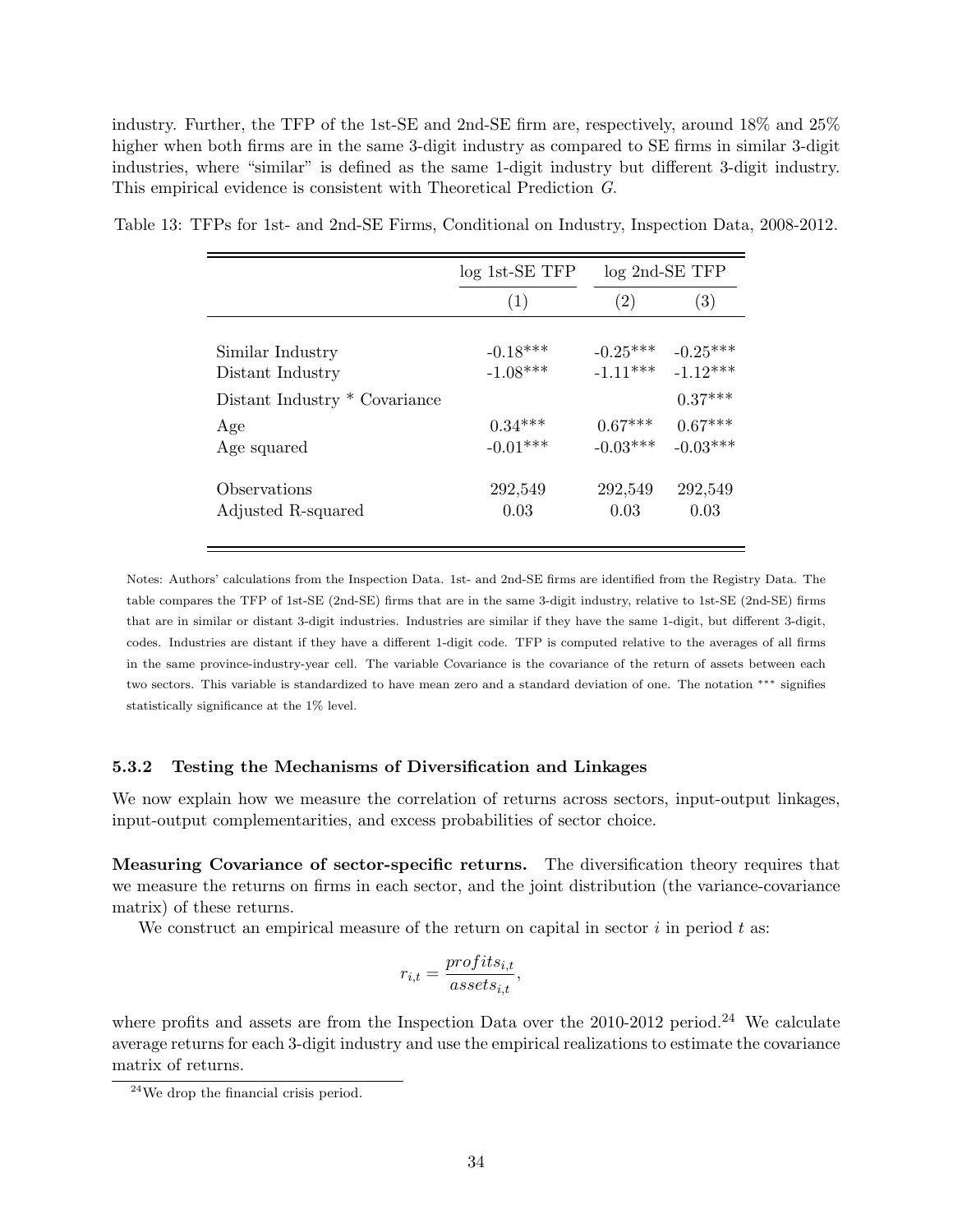industry. Further, the TFP of the 1st-SE and 2nd-SE firm are, respectively, around 18% and 25% higher when both firms are in the same 3-digit industry as compared to SE firms in similar 3-digit industries, where "similar" is defined as the same 1-digit industry but different 3-digit industry. This empirical evidence is consistent with Theoretical Prediction G.

|                               | $log$ 1st-SE TFP | $log$ 2nd-SE TFP |            |  |
|-------------------------------|------------------|------------------|------------|--|
|                               | (1)              | (2)              | (3)        |  |
|                               |                  |                  |            |  |
| Similar Industry              | $-0.18***$       | $-0.25***$       | $-0.25***$ |  |
| Distant Industry              | $-1.08***$       | $-1.11***$       | $-1.12***$ |  |
| Distant Industry * Covariance |                  |                  | $0.37***$  |  |
| Age                           | $0.34***$        | $0.67***$        | $0.67***$  |  |
| Age squared                   | $-0.01***$       | $-0.03***$       | $-0.03***$ |  |
|                               |                  |                  |            |  |
| Observations                  | 292,549          | 292,549          | 292,549    |  |
| Adjusted R-squared            | 0.03             | 0.03             | 0.03       |  |
|                               |                  |                  |            |  |

Table 13: TFPs for 1st- and 2nd-SE Firms, Conditional on Industry, Inspection Data, 2008-2012.

Notes: Authors' calculations from the Inspection Data. 1st- and 2nd-SE firms are identified from the Registry Data. The table compares the TFP of 1st-SE (2nd-SE) firms that are in the same 3-digit industry, relative to 1st-SE (2nd-SE) firms that are in similar or distant 3-digit industries. Industries are similar if they have the same 1-digit, but different 3-digit, codes. Industries are distant if they have a different 1-digit code. TFP is computed relative to the averages of all firms in the same province-industry-year cell. The variable Covariance is the covariance of the return of assets between each two sectors. This variable is standardized to have mean zero and a standard deviation of one. The notation ∗∗∗ signifies statistically significance at the 1% level.

#### 5.3.2 Testing the Mechanisms of Diversification and Linkages

We now explain how we measure the correlation of returns across sectors, input-output linkages, input-output complementarities, and excess probabilities of sector choice.

Measuring Covariance of sector-specific returns. The diversification theory requires that we measure the returns on firms in each sector, and the joint distribution (the variance-covariance matrix) of these returns.

We construct an empirical measure of the return on capital in sector  $i$  in period  $t$  as:

$$
r_{i,t} = \frac{profit_{i,t}}{assets_{i,t}},
$$

where profits and assets are from the Inspection Data over the  $2010-2012$  period.<sup>24</sup> We calculate average returns for each 3-digit industry and use the empirical realizations to estimate the covariance matrix of returns.

<sup>24</sup>We drop the financial crisis period.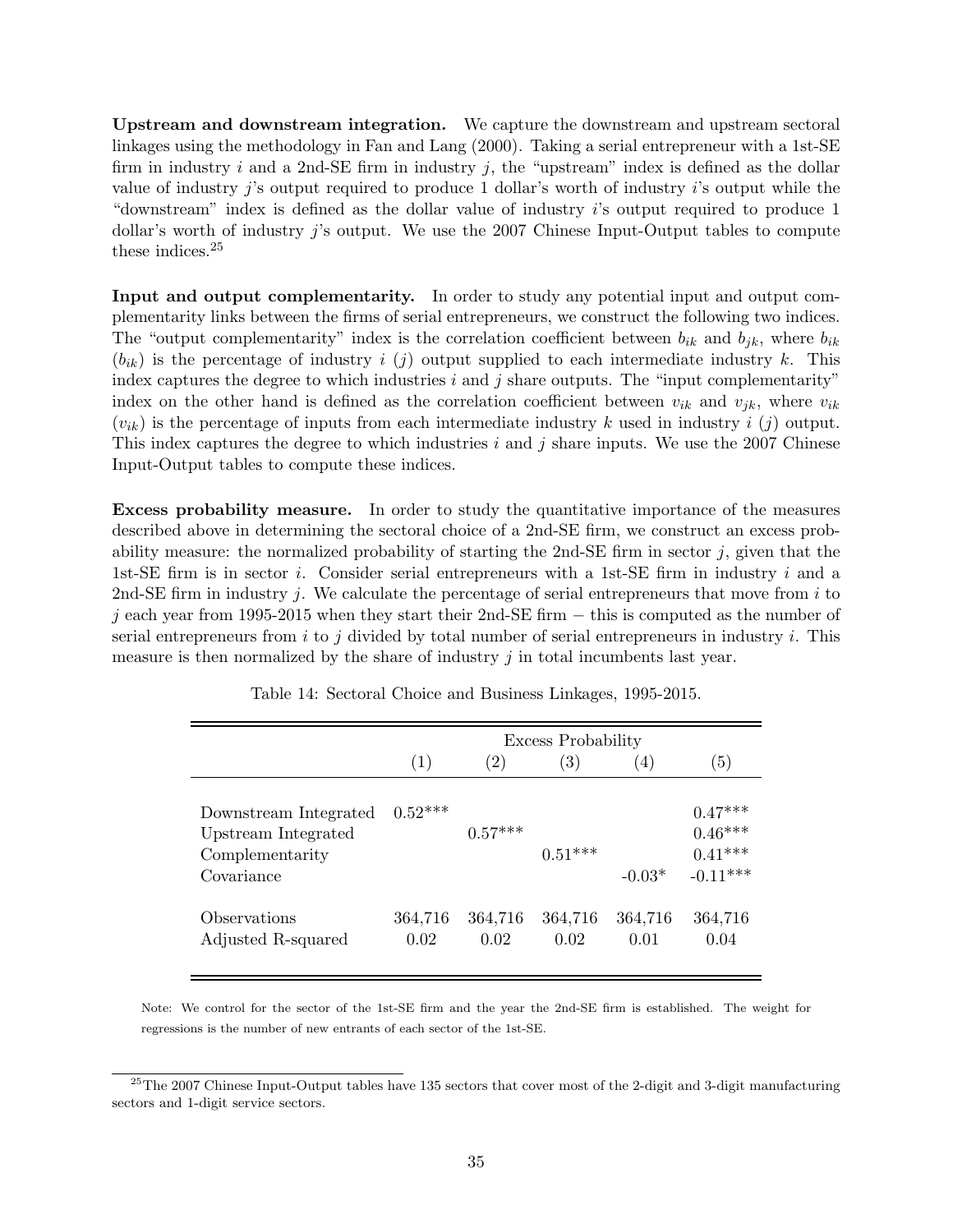Upstream and downstream integration. We capture the downstream and upstream sectoral linkages using the methodology in Fan and Lang (2000). Taking a serial entrepreneur with a 1st-SE firm in industry i and a 2nd-SE firm in industry i, the "upstream" index is defined as the dollar value of industry  $j$ 's output required to produce 1 dollar's worth of industry  $i$ 's output while the "downstream" index is defined as the dollar value of industry i's output required to produce 1 dollar's worth of industry j's output. We use the 2007 Chinese Input-Output tables to compute these indices.<sup>25</sup>

Input and output complementarity. In order to study any potential input and output complementarity links between the firms of serial entrepreneurs, we construct the following two indices. The "output complementarity" index is the correlation coefficient between  $b_{ik}$  and  $b_{jk}$ , where  $b_{ik}$  $(b_{ik})$  is the percentage of industry i (j) output supplied to each intermediate industry k. This index captures the degree to which industries  $i$  and  $j$  share outputs. The "input complementarity" index on the other hand is defined as the correlation coefficient between  $v_{ik}$  and  $v_{jk}$ , where  $v_{ik}$  $(v_{ik})$  is the percentage of inputs from each intermediate industry k used in industry i (j) output. This index captures the degree to which industries  $i$  and  $j$  share inputs. We use the 2007 Chinese Input-Output tables to compute these indices.

Excess probability measure. In order to study the quantitative importance of the measures described above in determining the sectoral choice of a 2nd-SE firm, we construct an excess probability measure: the normalized probability of starting the 2nd-SE firm in sector  $j$ , given that the 1st-SE firm is in sector i. Consider serial entrepreneurs with a 1st-SE firm in industry i and a 2nd-SE firm in industry j. We calculate the percentage of serial entrepreneurs that move from i to j each year from 1995-2015 when they start their 2nd-SE firm  $-$  this is computed as the number of serial entrepreneurs from i to j divided by total number of serial entrepreneurs in industry i. This measure is then normalized by the share of industry j in total incumbents last year.

|                                                                               | <b>Excess Probability</b> |                   |                  |                 |                                                   |
|-------------------------------------------------------------------------------|---------------------------|-------------------|------------------|-----------------|---------------------------------------------------|
|                                                                               | (1)                       | $\left( 2\right)$ | $\left(3\right)$ | (4)             | (5)                                               |
| Downstream Integrated<br>Upstream Integrated<br>Complementarity<br>Covariance | $0.52***$                 | $0.57***$         | $0.51***$        | $-0.03*$        | $0.47***$<br>$0.46***$<br>$0.41***$<br>$-0.11***$ |
| Observations<br>Adjusted R-squared                                            | 364,716<br>0.02           | 364,716<br>0.02   | 364,716<br>0.02  | 364,716<br>0.01 | 364,716<br>0.04                                   |

Table 14: Sectoral Choice and Business Linkages, 1995-2015.

Note: We control for the sector of the 1st-SE firm and the year the 2nd-SE firm is established. The weight for regressions is the number of new entrants of each sector of the 1st-SE.

 $^{25}$ The 2007 Chinese Input-Output tables have 135 sectors that cover most of the 2-digit and 3-digit manufacturing sectors and 1-digit service sectors.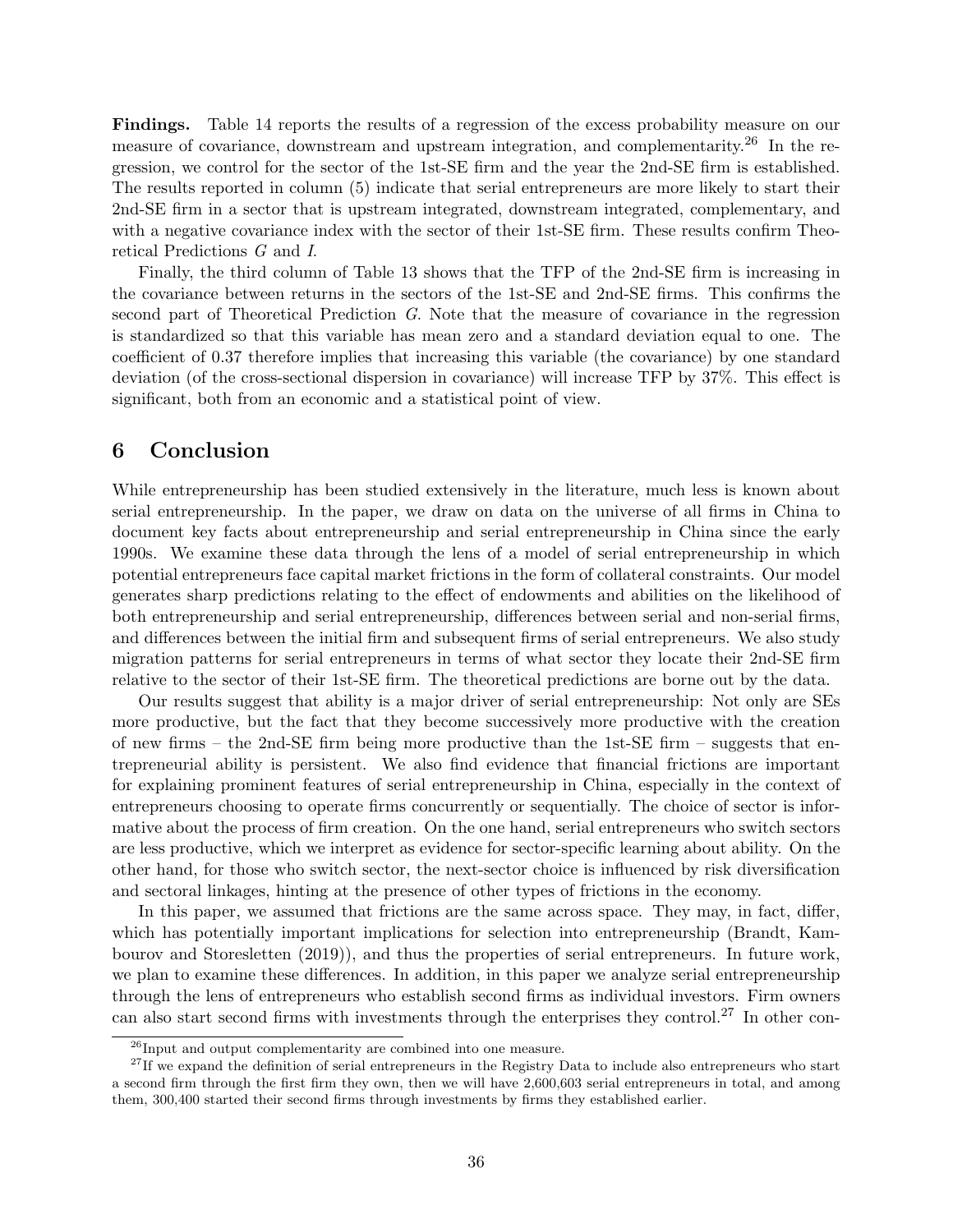Findings. Table 14 reports the results of a regression of the excess probability measure on our measure of covariance, downstream and upstream integration, and complementarity.<sup>26</sup> In the regression, we control for the sector of the 1st-SE firm and the year the 2nd-SE firm is established. The results reported in column (5) indicate that serial entrepreneurs are more likely to start their 2nd-SE firm in a sector that is upstream integrated, downstream integrated, complementary, and with a negative covariance index with the sector of their 1st-SE firm. These results confirm Theoretical Predictions G and I.

Finally, the third column of Table 13 shows that the TFP of the 2nd-SE firm is increasing in the covariance between returns in the sectors of the 1st-SE and 2nd-SE firms. This confirms the second part of Theoretical Prediction G. Note that the measure of covariance in the regression is standardized so that this variable has mean zero and a standard deviation equal to one. The coefficient of 0.37 therefore implies that increasing this variable (the covariance) by one standard deviation (of the cross-sectional dispersion in covariance) will increase TFP by 37%. This effect is significant, both from an economic and a statistical point of view.

## 6 Conclusion

While entrepreneurship has been studied extensively in the literature, much less is known about serial entrepreneurship. In the paper, we draw on data on the universe of all firms in China to document key facts about entrepreneurship and serial entrepreneurship in China since the early 1990s. We examine these data through the lens of a model of serial entrepreneurship in which potential entrepreneurs face capital market frictions in the form of collateral constraints. Our model generates sharp predictions relating to the effect of endowments and abilities on the likelihood of both entrepreneurship and serial entrepreneurship, differences between serial and non-serial firms, and differences between the initial firm and subsequent firms of serial entrepreneurs. We also study migration patterns for serial entrepreneurs in terms of what sector they locate their 2nd-SE firm relative to the sector of their 1st-SE firm. The theoretical predictions are borne out by the data.

Our results suggest that ability is a major driver of serial entrepreneurship: Not only are SEs more productive, but the fact that they become successively more productive with the creation of new firms – the 2nd-SE firm being more productive than the 1st-SE firm – suggests that entrepreneurial ability is persistent. We also find evidence that financial frictions are important for explaining prominent features of serial entrepreneurship in China, especially in the context of entrepreneurs choosing to operate firms concurrently or sequentially. The choice of sector is informative about the process of firm creation. On the one hand, serial entrepreneurs who switch sectors are less productive, which we interpret as evidence for sector-specific learning about ability. On the other hand, for those who switch sector, the next-sector choice is influenced by risk diversification and sectoral linkages, hinting at the presence of other types of frictions in the economy.

In this paper, we assumed that frictions are the same across space. They may, in fact, differ, which has potentially important implications for selection into entrepreneurship (Brandt, Kambourov and Storesletten (2019)), and thus the properties of serial entrepreneurs. In future work, we plan to examine these differences. In addition, in this paper we analyze serial entrepreneurship through the lens of entrepreneurs who establish second firms as individual investors. Firm owners can also start second firms with investments through the enterprises they control.<sup>27</sup> In other con-

 $^{26}$ Input and output complementarity are combined into one measure.

 $27$ If we expand the definition of serial entrepreneurs in the Registry Data to include also entrepreneurs who start a second firm through the first firm they own, then we will have 2,600,603 serial entrepreneurs in total, and among them, 300,400 started their second firms through investments by firms they established earlier.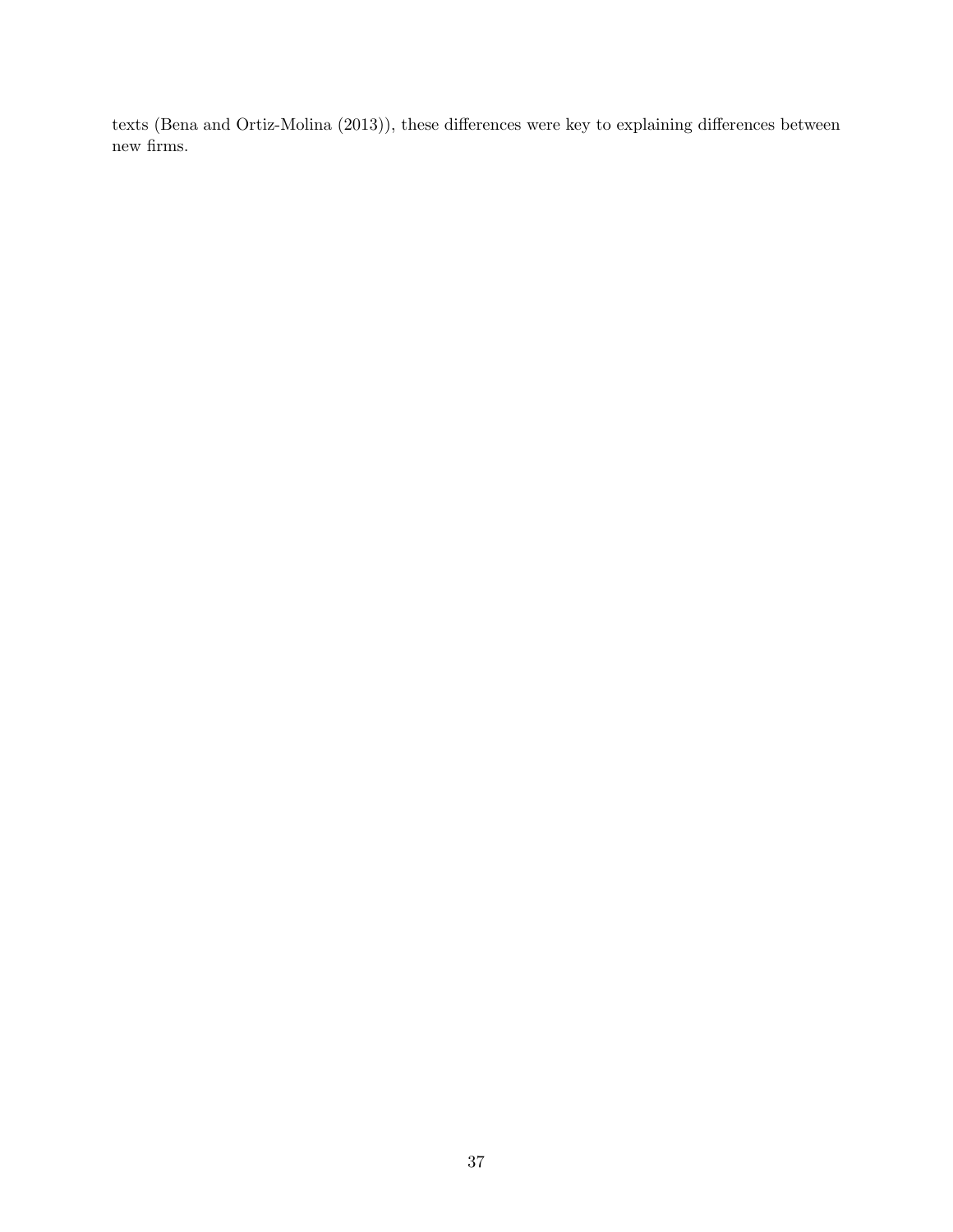texts (Bena and Ortiz-Molina (2013)), these differences were key to explaining differences between new firms.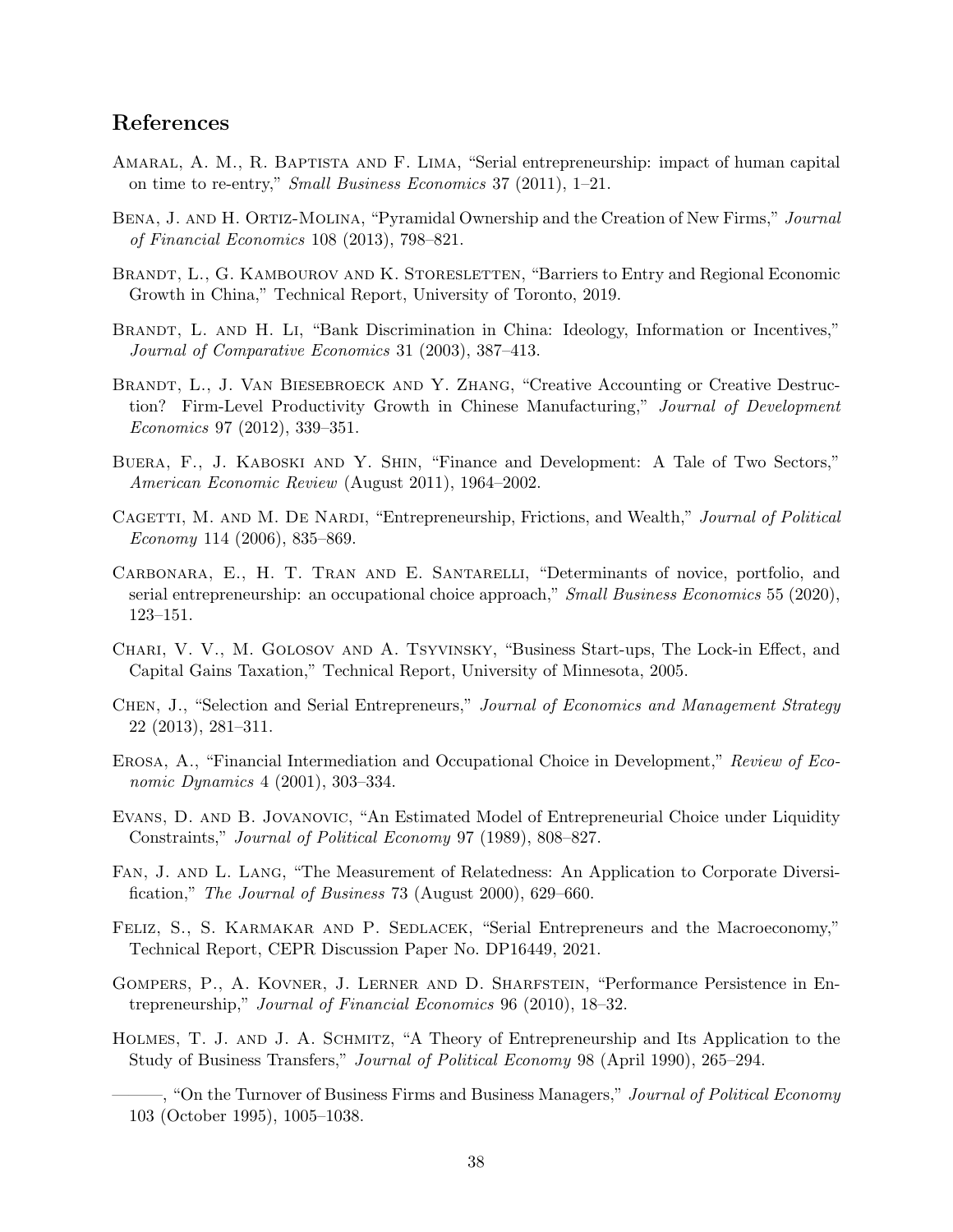# References

- Amaral, A. M., R. Baptista and F. Lima, "Serial entrepreneurship: impact of human capital on time to re-entry," Small Business Economics 37 (2011), 1–21.
- BENA, J. AND H. ORTIZ-MOLINA, "Pyramidal Ownership and the Creation of New Firms," Journal of Financial Economics 108 (2013), 798–821.
- BRANDT, L., G. KAMBOUROV AND K. STORESLETTEN, "Barriers to Entry and Regional Economic Growth in China," Technical Report, University of Toronto, 2019.
- BRANDT, L. AND H. LI, "Bank Discrimination in China: Ideology, Information or Incentives," Journal of Comparative Economics 31 (2003), 387–413.
- BRANDT, L., J. VAN BIESEBROECK AND Y. ZHANG, "Creative Accounting or Creative Destruction? Firm-Level Productivity Growth in Chinese Manufacturing," Journal of Development Economics 97 (2012), 339–351.
- Buera, F., J. Kaboski and Y. Shin, "Finance and Development: A Tale of Two Sectors," American Economic Review (August 2011), 1964–2002.
- CAGETTI, M. AND M. DE NARDI, "Entrepreneurship, Frictions, and Wealth," Journal of Political Economy 114 (2006), 835–869.
- Carbonara, E., H. T. Tran and E. Santarelli, "Determinants of novice, portfolio, and serial entrepreneurship: an occupational choice approach," Small Business Economics 55 (2020), 123–151.
- Chari, V. V., M. Golosov and A. Tsyvinsky, "Business Start-ups, The Lock-in Effect, and Capital Gains Taxation," Technical Report, University of Minnesota, 2005.
- Chen, J., "Selection and Serial Entrepreneurs," Journal of Economics and Management Strategy 22 (2013), 281–311.
- Erosa, A., "Financial Intermediation and Occupational Choice in Development," Review of Economic Dynamics 4 (2001), 303–334.
- Evans, D. and B. Jovanovic, "An Estimated Model of Entrepreneurial Choice under Liquidity Constraints," Journal of Political Economy 97 (1989), 808–827.
- Fan, J. and L. Lang, "The Measurement of Relatedness: An Application to Corporate Diversification," The Journal of Business 73 (August 2000), 629–660.
- FELIZ, S., S. KARMAKAR AND P. SEDLACEK, "Serial Entrepreneurs and the Macroeconomy," Technical Report, CEPR Discussion Paper No. DP16449, 2021.
- Gompers, P., A. Kovner, J. Lerner and D. Sharfstein, "Performance Persistence in Entrepreneurship," Journal of Financial Economics 96 (2010), 18–32.
- Holmes, T. J. and J. A. Schmitz, "A Theory of Entrepreneurship and Its Application to the Study of Business Transfers," Journal of Political Economy 98 (April 1990), 265–294.
	- –, "On the Turnover of Business Firms and Business Managers," *Journal of Political Economy* 103 (October 1995), 1005–1038.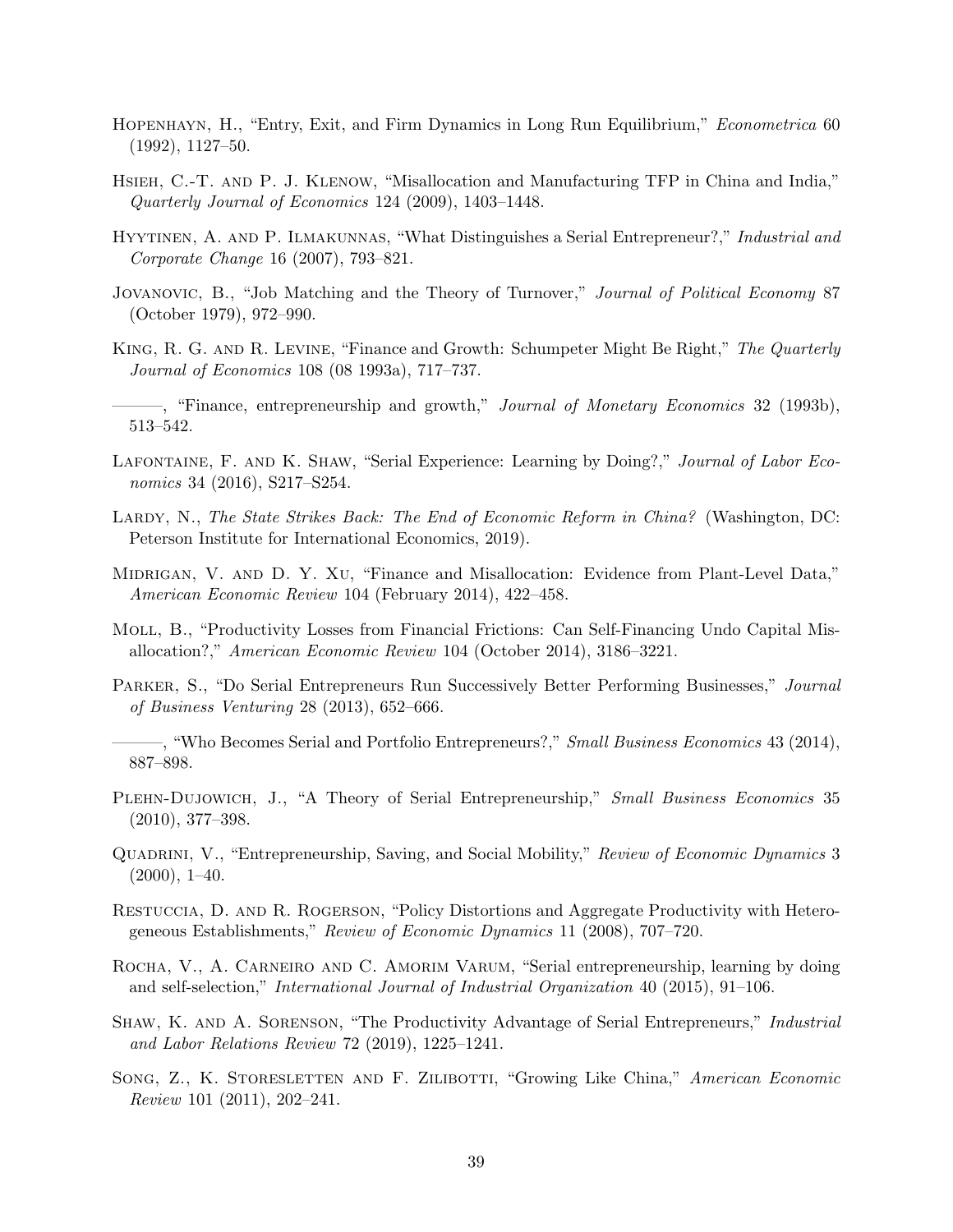- Hopenhayn, H., "Entry, Exit, and Firm Dynamics in Long Run Equilibrium," Econometrica 60 (1992), 1127–50.
- Hsieh, C.-T. and P. J. Klenow, "Misallocation and Manufacturing TFP in China and India," Quarterly Journal of Economics 124 (2009), 1403–1448.
- Hyytinen, A. and P. Ilmakunnas, "What Distinguishes a Serial Entrepreneur?," Industrial and Corporate Change 16 (2007), 793–821.
- JOVANOVIC, B., "Job Matching and the Theory of Turnover," Journal of Political Economy 87 (October 1979), 972–990.
- King, R. G. and R. Levine, "Finance and Growth: Schumpeter Might Be Right," The Quarterly Journal of Economics 108 (08 1993a), 717–737.
- $-$ , "Finance, entrepreneurship and growth," *Journal of Monetary Economics* 32 (1993b), 513–542.
- LAFONTAINE, F. AND K. SHAW, "Serial Experience: Learning by Doing?," Journal of Labor Economics 34 (2016), S217–S254.
- LARDY, N., The State Strikes Back: The End of Economic Reform in China? (Washington, DC: Peterson Institute for International Economics, 2019).
- MIDRIGAN, V. AND D. Y. XU, "Finance and Misallocation: Evidence from Plant-Level Data," American Economic Review 104 (February 2014), 422–458.
- Moll, B., "Productivity Losses from Financial Frictions: Can Self-Financing Undo Capital Misallocation?," American Economic Review 104 (October 2014), 3186–3221.
- Parker, S., "Do Serial Entrepreneurs Run Successively Better Performing Businesses," Journal of Business Venturing 28 (2013), 652–666.
- ———, "Who Becomes Serial and Portfolio Entrepreneurs?," Small Business Economics 43 (2014), 887–898.
- PLEHN-DUJOWICH, J., "A Theory of Serial Entrepreneurship," Small Business Economics 35 (2010), 377–398.
- QUADRINI, V., "Entrepreneurship, Saving, and Social Mobility," Review of Economic Dynamics 3  $(2000), 1-40.$
- Restuccia, D. and R. Rogerson, "Policy Distortions and Aggregate Productivity with Heterogeneous Establishments," Review of Economic Dynamics 11 (2008), 707–720.
- ROCHA, V., A. CARNEIRO AND C. AMORIM VARUM, "Serial entrepreneurship, learning by doing and self-selection," International Journal of Industrial Organization 40 (2015), 91–106.
- Shaw, K. and A. Sorenson, "The Productivity Advantage of Serial Entrepreneurs," Industrial and Labor Relations Review 72 (2019), 1225–1241.
- SONG, Z., K. STORESLETTEN AND F. ZILIBOTTI, "Growing Like China," American Economic Review 101 (2011), 202–241.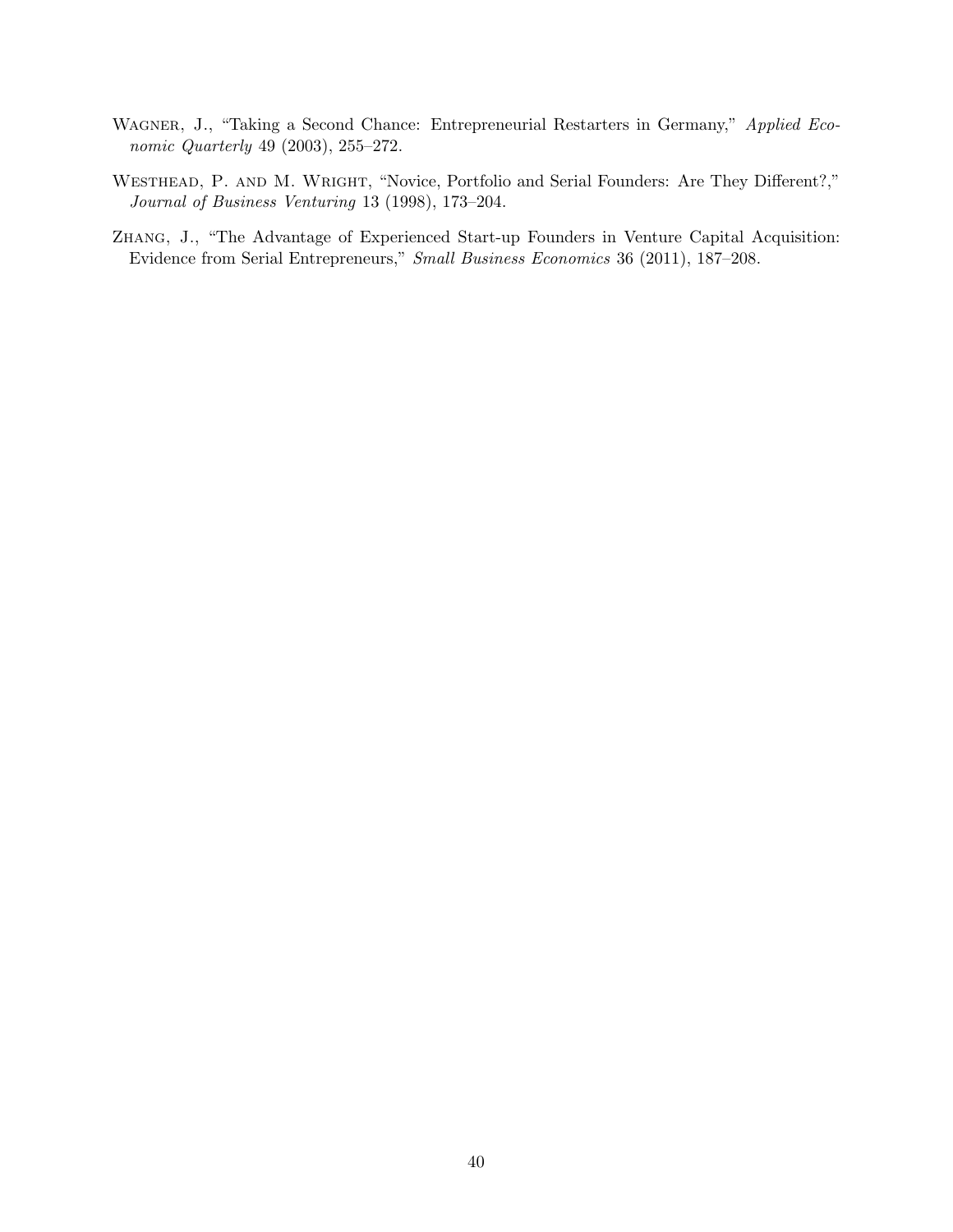- WAGNER, J., "Taking a Second Chance: Entrepreneurial Restarters in Germany," Applied Economic Quarterly 49 (2003), 255–272.
- Westhead, P. and M. Wright, "Novice, Portfolio and Serial Founders: Are They Different?," Journal of Business Venturing 13 (1998), 173–204.
- Zhang, J., "The Advantage of Experienced Start-up Founders in Venture Capital Acquisition: Evidence from Serial Entrepreneurs," Small Business Economics 36 (2011), 187–208.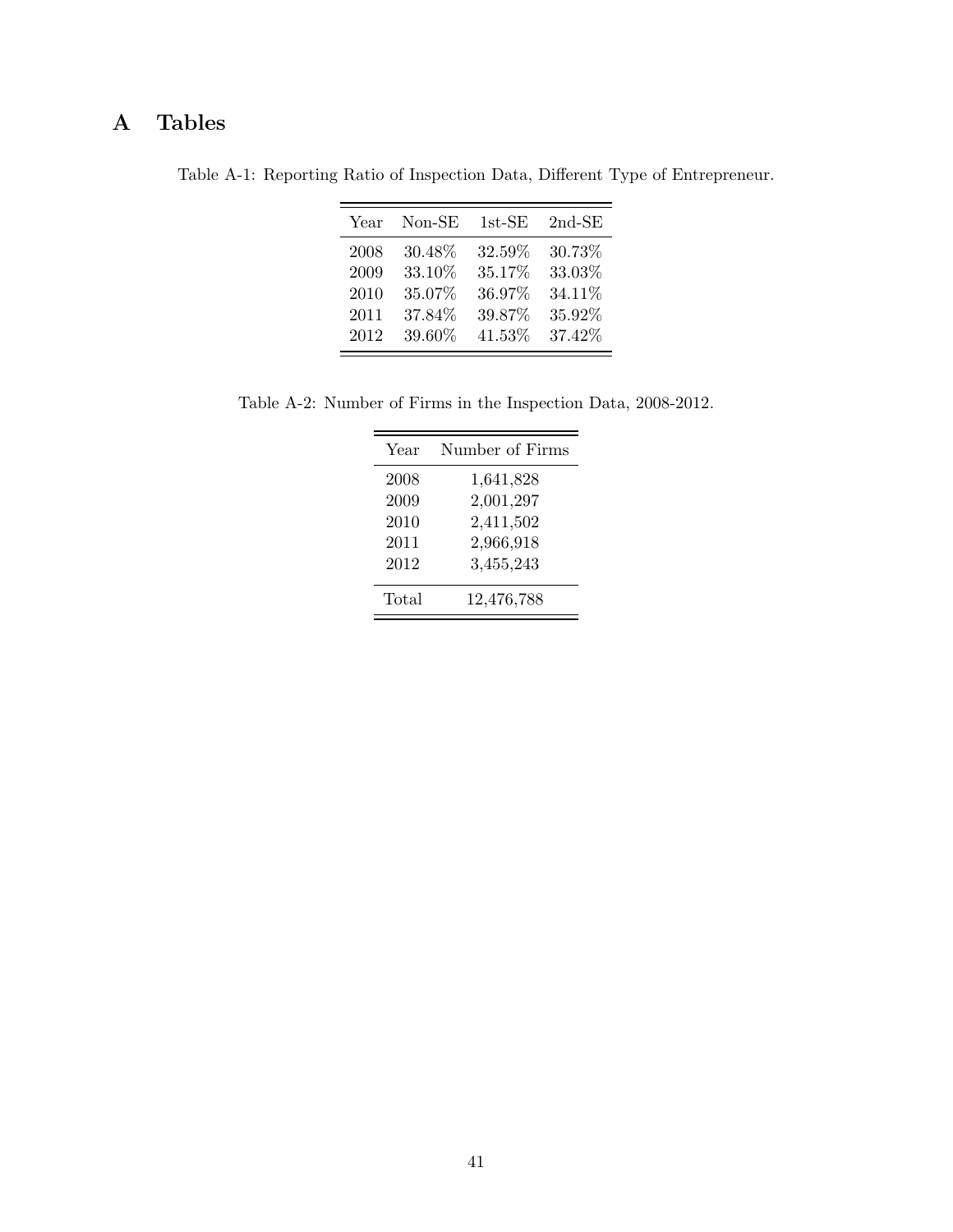# A Tables

Table A-1: Reporting Ratio of Inspection Data, Different Type of Entrepreneur.

| Year | $Non-SE$ | $1st$ -SE | $2nd-SE$ |
|------|----------|-----------|----------|
| 2008 | 30.48%   | 32.59%    | 30.73%   |
| 2009 | 33.10%   | 35.17%    | 33.03%   |
| 2010 | 35.07%   | 36.97%    | 34.11%   |
| 2011 | 37.84%   | 39.87%    | 35.92%   |
| 2012 | 39.60%   | 41.53%    | 37.42%   |

Table A-2: Number of Firms in the Inspection Data, 2008-2012.

| Year  | Number of Firms |
|-------|-----------------|
| 2008  | 1,641,828       |
| 2009  | 2,001,297       |
| 2010  | 2,411,502       |
| 2011  | 2,966,918       |
| 2012  | 3,455,243       |
| Total | 12,476,788      |
|       |                 |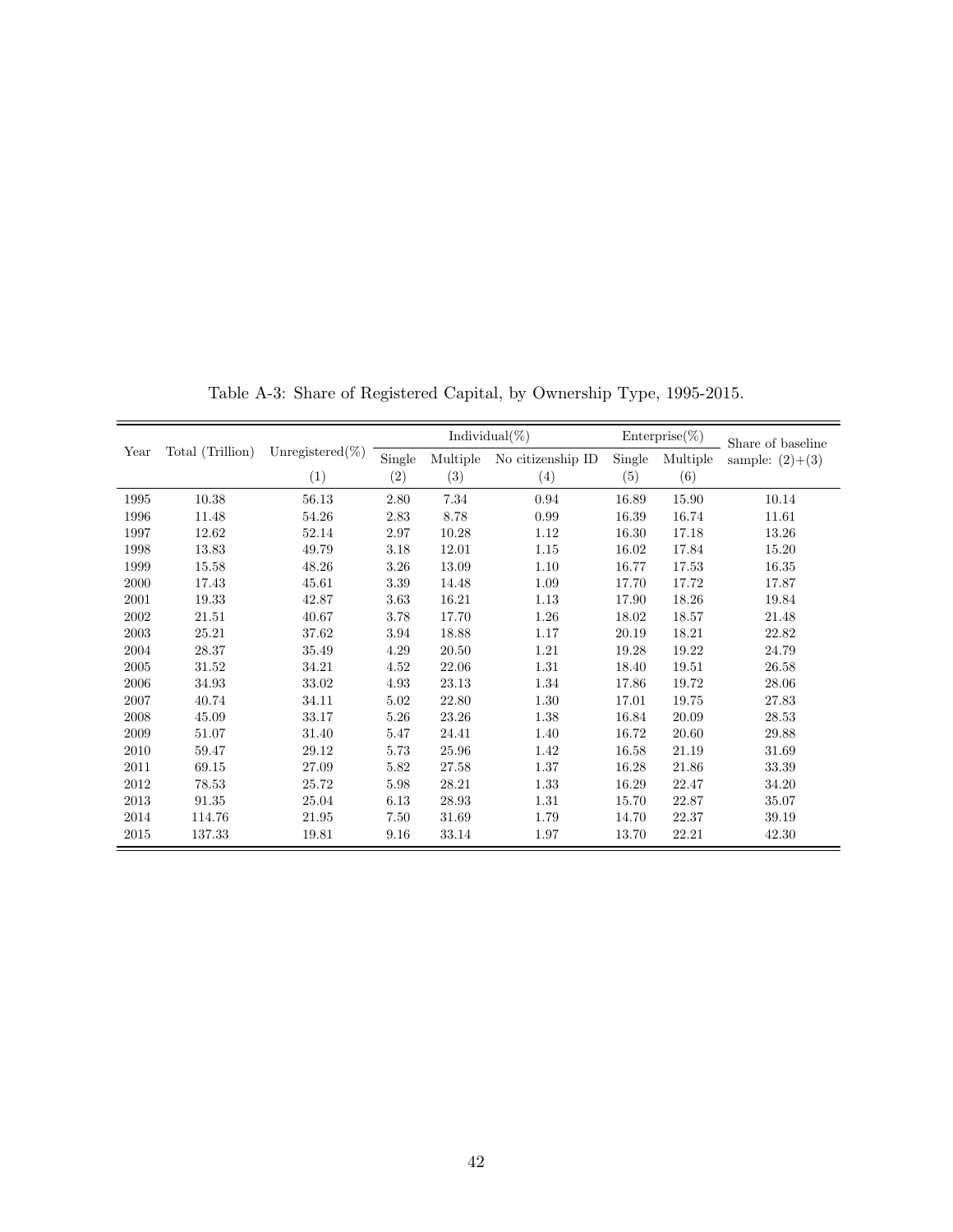|      |                  |                     | Individual $(\%)$ |          | $\text{Enterprise}(\%)$ |        | Share of baseline |                   |
|------|------------------|---------------------|-------------------|----------|-------------------------|--------|-------------------|-------------------|
| Year | Total (Trillion) | Unregistered $(\%)$ | Single            | Multiple | No citizenship ID       | Single | Multiple          | sample: $(2)+(3)$ |
|      |                  | (1)                 | (2)               | (3)      | (4)                     | (5)    | (6)               |                   |
| 1995 | 10.38            | 56.13               | 2.80              | 7.34     | 0.94                    | 16.89  | 15.90             | 10.14             |
| 1996 | 11.48            | 54.26               | 2.83              | 8.78     | 0.99                    | 16.39  | 16.74             | 11.61             |
| 1997 | 12.62            | 52.14               | 2.97              | 10.28    | 1.12                    | 16.30  | 17.18             | 13.26             |
| 1998 | 13.83            | 49.79               | 3.18              | 12.01    | 1.15                    | 16.02  | 17.84             | 15.20             |
| 1999 | 15.58            | 48.26               | 3.26              | 13.09    | 1.10                    | 16.77  | 17.53             | 16.35             |
| 2000 | 17.43            | 45.61               | 3.39              | 14.48    | 1.09                    | 17.70  | 17.72             | 17.87             |
| 2001 | 19.33            | 42.87               | 3.63              | 16.21    | 1.13                    | 17.90  | 18.26             | 19.84             |
| 2002 | 21.51            | 40.67               | 3.78              | 17.70    | 1.26                    | 18.02  | 18.57             | 21.48             |
| 2003 | 25.21            | 37.62               | 3.94              | 18.88    | 1.17                    | 20.19  | 18.21             | 22.82             |
| 2004 | 28.37            | 35.49               | 4.29              | 20.50    | 1.21                    | 19.28  | 19.22             | 24.79             |
| 2005 | 31.52            | 34.21               | 4.52              | 22.06    | 1.31                    | 18.40  | 19.51             | 26.58             |
| 2006 | 34.93            | 33.02               | 4.93              | 23.13    | 1.34                    | 17.86  | 19.72             | 28.06             |
| 2007 | 40.74            | 34.11               | 5.02              | 22.80    | 1.30                    | 17.01  | 19.75             | 27.83             |
| 2008 | 45.09            | 33.17               | 5.26              | 23.26    | 1.38                    | 16.84  | 20.09             | 28.53             |
| 2009 | 51.07            | 31.40               | 5.47              | 24.41    | 1.40                    | 16.72  | 20.60             | 29.88             |
| 2010 | 59.47            | 29.12               | 5.73              | 25.96    | 1.42                    | 16.58  | 21.19             | 31.69             |
| 2011 | 69.15            | 27.09               | 5.82              | 27.58    | 1.37                    | 16.28  | 21.86             | 33.39             |
| 2012 | 78.53            | 25.72               | 5.98              | 28.21    | 1.33                    | 16.29  | 22.47             | 34.20             |
| 2013 | 91.35            | 25.04               | 6.13              | 28.93    | 1.31                    | 15.70  | 22.87             | 35.07             |
| 2014 | 114.76           | 21.95               | 7.50              | 31.69    | 1.79                    | 14.70  | 22.37             | 39.19             |
| 2015 | 137.33           | 19.81               | 9.16              | 33.14    | 1.97                    | 13.70  | 22.21             | 42.30             |

Table A-3: Share of Registered Capital, by Ownership Type, 1995-2015.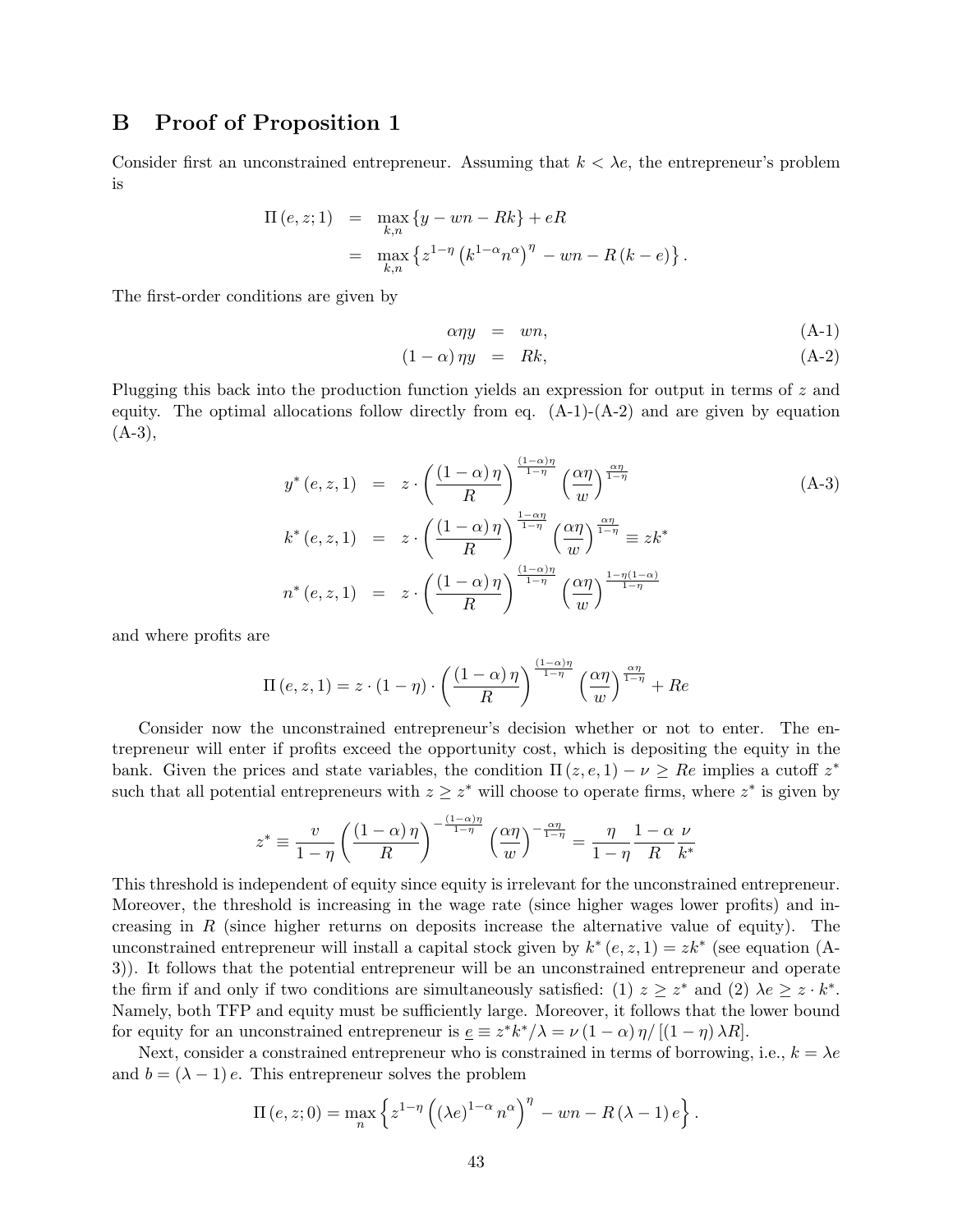## B Proof of Proposition 1

Consider first an unconstrained entrepreneur. Assuming that  $k < \lambda e$ , the entrepreneur's problem is

$$
\Pi(e, z; 1) = \max_{k,n} \{y - wn - Rk\} + eR
$$
  
= 
$$
\max_{k,n} \{z^{1-\eta} (k^{1-\alpha} n^{\alpha})^{\eta} - wn - R(k-e)\}.
$$

The first-order conditions are given by

$$
\alpha \eta y = w n, \tag{A-1}
$$

$$
(1 - \alpha)\eta y = Rk, \tag{A-2}
$$

Plugging this back into the production function yields an expression for output in terms of z and equity. The optimal allocations follow directly from eq.  $(A-1)-(A-2)$  and are given by equation  $(A-3),$ 

$$
y^*(e, z, 1) = z \cdot \left(\frac{(1-\alpha)\eta}{R}\right)^{\frac{(1-\alpha)\eta}{1-\eta}} \left(\frac{\alpha\eta}{w}\right)^{\frac{\alpha\eta}{1-\eta}}
$$
  
\n
$$
k^*(e, z, 1) = z \cdot \left(\frac{(1-\alpha)\eta}{R}\right)^{\frac{1-\alpha\eta}{1-\eta}} \left(\frac{\alpha\eta}{w}\right)^{\frac{\alpha\eta}{1-\eta}} \equiv zk^*
$$
  
\n
$$
n^*(e, z, 1) = z \cdot \left(\frac{(1-\alpha)\eta}{R}\right)^{\frac{(1-\alpha)\eta}{1-\eta}} \left(\frac{\alpha\eta}{w}\right)^{\frac{1-\eta(1-\alpha)}{1-\eta}}
$$

and where profits are

$$
\Pi(e, z, 1) = z \cdot (1 - \eta) \cdot \left(\frac{(1 - \alpha)\eta}{R}\right)^{\frac{(1 - \alpha)\eta}{1 - \eta}} \left(\frac{\alpha\eta}{w}\right)^{\frac{\alpha\eta}{1 - \eta}} + Re
$$

Consider now the unconstrained entrepreneur's decision whether or not to enter. The entrepreneur will enter if profits exceed the opportunity cost, which is depositing the equity in the bank. Given the prices and state variables, the condition  $\Pi(z, e, 1) - \nu \geq Re$  implies a cutoff  $z^*$ such that all potential entrepreneurs with  $z \geq z^*$  will choose to operate firms, where  $z^*$  is given by

$$
z^* \equiv \frac{v}{1-\eta} \left(\frac{(1-\alpha)\,\eta}{R}\right)^{-\frac{(1-\alpha)\eta}{1-\eta}} \left(\frac{\alpha\eta}{w}\right)^{-\frac{\alpha\eta}{1-\eta}} = \frac{\eta}{1-\eta} \frac{1-\alpha}{R} \frac{\nu}{k^*}
$$

This threshold is independent of equity since equity is irrelevant for the unconstrained entrepreneur. Moreover, the threshold is increasing in the wage rate (since higher wages lower profits) and increasing in R (since higher returns on deposits increase the alternative value of equity). The unconstrained entrepreneur will install a capital stock given by  $k^*(e, z, 1) = zk^*$  (see equation (A-3)). It follows that the potential entrepreneur will be an unconstrained entrepreneur and operate the firm if and only if two conditions are simultaneously satisfied: (1)  $z \geq z^*$  and (2)  $\lambda e \geq z \cdot k^*$ . Namely, both TFP and equity must be sufficiently large. Moreover, it follows that the lower bound for equity for an unconstrained entrepreneur is  $\underline{e} \equiv z^* k^* / \lambda = \nu (1 - \alpha) \eta / [(1 - \eta) \lambda R]$ .

Next, consider a constrained entrepreneur who is constrained in terms of borrowing, i.e.,  $k = \lambda e$ and  $b = (\lambda - 1) e$ . This entrepreneur solves the problem

$$
\Pi(e, z; 0) = \max_{n} \left\{ z^{1-\eta} \left( (\lambda e)^{1-\alpha} n^{\alpha} \right)^{\eta} - wn - R(\lambda - 1) e \right\}.
$$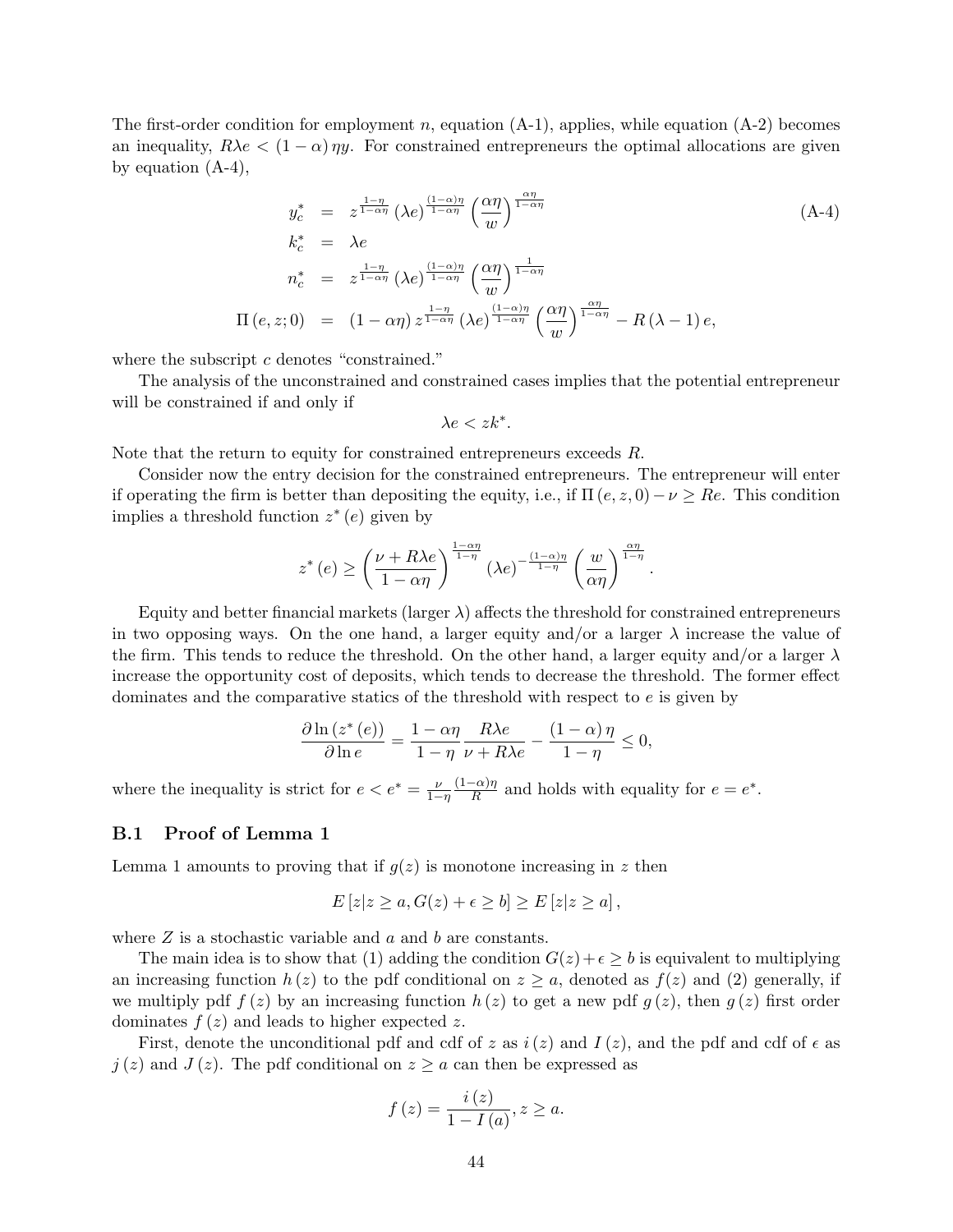The first-order condition for employment n, equation  $(A-1)$ , applies, while equation  $(A-2)$  becomes an inequality,  $R\lambda e < (1 - \alpha) \eta y$ . For constrained entrepreneurs the optimal allocations are given by equation (A-4),

$$
y_c^* = z^{\frac{1-\eta}{1-\alpha\eta}} (\lambda e)^{\frac{(1-\alpha)\eta}{1-\alpha\eta}} \left(\frac{\alpha\eta}{w}\right)^{\frac{\alpha\eta}{1-\alpha\eta}}
$$
  
\n
$$
k_c^* = \lambda e
$$
  
\n
$$
n_c^* = z^{\frac{1-\eta}{1-\alpha\eta}} (\lambda e)^{\frac{(1-\alpha)\eta}{1-\alpha\eta}} \left(\frac{\alpha\eta}{w}\right)^{\frac{1}{1-\alpha\eta}}
$$
  
\n
$$
\Pi(e, z; 0) = (1 - \alpha\eta) z^{\frac{1-\eta}{1-\alpha\eta}} (\lambda e)^{\frac{(1-\alpha)\eta}{1-\alpha\eta}} \left(\frac{\alpha\eta}{w}\right)^{\frac{\alpha\eta}{1-\alpha\eta}} - R(\lambda - 1) e,
$$
\n(A-1)

.

where the subscript  $c$  denotes "constrained."

The analysis of the unconstrained and constrained cases implies that the potential entrepreneur will be constrained if and only if

$$
\lambda e < z k^*.
$$

Note that the return to equity for constrained entrepreneurs exceeds R.

Consider now the entry decision for the constrained entrepreneurs. The entrepreneur will enter if operating the firm is better than depositing the equity, i.e., if  $\Pi(e, z, 0) - \nu \geq Re$ . This condition implies a threshold function  $z^*(e)$  given by

$$
z^*(e) \ge \left(\frac{\nu + R\lambda e}{1 - \alpha\eta}\right)^{\frac{1 - \alpha\eta}{1 - \eta}} (\lambda e)^{-\frac{(1 - \alpha)\eta}{1 - \eta}} \left(\frac{w}{\alpha\eta}\right)^{\frac{\alpha\eta}{1 - \eta}}
$$

Equity and better financial markets (larger  $\lambda$ ) affects the threshold for constrained entrepreneurs in two opposing ways. On the one hand, a larger equity and/or a larger  $\lambda$  increase the value of the firm. This tends to reduce the threshold. On the other hand, a larger equity and/or a larger  $\lambda$ increase the opportunity cost of deposits, which tends to decrease the threshold. The former effect dominates and the comparative statics of the threshold with respect to e is given by

$$
\frac{\partial \ln \left(z^*(e)\right)}{\partial \ln e} = \frac{1 - \alpha \eta}{1 - \eta} \frac{R \lambda e}{\nu + R \lambda e} - \frac{(1 - \alpha) \eta}{1 - \eta} \le 0,
$$

where the inequality is strict for  $e < e^* = \frac{\nu}{1-\eta}$  $(1-\alpha)\eta$  $\frac{(-\alpha)\eta}{R}$  and holds with equality for  $e = e^*$ .

#### B.1 Proof of Lemma 1

Lemma 1 amounts to proving that if  $q(z)$  is monotone increasing in z then

$$
E[z|z \ge a, G(z) + \epsilon \ge b] \ge E[z|z \ge a],
$$

where  $Z$  is a stochastic variable and  $a$  and  $b$  are constants.

The main idea is to show that (1) adding the condition  $G(z) + \epsilon \geq b$  is equivalent to multiplying an increasing function  $h(z)$  to the pdf conditional on  $z \ge a$ , denoted as  $f(z)$  and (2) generally, if we multiply pdf  $f(z)$  by an increasing function  $h(z)$  to get a new pdf  $g(z)$ , then  $g(z)$  first order dominates  $f(z)$  and leads to higher expected z.

First, denote the unconditional pdf and cdf of z as  $i(z)$  and  $I(z)$ , and the pdf and cdf of  $\epsilon$  as  $j(z)$  and  $J(z)$ . The pdf conditional on  $z \ge a$  can then be expressed as

$$
f(z) = \frac{i(z)}{1 - I(a)}, z \ge a.
$$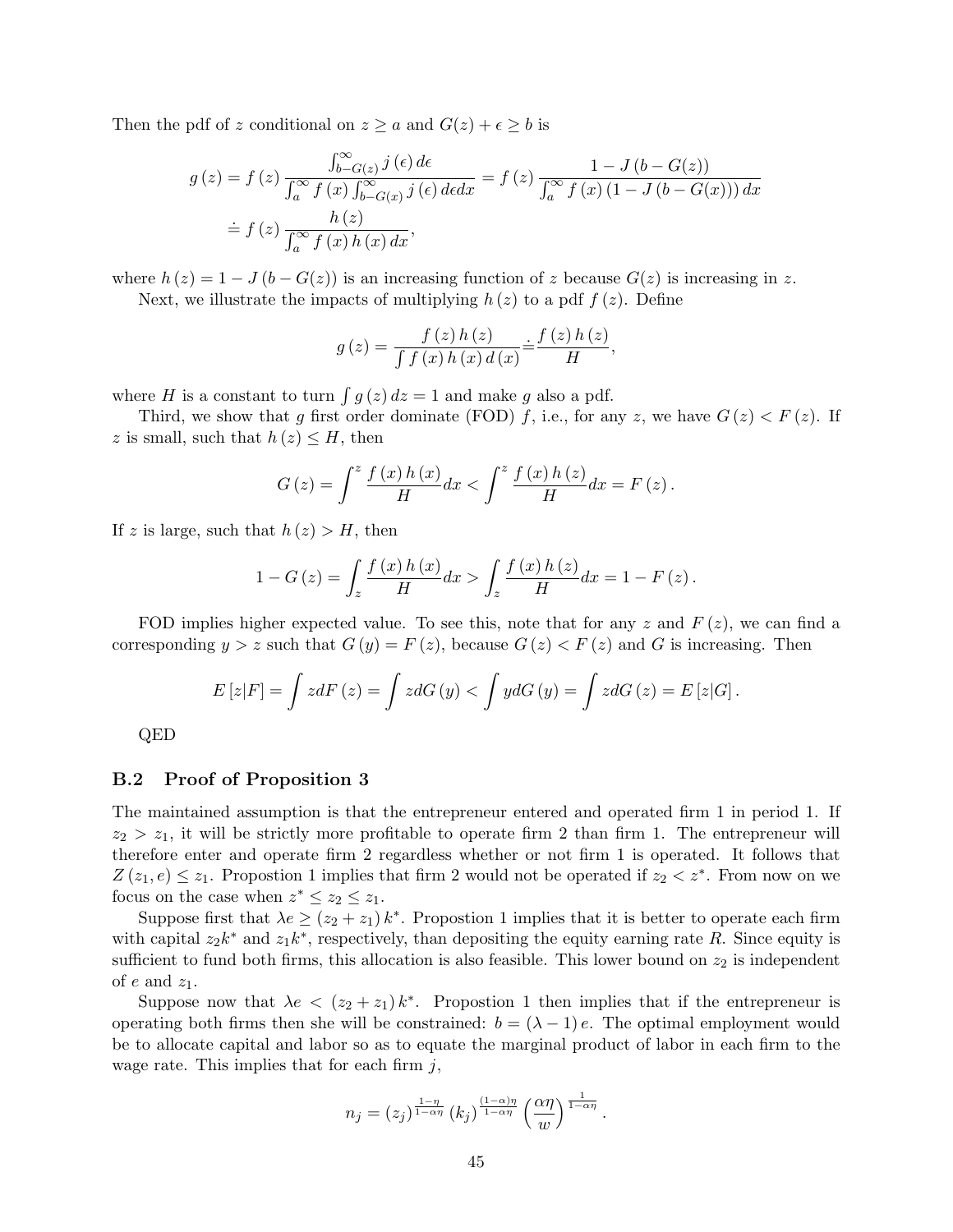Then the pdf of z conditional on  $z \ge a$  and  $G(z) + \epsilon \ge b$  is

$$
g(z) = f(z) \frac{\int_{b-G(z)}^{b-G(z)} j(\epsilon) d\epsilon}{\int_{a}^{\infty} f(x) \int_{b-G(x)}^{\infty} j(\epsilon) d\epsilon} dx = f(z) \frac{1 - J(b - G(z))}{\int_{a}^{\infty} f(x) (1 - J(b - G(x))) dx}
$$
  
=  $f(z) \frac{h(z)}{\int_{a}^{\infty} f(x) h(x) dx}$ ,

where  $h(z) = 1 - J(b - G(z))$  is an increasing function of z because  $G(z)$  is increasing in z.

Next, we illustrate the impacts of multiplying  $h(z)$  to a pdf  $f(z)$ . Define

$$
g(z) = \frac{f(z) h(z)}{\int f(x) h(x) d(x)} \doteq \frac{f(z) h(z)}{H},
$$

where H is a constant to turn  $\int g(z) dz = 1$  and make g also a pdf.

Third, we show that g first order dominate (FOD) f, i.e., for any z, we have  $G(z) < F(z)$ . If z is small, such that  $h(z) \leq H$ , then

$$
G(z) = \int^{z} \frac{f(x)h(x)}{H} dx < \int^{z} \frac{f(x)h(z)}{H} dx = F(z).
$$

If z is large, such that  $h(z) > H$ , then

$$
1 - G(z) = \int_{z} \frac{f(x)h(x)}{H} dx > \int_{z} \frac{f(x)h(z)}{H} dx = 1 - F(z).
$$

FOD implies higher expected value. To see this, note that for any z and  $F(z)$ , we can find a corresponding  $y > z$  such that  $G(y) = F(z)$ , because  $G(z) < F(z)$  and G is increasing. Then

$$
E\left[z\middle|F\right] = \int z dF\left(z\right) = \int z dG\left(y\right) < \int y dG\left(y\right) = \int z dG\left(z\right) = E\left[z\middle|G\right].
$$

QED

#### B.2 Proof of Proposition 3

The maintained assumption is that the entrepreneur entered and operated firm 1 in period 1. If  $z_2 > z_1$ , it will be strictly more profitable to operate firm 2 than firm 1. The entrepreneur will therefore enter and operate firm 2 regardless whether or not firm 1 is operated. It follows that  $Z(z_1, e) \leq z_1$ . Propostion 1 implies that firm 2 would not be operated if  $z_2 < z^*$ . From now on we focus on the case when  $z^* \leq z_2 \leq z_1$ .

Suppose first that  $\lambda e \geq (z_2 + z_1) k^*$ . Propostion 1 implies that it is better to operate each firm with capital  $z_2 k^*$  and  $z_1 k^*$ , respectively, than depositing the equity earning rate R. Since equity is sufficient to fund both firms, this allocation is also feasible. This lower bound on  $z_2$  is independent of e and  $z_1$ .

Suppose now that  $\lambda e < (z_2 + z_1) k^*$ . Propostion 1 then implies that if the entrepreneur is operating both firms then she will be constrained:  $b = (\lambda - 1)e$ . The optimal employment would be to allocate capital and labor so as to equate the marginal product of labor in each firm to the wage rate. This implies that for each firm  $j$ ,

$$
n_j = (z_j)^{\frac{1-\eta}{1-\alpha\eta}} (k_j)^{\frac{(1-\alpha)\eta}{1-\alpha\eta}} \left(\frac{\alpha\eta}{w}\right)^{\frac{1}{1-\alpha\eta}}.
$$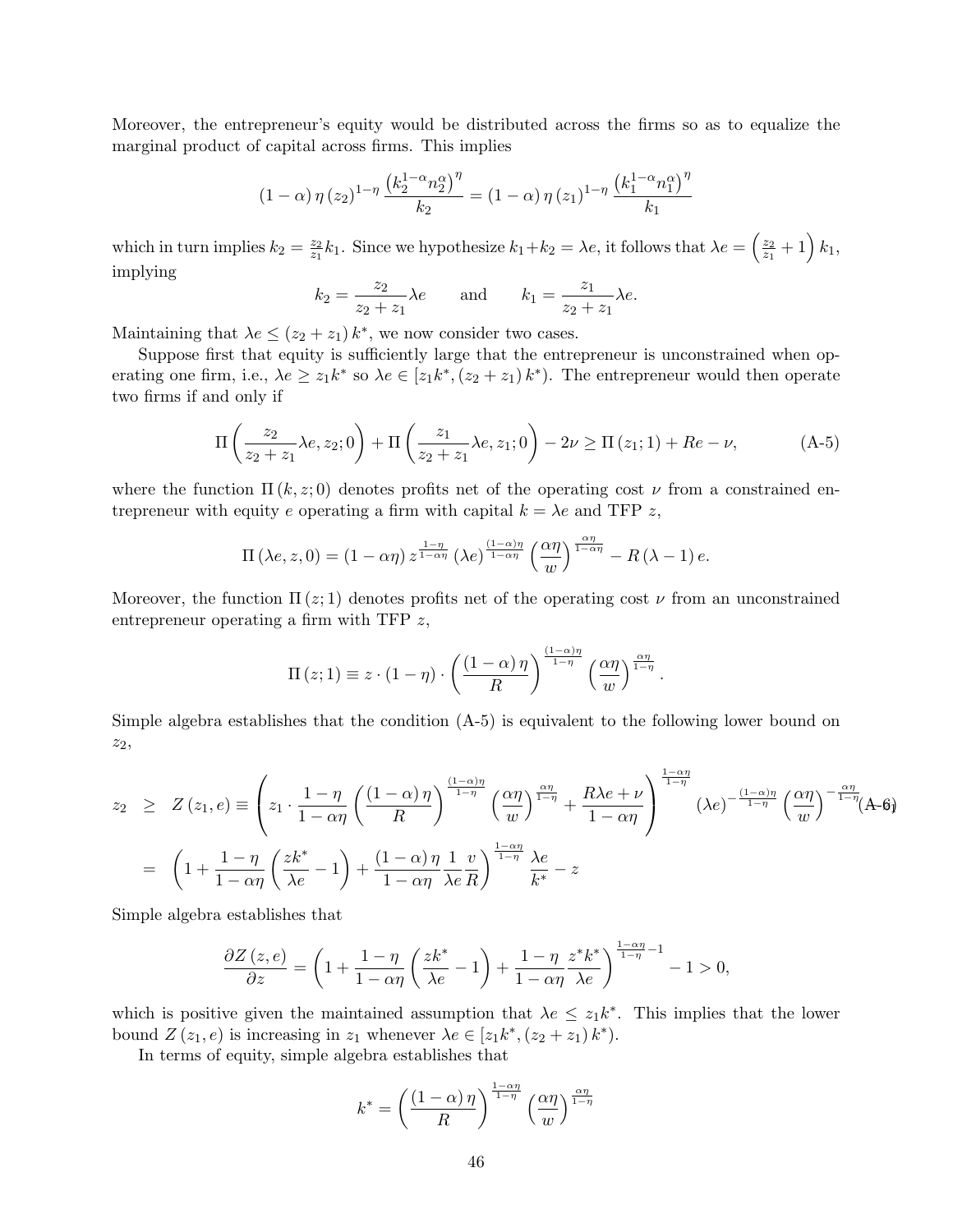Moreover, the entrepreneur's equity would be distributed across the firms so as to equalize the marginal product of capital across firms. This implies

$$
(1 - \alpha) \eta(z_2)^{1 - \eta} \frac{\left(k_2^{1 - \alpha} n_2^{\alpha}\right)^{\eta}}{k_2} = (1 - \alpha) \eta(z_1)^{1 - \eta} \frac{\left(k_1^{1 - \alpha} n_1^{\alpha}\right)^{\eta}}{k_1}
$$

which in turn implies  $k_2 = \frac{z_2}{z_1}$  $\frac{z_2}{z_1}k_1$ . Since we hypothesize  $k_1+k_2=\lambda e$ , it follows that  $\lambda e=\left(\frac{z_2}{z_1}\right)$  $\frac{z_2}{z_1} + 1\Big) k_1,$ implying

$$
k_2 = \frac{z_2}{z_2 + z_1} \lambda e
$$
 and  $k_1 = \frac{z_1}{z_2 + z_1} \lambda e$ .

Maintaining that  $\lambda e \leq (z_2 + z_1) k^*$ , we now consider two cases.

Suppose first that equity is sufficiently large that the entrepreneur is unconstrained when operating one firm, i.e.,  $\lambda e \geq z_1 k^*$  so  $\lambda e \in [z_1 k^*, (z_2 + z_1) k^*$ . The entrepreneur would then operate two firms if and only if

$$
\Pi\left(\frac{z_2}{z_2+z_1}\lambda e, z_2; 0\right) + \Pi\left(\frac{z_1}{z_2+z_1}\lambda e, z_1; 0\right) - 2\nu \ge \Pi(z_1; 1) + Re - \nu,\tag{A-5}
$$

.

where the function  $\Pi(k, z; 0)$  denotes profits net of the operating cost  $\nu$  from a constrained entrepreneur with equity e operating a firm with capital  $k = \lambda e$  and TFP z,

$$
\Pi\left(\lambda e, z, 0\right) = \left(1 - \alpha \eta\right) z^{\frac{1 - \eta}{1 - \alpha \eta}} \left(\lambda e^{\frac{\left(1 - \alpha\right) \eta}{1 - \alpha \eta}} \left(\frac{\alpha \eta}{w}\right)^{\frac{\alpha \eta}{1 - \alpha \eta}} - R\left(\lambda - 1\right) e.
$$

Moreover, the function  $\Pi(z; 1)$  denotes profits net of the operating cost  $\nu$  from an unconstrained entrepreneur operating a firm with TFP z,

$$
\Pi(z;1) \equiv z \cdot (1-\eta) \cdot \left(\frac{(1-\alpha)\eta}{R}\right)^{\frac{(1-\alpha)\eta}{1-\eta}} \left(\frac{\alpha\eta}{w}\right)^{\frac{\alpha\eta}{1-\eta}}
$$

Simple algebra establishes that the condition (A-5) is equivalent to the following lower bound on z2,

$$
z_2 \geq Z(z_1, e) \equiv \left(z_1 \cdot \frac{1 - \eta}{1 - \alpha \eta} \left(\frac{(1 - \alpha)\eta}{R}\right)^{\frac{(1 - \alpha)\eta}{1 - \eta}} \left(\frac{\alpha \eta}{w}\right)^{\frac{\alpha \eta}{1 - \eta}} + \frac{R\lambda e + \nu}{1 - \alpha \eta} \right)^{\frac{1 - \alpha \eta}{1 - \eta}} (\lambda e)^{-\frac{(1 - \alpha)\eta}{1 - \eta}} \left(\frac{\alpha \eta}{w}\right)^{-\frac{\alpha \eta}{1 - \eta}} (A - 6)
$$

$$
= \left(1 + \frac{1 - \eta}{1 - \alpha \eta} \left(\frac{zk^*}{\lambda e} - 1\right) + \frac{(1 - \alpha)\eta}{1 - \alpha \eta} \frac{1}{\lambda e} \frac{v}{R}\right)^{\frac{1 - \alpha \eta}{1 - \eta}} \frac{\lambda e}{k^*} - z
$$

Simple algebra establishes that

$$
\frac{\partial Z\left(z,e\right)}{\partial z} = \left(1 + \frac{1-\eta}{1-\alpha\eta}\left(\frac{zk^*}{\lambda e} - 1\right) + \frac{1-\eta}{1-\alpha\eta}\frac{z^*k^*}{\lambda e}\right)^{\frac{1-\alpha\eta}{1-\eta}-1} - 1 > 0,
$$

which is positive given the maintained assumption that  $\lambda e \leq z_1 k^*$ . This implies that the lower bound  $Z(z_1, e)$  is increasing in  $z_1$  whenever  $\lambda e \in [z_1k^*, (z_2 + z_1)k^*).$ 

In terms of equity, simple algebra establishes that

$$
k^* = \left(\frac{(1-\alpha)\,\eta}{R}\right)^{\frac{1-\alpha\eta}{1-\eta}} \left(\frac{\alpha\eta}{w}\right)^{\frac{\alpha\eta}{1-\eta}}
$$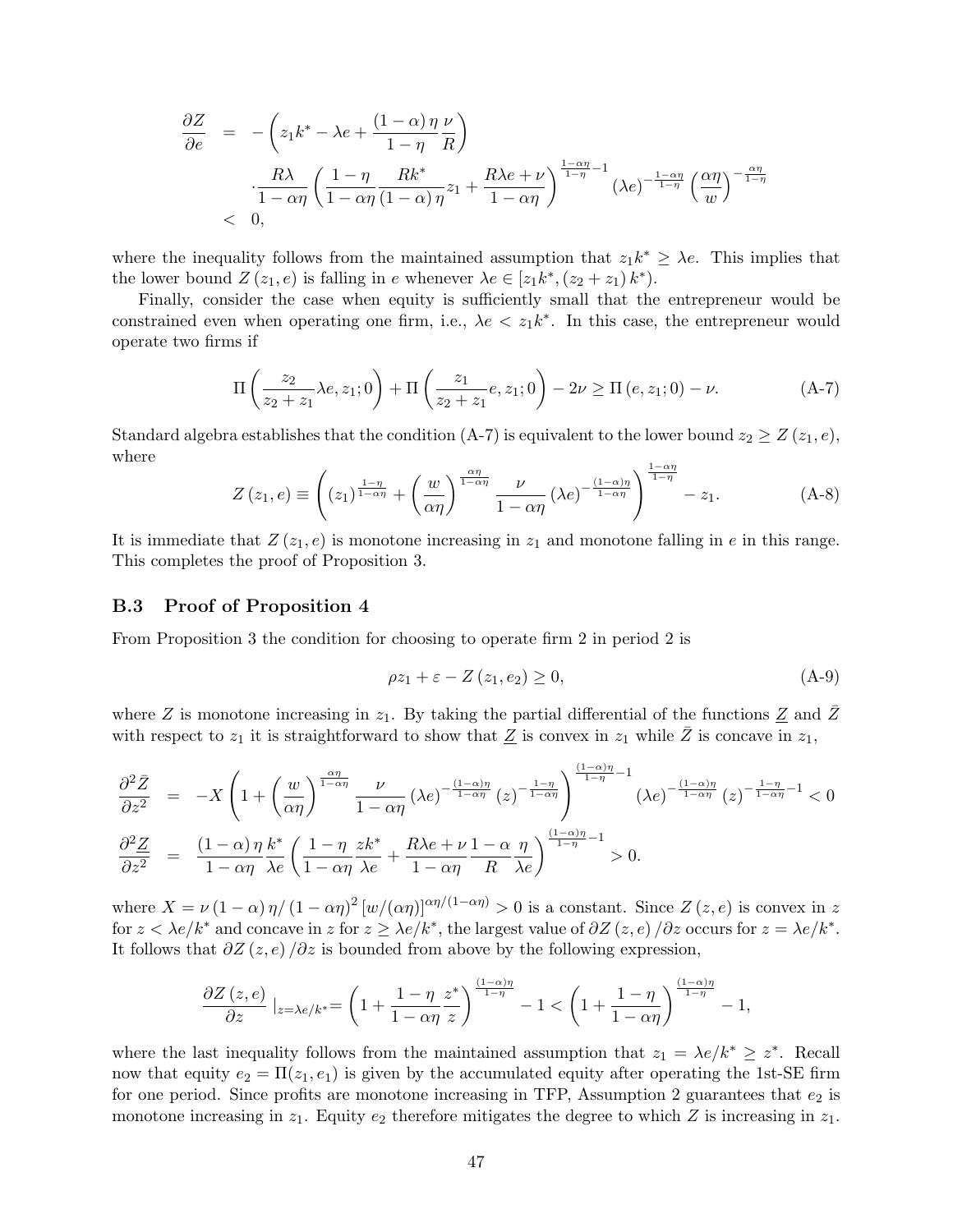$$
\frac{\partial Z}{\partial e} = -\left(z_1 k^* - \lambda e + \frac{(1-\alpha)\eta \nu}{1-\eta R}\right)
$$
  

$$
\frac{R\lambda}{1-\alpha\eta} \left(\frac{1-\eta}{1-\alpha\eta} \frac{Rk^*}{(1-\alpha)\eta} z_1 + \frac{R\lambda e + \nu}{1-\alpha\eta}\right)^{\frac{1-\alpha\eta}{1-\eta}-1} (\lambda e)^{-\frac{1-\alpha\eta}{1-\eta}} \left(\frac{\alpha\eta}{w}\right)^{-\frac{\alpha\eta}{1-\eta}}
$$
  
< 0,

where the inequality follows from the maintained assumption that  $z_1 k^* \geq \lambda e$ . This implies that the lower bound  $Z(z_1, e)$  is falling in e whenever  $\lambda e \in [z_1k^*, (z_2 + z_1)k^*).$ 

Finally, consider the case when equity is sufficiently small that the entrepreneur would be constrained even when operating one firm, i.e.,  $\lambda e \langle z_1 k^*$ . In this case, the entrepreneur would operate two firms if

$$
\Pi\left(\frac{z_2}{z_2+z_1}\lambda e, z_1; 0\right) + \Pi\left(\frac{z_1}{z_2+z_1}e, z_1; 0\right) - 2\nu \ge \Pi\left(e, z_1; 0\right) - \nu. \tag{A-7}
$$

Standard algebra establishes that the condition (A-7) is equivalent to the lower bound  $z_2 \geq Z(z_1, e)$ , where

$$
Z(z_1, e) \equiv \left( (z_1)^{\frac{1-\eta}{1-\alpha\eta}} + \left( \frac{w}{\alpha\eta} \right)^{\frac{\alpha\eta}{1-\alpha\eta}} \frac{\nu}{1-\alpha\eta} (\lambda e)^{-\frac{(1-\alpha)\eta}{1-\alpha\eta}} \right)^{\frac{1-\alpha\eta}{1-\eta}} - z_1.
$$
 (A-8)

It is immediate that  $Z(z_1, e)$  is monotone increasing in  $z_1$  and monotone falling in e in this range. This completes the proof of Proposition 3.

#### B.3 Proof of Proposition 4

From Proposition 3 the condition for choosing to operate firm 2 in period 2 is

$$
\rho z_1 + \varepsilon - Z(z_1, e_2) \ge 0,\tag{A-9}
$$

where Z is monotone increasing in  $z_1$ . By taking the partial differential of the functions  $\underline{Z}$  and Z with respect to  $z_1$  it is straightforward to show that  $\underline{Z}$  is convex in  $z_1$  while  $\overline{Z}$  is concave in  $z_1$ ,

$$
\frac{\partial^2 \bar{Z}}{\partial z^2} = -X \left( 1 + \left( \frac{w}{\alpha \eta} \right)^{\frac{\alpha \eta}{1 - \alpha \eta}} \frac{\nu}{1 - \alpha \eta} (\lambda e)^{-\frac{(1 - \alpha)\eta}{1 - \alpha \eta}} (z)^{-\frac{1 - \eta}{1 - \alpha \eta}} \right)^{\frac{(1 - \alpha)\eta}{1 - \eta} - 1} (\lambda e)^{-\frac{(1 - \alpha)\eta}{1 - \alpha \eta}} (z)^{-\frac{1 - \eta}{1 - \alpha \eta}} (z)^{-\frac{1 - \eta}{1 - \alpha \eta} - 1} < 0
$$
  

$$
\frac{\partial^2 \underline{Z}}{\partial z^2} = \frac{(1 - \alpha)\eta}{1 - \alpha \eta} \frac{k^*}{\lambda e} \left( \frac{1 - \eta}{1 - \alpha \eta} \frac{zk^*}{\lambda e} + \frac{R\lambda e + \nu}{1 - \alpha \eta} \frac{1 - \alpha}{R} \frac{\eta}{\lambda e} \right)^{\frac{(1 - \alpha)\eta}{1 - \eta} - 1} > 0.
$$

where  $X = \nu (1 - \alpha) \eta / (1 - \alpha \eta)^2 [w/(\alpha \eta)]^{\alpha \eta / (1 - \alpha \eta)} > 0$  is a constant. Since  $Z(z, e)$  is convex in z for  $z < \lambda e/k^*$  and concave in  $z$  for  $z \geq \lambda e/k^*$ , the largest value of  $\partial Z(z, e)/\partial z$  occurs for  $z = \lambda e/k^*$ . It follows that  $\partial Z(z, e)/\partial z$  is bounded from above by the following expression,

$$
\frac{\partial Z\left(z,e\right)}{\partial z}\mid_{z=\lambda e/k^*}=\left(1+\frac{1-\eta}{1-\alpha\eta}\frac{z^*}{z}\right)^{\frac{\left(1-\alpha\right)\eta}{1-\eta}}-1<\left(1+\frac{1-\eta}{1-\alpha\eta}\right)^{\frac{\left(1-\alpha\right)\eta}{1-\eta}}-1,
$$

where the last inequality follows from the maintained assumption that  $z_1 = \lambda e/k^* \geq z^*$ . Recall now that equity  $e_2 = \Pi(z_1, e_1)$  is given by the accumulated equity after operating the 1st-SE firm for one period. Since profits are monotone increasing in TFP, Assumption 2 guarantees that  $e_2$  is monotone increasing in  $z_1$ . Equity  $e_2$  therefore mitigates the degree to which Z is increasing in  $z_1$ .